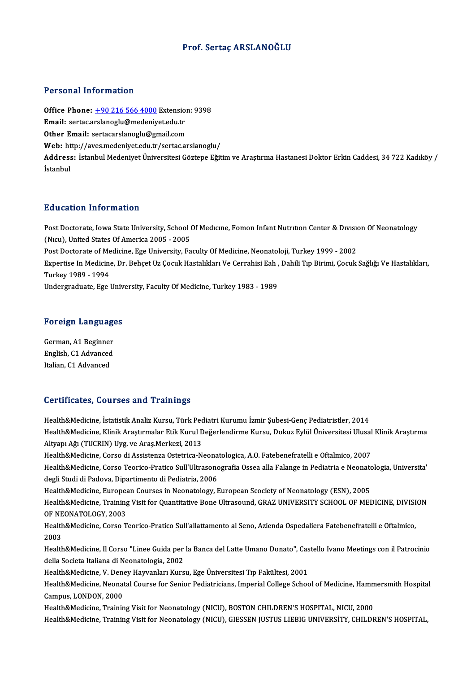### Prof. Sertaç ARSLANOĞLU

### Personal Information

Personal Information<br>Office Phone: <u>+90 216 566 4000</u> Extension: 9398<br>Email: sertes arclanesly@medenivet.edu.tr Ferocher Hittorikation<br>Office Phone: <u>+90 216 566 4000</u> Extensio<br>Email: sertac.a[rslanoglu@medeniy](tel:+90 216 566 4000)et.edu.tr Office Phone: <u>+90 216 566 4000</u> Extension<br>Email: sertac.arslanoglu@medeniyet.edu.tr<br>Other Email: sertacarslanoglu@gmail.com Email: sertac.arslanoglu@medeniyet.edu.tr<br>Other Email: sertacarslanoglu@gmail.com<br>Web: http://aves.medeniyet.edu.tr/sertac.arslanoglu/ Other Email: sertacarslanoglu@gmail.com<br>Web: http://aves.medeniyet.edu.tr/sertac.arslanoglu/<br>Address: İstanbul Medeniyet Üniversitesi Göztepe Eğitim ve Araştırma Hastanesi Doktor Erkin Caddesi, 34 722 Kadıköy / Web: ht<br>Address<br>İstanbul

### Education Information

Education Information<br>Post Doctorate, Iowa State University, School Of Medıcıne, Fomon Infant Nutrıtıon Center & Dıvısıon Of Neonatology<br>(Num), United States Of America 2005, 2005 Eu a catron Tirror Interon<br>Post Doctorate, Iowa State University, School (<br>Nicu), United States Of America 2005 - 2005<br>Post Doctorate of Medicine, Ege University, Eq Post Doctorate, Iowa State University, School Of Medicine, Fomon Infant Nutrition Center & Division (Nicu), United States Of America 2005 - 2005<br>Post Doctorate of Medicine, Ege University, Faculty Of Medicine, Neonatoloji, (Nıcu), United States Of America 2005 - 2005<br>Post Doctorate of Medicine, Ege University, Faculty Of Medicine, Neonatoloji, Turkey 1999 - 2002<br>Expertise In Medicine, Dr. Behçet Uz Çocuk Hastalıkları Ve Cerrahisi Eah , Dahil Post Doctorate of Medicine, Ege University, Faculty Of Medicine, Neonatoloji, Turkey 1999 - 2002<br>Expertise In Medicine, Dr. Behçet Uz Çocuk Hastalıkları Ve Cerrahisi Eah , Dahili Tıp Birimi, Çocuk<br>Turkey 1989 - 1994<br>Underg Expertise In Medicine, Dr. Behçet Uz Çocuk Hastalıkları Ve Cerrahisi Eah ,<br>Turkey 1989 - 1994<br>Undergraduate, Ege University, Faculty Of Medicine, Turkey 1983 - 1989

# <sub>ondergraduate, ege oniv<br>Foreign Languages</sub>

Foreign Language<br>German, A1 Beginner<br>English C1 Advanced English, C1 Advanced<br>English, C1 Advanced<br>Italian, C1 Advanced German, A1 Beginner<br>English, C1 Advanced<br>Italian, C1 Advanced

# Italian, C1 Advanced<br>Certificates, Courses and Trainings

Certificates, Courses and Trainings<br>Health&Medicine, İstatistik Analiz Kursu, Türk Pediatri Kurumu İzmir Şubesi-Genç Pediatristler, 2014<br>Health&Medicine, Klinik Arastırmalar Etik Kurul Değerlendirme Kursu, Delnız Etiği Üni der effectes, deur ses und "Funnings"<br>Health&Medicine, İstatistik Analiz Kursu, Türk Pediatri Kurumu İzmir Şubesi-Genç Pediatristler, 2014<br>Altyanı Ağı (TUCRIN) Uva ve Ares Merkeri, 2012 Health&Medicine, İstatistik Analiz Kursu, Türk Pec<br>Health&Medicine, Klinik Araştırmalar Etik Kurul D<br>Altyapı Ağı (TUCRIN) Uyg. ve Araş.Merkezi, 2013<br>Health&Medisine, Carse di Assistanze Ostatrise N Health&Medicine, Klinik Araştırmalar Etik Kurul Değerlendirme Kursu, Dokuz Eylül Üniversitesi Ulusal<br>Altyapı Ağı (TUCRIN) Uyg. ve Araş.Merkezi, 2013<br>Health&Medicine, Corso di Assistenza Ostetrica-Neonatologica, A.O. Fatebe Altyapı Ağı (TUCRIN) Uyg. ve Araş.Merkezi, 2013<br>Health&Medicine, Corso di Assistenza Ostetrica-Neonatologica, A.O. Fatebenefratelli e Oftalmico, 2007<br>Health&Medicine, Corso Teorico-Pratico Sull'Ultrasonografia Ossea alla F Health&Medicine, Corso di Assistenza Ostetrica-Neona<br>Health&Medicine, Corso Teorico-Pratico Sull'Ultrasono<br>degli Studi di Padova, Dipartimento di Pediatria, 2006<br>Health&Medicine, European Courses in Neonatalogu, L Health&Medicine, Corso Teorico-Pratico Sull'Ultrasonografia Ossea alla Falange in Pediatria e Neonato<br>degli Studi di Padova, Dipartimento di Pediatria, 2006<br>Health&Medicine, European Courses in Neonatology, European Scocie degli Studi di Padova, Dipartimento di Pediatria, 2006<br>Health&Medicine, European Courses in Neonatology, European Scociety of Neonatology (ESN), 2005<br>Health&Medicine, Training Visit for Quantitative Bone Ultrasound, GRAZ U Health&Medicine, Europez<br>Health&Medicine, Training<br>OF NEONATOLOGY, 2003<br>Health&Medicine, Corse T Health&Medicine, Training Visit for Quantitative Bone Ultrasound, GRAZ UNIVERSITY SCHOOL OF MEDICINE, DIVISI<br>OF NEONATOLOGY, 2003<br>Health&Medicine, Corso Teorico-Pratico Sull'allattamento al Seno, Azienda Ospedaliera Fatebe OF NE<br>Health<br>2003<br>Health Health&Medicine, Corso Teorico-Pratico Sull'allattamento al Seno, Azienda Ospedaliera Fatebenefratelli e Oftalmico,<br>2003<br>Health&Medicine, Il Corso "Linee Guida per la Banca del Latte Umano Donato", Castello Ivano Meetings 2003<br>Health&Medicine, Il Corso "Linee Guida per la Banca del Latte Umano Donato", Castello Ivano Meetings con il Patrocinio<br>della Societa Italiana di Neonatologia, 2002 Health&Medicine, Il Corso "Linee Guida per la Banca del Latte Umano Donato", Cas<br>della Societa Italiana di Neonatologia, 2002<br>Health&Medicine, V. Deney Hayvanları Kursu, Ege Üniversitesi Tıp Fakültesi, 2001<br>Health&Medicine Health&Medicine, Neonatal Course for Senior Pediatricians, Imperial College School of Medicine, Hammersmith Hospital<br>Campus, LONDON, 2000 Health&Medicine, V. Dene<br>Health&Medicine, Neonat<br>Campus, LONDON, 2000<br>Health&Medicine, Treinin Health&Medicine, Training Visit for Neonatology (NICU), BOSTON CHILDREN'S HOSPITAL, NICU, 2000 Health&Medicine, Training Visit for Neonatology (NICU), GIESSEN JUSTUS LIEBIG UNIVERSİTY, CHILDREN'S HOSPITAL,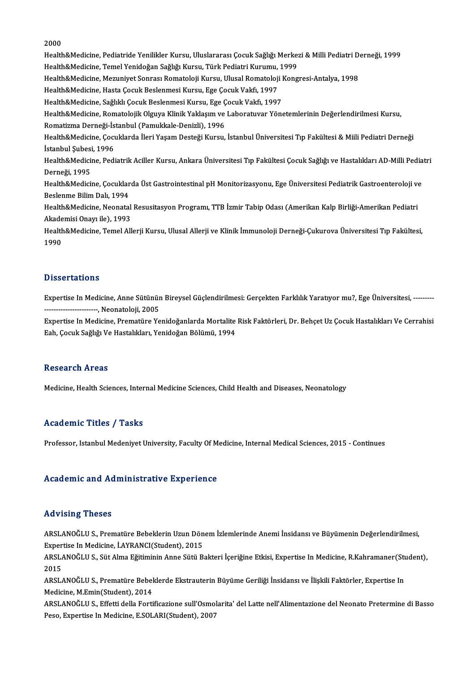#### 2000

2000<br>Health&Medicine, Pediatride Yenilikler Kursu, Uluslararası Çocuk Sağlığı Merkezi & Milli Pediatri Derneği, 1999<br>Health&Medigine, Temel Yanideğan Sağlığı Kursu, Türk Bediatri Kurumu, 1999 2000<br>Health&Medicine, Pediatride Yenilikler Kursu, Uluslararası Çocuk Sağlığı Merke;<br>Health&Medicine, Temel Yenidoğan Sağlığı Kursu, Türk Pediatri Kurumu, 1999<br>Health&Medicine, Meruniyat Sanrası Romataloji Kursu, Ulusal Bo Health&Medicine, Pediatride Yenilikler Kursu, Uluslararası Çocuk Sağlığı Merkezi & Milli Pediatri D<br>Health&Medicine, Temel Yenidoğan Sağlığı Kursu, Türk Pediatri Kurumu, 1999<br>Health&Medicine, Mezuniyet Sonrası Romatoloji K Health&Medicine, Temel Yenidoğan Sağlığı Kursu, Türk Pediatri Kurumu,<br>Health&Medicine, Mezuniyet Sonrası Romatoloji Kursu, Ulusal Romatoloji<br>Health&Medicine, Hasta Çocuk Beslenmesi Kursu, Ege Çocuk Vakfı, 1997<br>Health&Medic Health&Medicine, Mezuniyet Sonrası Romatoloji Kursu, Ulusal Romatoloji I<br>Health&Medicine, Hasta Çocuk Beslenmesi Kursu, Ege Çocuk Vakfı, 1997<br>Health&Medicine, Sağlıklı Çocuk Beslenmesi Kursu, Ege Çocuk Vakfı, 1997<br>Health&M Health&Medicine, Hasta Çocuk Beslenmesi Kursu, Ege Çocuk Vakfı, 1997<br>Health&Medicine, Sağlıklı Çocuk Beslenmesi Kursu, Ege Çocuk Vakfı, 1997<br>Health&Medicine, Romatolojik Olguya Klinik Yaklaşım ve Laboratuvar Yönetemlerinin Health&Medicine, Sağlıklı Çocuk Beslenmesi Kursu, Ege Ç<br>Health&Medicine, Romatolojik Olguya Klinik Yaklaşım ve<br>Romatizma Derneği-İstanbul (Pamukkale-Denizli), 1996<br>Health&Medicine, Cosuklarda İleri Yasam Desteği Kursu Health&Medicine, Romatolojik Olguya Klinik Yaklaşım ve Laboratuvar Yönetemlerinin Değerlendirilmesi Kursu,<br>Romatizma Derneği-İstanbul (Pamukkale-Denizli), 1996<br>Health&Medicine, Çocuklarda İleri Yaşam Desteği Kursu, İstanbu Romatizma Derneği-İs<br>Health&Medicine, Çocu<br>İstanbul Şubesi, 1996<br>Health&Medicine, Pedi Health&Medicine, Çocuklarda İleri Yaşam Desteği Kursu, İstanbul Üniversitesi Tıp Fakültesi & Miili Pediatri Derneği<br>İstanbul Şubesi, 1996<br>Health&Medicine, Pediatrik Aciller Kursu, Ankara Üniversitesi Tıp Fakültesi Çocuk Sa İstanbul Şubesi<br>Health&Medicii<br>Derneği, 1995<br>Health&Medicii Health&Medicine, Pediatrik Aciller Kursu, Ankara Üniversitesi Tıp Fakültesi Çocuk Sağlığı ve Hastalıkları AD-Milli Pedia<br>Derneği, 1995<br>Health&Medicine, Çocuklarda Üst Gastrointestinal pH Monitorizasyonu, Ege Üniversitesi P Derneği, 1995<br>Health&Medicine, Çocuklar<br>Beslenme Bilim Dalı, 1994<br>Health&Medisine, Neanstal Health&Medicine, Çocuklarda Üst Gastrointestinal pH Monitorizasyonu, Ege Üniversitesi Pediatrik Gastroenteroloji ve<br>Beslenme Bilim Dalı, 1994<br>Health&Medicine, Neonatal Resusitasyon Programı, TTB İzmir Tabip Odası (Amerikan Beslenme Bilim Dalı, 1994<br>Health&Medicine, Neonatal Resusitasyon Programı, TTB İzmir Tabip Odası (Amerikan Kalp Birliği-Amerikan Pediatri Health&Medicine, Temel Allerji Kursu, Ulusal Allerji ve Klinik İmmunoloji Derneği-Çukurova Üniversitesi Tıp Fakültesi,<br>1990 Akademisi Onayı ile), 1993

#### **Dissertations**

Dissertations<br>Expertise In Medicine, Anne Sütünün Bireysel Güçlendirilmesi: Gerçekten Farklılık Yaratıyor mu?, Ege Üniversitesi, -------<br>Neanatalejii 2005 - - - - - - - - - - - -,Neonatoloji,2005 Expertise In Medicine, Anne Sütünün Bireysel Güçlendirilmesi: Gerçekten Farklılık Yaratıyor mu?, Ege Üniversitesi, -------<br>-----------------------, Neonatoloji, 2005<br>Expertise In Medicine, Prematüre Yenidoğanlarda Mortalit

---------------------, Neonatoloji, 2005<br>Expertise In Medicine, Prematüre Yenidoğanlarda Mortalite<br>Eah, Çocuk Sağlığı Ve Hastalıkları, Yenidoğan Bölümü, 1994 Eah, Çocuk Sağlığı Ve Hastalıkları, Yenidoğan Bölümü, 1994<br>Research Areas

Medicine, Health Sciences, Internal Medicine Sciences, Child Health and Diseases, Neonatology

#### Academic Titles / Tasks

Professor, Istanbul Medeniyet University, Faculty Of Medicine, Internal Medical Sciences, 2015 - Continues

#### Academic and Administrative Experience

#### Advising Theses

ARSLANOĞLUS.,PrematüreBebeklerinUzunDönemİzlemlerindeAnemi İnsidansıveBüyümeninDeğerlendirilmesi, TRAVISTING TIRSSES<br>ARSLANOĞLU S., Prematüre Bebeklerin Uzun Dön<br>Expertise In Medicine, İ.AYRANCI(Student), 2015<br>ARSLANOĞLU S. Süt Alma Eğitiminin Anna Sütü B. ARSLANOĞLU S., Prematüre Bebeklerin Uzun Dönem İzlemlerinde Anemi İnsidansı ve Büyümenin Değerlendirilmesi,<br>Expertise In Medicine, İ.AYRANCI(Student), 2015<br>ARSLANOĞLU S., Süt Alma Eğitiminin Anne Sütü Bakteri İçeriğine Etk

Exper<br>ARSL<br>2015 ARSLANOĞLU S., Süt Alma Eğitiminin Anne Sütü Bakteri İçeriğine Etkisi, Expertise In Medicine, R.Kahramaner(Stı<br>2015<br>ARSLANOĞLU S., Prematüre Bebeklerde Ekstrauterin Büyüme Geriliği İnsidansı ve İlişkili Faktörler, Expertis

2015<br>ARSLANOĞLU S., Prematüre Bebeklerde Ekstrauterin Büyüme Geriliği İnsidansı ve İlişkili Faktörler, Expertise In<br>Medicine, M.Emin(Student), 2014

ARSLANOĞLU S., Effetti della Fortificazione sull'Osmolarita' del Latte nell'Alimentazione del Neonato Pretermine di Basso Peso, Expertise In Medicine, E.SOLARI(Student), 2007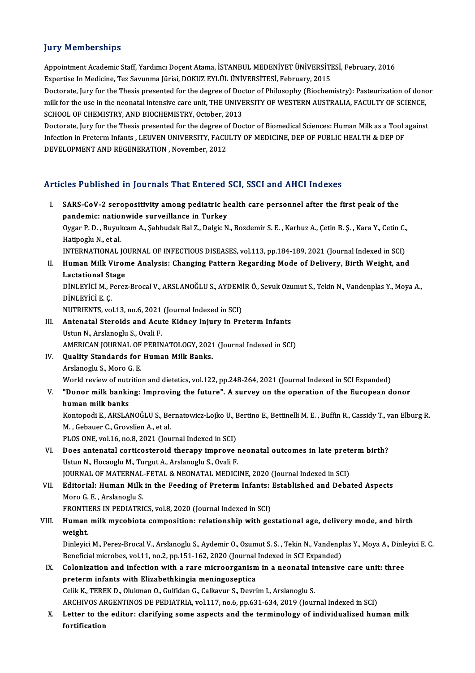### **Jury Memberships**

Jury Memberships<br>Appointment Academic Staff, Yardımcı Doçent Atama, İSTANBUL MEDENİYET ÜNİVERSİTESİ, February, 2016<br>Evnettise In Medisine Ter Sayunma Jürisi, DOKUZ EVLÜL ÜNİVERSİTESİ, February, 2015 Jary Tremberempe<br>Appointment Academic Staff, Yardımcı Doçent Atama, İSTANBUL MEDENİYET ÜNİVERSİTI<br>Expertise In Medicine, Tez Savunma Jürisi, DOKUZ EYLÜL ÜNİVERSİTESİ, February, 2015<br>Destarata Jury for the Thesis presented Appointment Academic Staff, Yardımcı Doçent Atama, İSTANBUL MEDENİYET ÜNİVERSİTESİ, February, 2016<br>Expertise In Medicine, Tez Savunma Jürisi, DOKUZ EYLÜL ÜNİVERSİTESİ, February, 2015<br>Doctorate, Jury for the Thesis presente

Expertise In Medicine, Tez Savunma Jürisi, DOKUZ EYLÜL ÜNİVERSİTESİ, February, 2015<br>Doctorate, Jury for the Thesis presented for the degree of Doctor of Philosophy (Biochemistry): Pasteurization of dono<br>milk for the use in Doctorate, Jury for the Thesis presented for the degree of Doc<br>milk for the use in the neonatal intensive care unit, THE UNIVE<br>SCHOOL OF CHEMISTRY, AND BIOCHEMISTRY, October, 2013<br>Destarate Jury for the Thesis presented fo milk for the use in the neonatal intensive care unit, THE UNIVERSITY OF WESTERN AUSTRALIA, FACULTY OF SCIENCE,<br>SCHOOL OF CHEMISTRY, AND BIOCHEMISTRY, October, 2013<br>Doctorate, Jury for the Thesis presented for the degree of

SCHOOL OF CHEMISTRY, AND BIOCHEMISTRY, October, 2013<br>Doctorate, Jury for the Thesis presented for the degree of Doctor of Biomedical Sciences: Human Milk as a Tool<br>Infection in Preterm Infants , LEUVEN UNIVERSITY, FACULTY Doctorate, Jury for the Thesis presented for the degree o<br>Infection in Preterm Infants , LEUVEN UNIVERSITY, FACU<br>DEVELOPMENT AND REGENERATION , November, 2012

# DEVELOPMENT AND REGENERATION , November, 2012<br>Articles Published in Journals That Entered SCI, SSCI and AHCI Indexes

rticles Published in Journals That Entered SCI, SSCI and AHCI Indexes<br>I. SARS-CoV-2 seropositivity among pediatric health care personnel after the first peak of the<br>pandamis: patianwide surveillance in Turkey pandemic: nationwide surveillance in Turkey<br>pandemic: nationwide surveillance in Turkey<br>Ovgar B. D., Buvulsem A. Sabbudak Bal Z. Dalgie N SARS-CoV-2 seropositivity among pediatric health care personnel after the first peak of the<br>pandemic: nationwide surveillance in Turkey<br>Oygar P. D. , Buyukcam A., Şahbudak Bal Z., Dalgic N., Bozdemir S. E. , Karbuz A., Çet pandemic: nationwide surveillance in Turkey<br>Oygar P. D. , Buyukcam A., Şahbudak Bal Z., Dalgic N., Bozdemir S. E. , Karbuz A., Çetin B. Ş. , Kara Y., Cetin C.<br>Hatipoglu N., et al.<br>INTERNATIONAL JOURNAL OF INFECTIOUS DISEAS Oygar P.D., Buyukcam A., Şahbudak Bal Z., Dalgic N., Bozdemir S. E., Karbuz A., Çetin B. Ş., Kara Y., Cetin C.,

Hatipoglu N., et al.<br>INTERNATIONAL JOURNAL OF INFECTIOUS DISEASES, vol.113, pp.184-189, 2021 (Journal Indexed in SCI)<br>I. Human Milk Virome Analysis: Changing Pattern Regarding Mode of Delivery, Birth Weight, and<br>Laststiona INTERNATIONAL JO<br>Human Milk Viror<br>Lactational Stage<br>Dinu Evici M. Bores Human Milk Virome Analysis: Changing Pattern Regarding Mode of Delivery, Birth Weight, and<br>Lactational Stage<br>DİNLEYİCİ M., Perez-Brocal V., ARSLANOĞLU S., AYDEMİR Ö., Sevuk Ozumut S., Tekin N., Vandenplas Y., Moya A.,<br>DİNL

Lactational Stage<br>DİNLEYİCİ M., Perez-Brocal V., ARSLANOĞLU S., AYDEMİR Ö., Sevuk Ozumut S., Tekin N., Vandenplas Y., Moya A.,<br>DİNLEYİCİ E. C. DİNLEYİCİ M., Perez-Brocal V., ARSLANOĞLU S., AYDEMİ<br>DİNLEYİCİ E. Ç.<br>NUTRIENTS, vol.13, no.6, 2021 (Journal Indexed in SCI)<br>Antenatel Steneids and Asute Kidney Injuny in Pre

- III. Antenatal Steroids and Acute Kidney Injury in Preterm Infants<br>Ustun N., Arslanoglu S., Ovali F. NUTRIENTS, vol.13, no.6, 2021<br>Antenatal Steroids and Acu<br>Ustun N., Arslanoglu S., Ovali F.<br>AMERICAN IOUPNAL OF PEPIN Antenatal Steroids and Acute Kidney Injury in Preterm Infants<br>Ustun N., Arslanoglu S., Ovali F.<br>AMERICAN JOURNAL OF PERINATOLOGY, 2021 (Journal Indexed in SCI)<br>Ouality Standards for Human Milk Banks.
- IV. Quality Standards for Human Milk Banks.<br>Arslanoglu S., Moro G. E. AMERICAN JOURNAL OF<br>**Quality Standards for**<br>Arslanoglu S., Moro G. E.<br>World review of nutritie Quality Standards for Human Milk Banks.<br>Arslanoglu S., Moro G. E.<br>World review of nutrition and dietetics, vol.122, pp.248-264, 2021 (Journal Indexed in SCI Expanded)<br>"Dener milk benking: Impreving the future". A survey on

V. "Donor milk banking: Improving the future". A survey on the operation of the European donor World review of nutr<br>**"Donor milk banki**<br>human milk banks<br>Kontonedi E. ABSLA "Donor milk banking: Improving the future". A survey on the operation of the European donor<br>human milk banks<br>Kontopodi E., ARSLANOĞLU S., Bernatowicz-Lojko U., Bertino E., Bettinelli M. E. , Buffin R., Cassidy T., van Elbu

human milk banks<br>Kontopodi E., ARSLANOĞLU S., Be<br>M. , Gebauer C., Grovslien A., et al.<br>PLOS ONE vol 16, no 8, 2021 (Jou Kontopodi E., ARSLANOĞLU S., Bernatowicz-Lojko U., I<br>M. , Gebauer C., Grovslien A., et al.<br>PLOS ONE, vol.16, no.8, 2021 (Journal Indexed in SCI)<br>Dess antenatel sertiaestaneid thereny impreys

M. , Gebauer C., Grovslien A., et al.<br>PLOS ONE, vol.16, no.8, 2021 (Journal Indexed in SCI)<br>VI. Does antenatal corticosteroid therapy improve neonatal outcomes in late preterm birth?<br>Hetup N. Hessassky M. Turgut A. Arclane PLOS ONE, vol.16, no.8, 2021 (Journal Indexed in SCI)<br>Does antenatal corticosteroid therapy improve i<br>Ustun N., Hocaoglu M., Turgut A., Arslanoglu S., Ovali F.<br>JOUPNAL OF MATERNAL EFTAL & NEONATAL MEDICI Does antenatal corticosteroid therapy improve neonatal outcomes in late prete<br>Ustun N., Hocaoglu M., Turgut A., Arslanoglu S., Ovali F.<br>JOURNAL OF MATERNAL-FETAL & NEONATAL MEDICINE, 2020 (Journal Indexed in SCI)<br>Editorial

Ustun N., Hocaoglu M., Turgut A., Arslanoglu S., Ovali F.<br>JOURNAL OF MATERNAL-FETAL & NEONATAL MEDICINE, 2020 (Journal Indexed in SCI)<br>VII. Editorial: Human Milk in the Feeding of Preterm Infants: Established and Debat JOURNAL OF MATERNAL-FETAL & NEONATAL MEDICINE, 2020 (Journal Indexed in SCI)<br>Editorial: Human Milk in the Feeding of Preterm Infants: Established and Deba<br>Moro G. E., Arslanoglu S.<br>FRONTIERS IN PEDIATRICS, vol.8, 2020 (Jou Editorial: Human Milk in the Feeding of Preterm Infants:<br>Moro G. E. , Arslanoglu S.<br>FRONTIERS IN PEDIATRICS, vol.8, 2020 (Journal Indexed in SCI)<br>Human milk muschiets composition: relationship with 50

Moro G. E. , Arslanoglu S.<br>FRONTIERS IN PEDIATRICS, vol.8, 2020 (Journal Indexed in SCI)<br>VIII. Human milk mycobiota composition: relationship with gestational age, delivery mode, and birth<br>weight FRONTI<br><mark>Human</mark><br>weight.<br><sup>Dinlovic</sub></sup> Human milk mycobiota composition: relationship with gestational age, delivery mode, and birth<br>weight.<br>Dinleyici M., Perez-Brocal V., Arslanoglu S., Aydemir O., Ozumut S. S. , Tekin N., Vandenplas Y., Moya A., Dinleyici E.

weight.<br>Dinleyici M., Perez-Brocal V., Arslanoglu S., Aydemir O., Ozumut S. S. , Tekin N., Vandenplas Y., Moya A., Dinleyici E. C. Beneficial microbes, vol.11, no.2, pp.151-162, 2020 (Journal Indexed in SCI Expanded)

## IX. Colonization and infection with a rare microorganism in a neonatal intensive care unit: three<br>preterm infants with Elizabethkingia meningoseptica CelikK.,TEREKD.,OlukmanO.,GulfidanG.,Calkavur S.,DevrimI.,Arslanoglu S. preterm infants with Elizabethkingia meningoseptica<br>Celik K., TEREK D., Olukman O., Gulfidan G., Calkavur S., Devrim I., Arslanoglu S.<br>ARCHIVOS ARGENTINOS DE PEDIATRIA, vol.117, no.6, pp.631-634, 2019 (Journal Indexed in S Celik K., TEREK D., Olukman O., Gulfidan G., Calkavur S., Devrim I., Arslanoglu S.<br>ARCHIVOS ARGENTINOS DE PEDIATRIA, vol.117, no.6, pp.631-634, 2019 (Journal Indexed in SCI)<br>X. Letter to the editor: clarifying some aspects

ARCHIVOS AI<br><mark>Letter to th</mark><br>fortification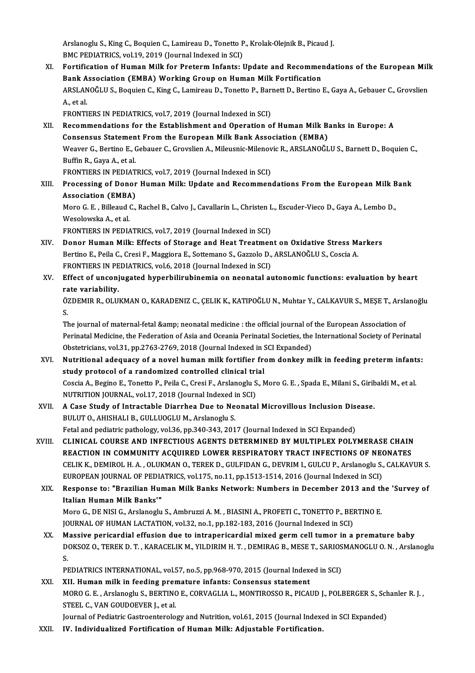Arslanoglu S., King C., Boquien C., Lamireau D., Tonetto P., Krolak-Olejnik B., Picaud J.<br>PMC REDIATRICS, vol.19, 2019 (Jaurnal Indoved in SCL) Arslanoglu S., King C., Boquien C., Lamireau D., Tonetto P<br>BMC PEDIATRICS, vol.19, 2019 (Journal Indexed in SCI)<br>Fortification of Human Milly for Praterm Infanta. I

BMC PEDIATRICS, vol.19, 2019 (Journal Indexed in SCI)<br>XI. Fortification of Human Milk for Preterm Infants: Update and Recommendations of the European Milk BMC PEDIATRICS, vol.19, 2019 (Journal Indexed in SCI)<br>Fortification of Human Milk for Preterm Infants: Update and Recommen<br>Bank Association (EMBA) Working Group on Human Milk Fortification<br>ABSLANOČLUS, Boguian G. King G. L Fortification of Human Milk for Preterm Infants: Update and Recommendations of the European Mill<br>Bank Association (EMBA) Working Group on Human Milk Fortification<br>ARSLANOĞLU S., Boquien C., King C., Lamireau D., Tonetto P. **Bank A<br>ARSLAN<br>A., et al.**<br>ERONTI ARSLANOĞLU S., Boquien C., King C., Lamireau D., Tonetto P., Bar:<br>A., et al.<br>FRONTIERS IN PEDIATRICS, vol.7, 2019 (Journal Indexed in SCI)<br>Bosommondations for the Establishment and Operation o A., et al.<br>FRONTIERS IN PEDIATRICS, vol.7, 2019 (Journal Indexed in SCI)<br>XII. Recommendations for the Establishment and Operation of Human Milk Banks in Europe: A

- Consensus Statement From the European Milk Bank Association (EMBA) Recommendations for the Establishment and Operation of Human Milk Banks in Europe: A<br>Consensus Statement From the European Milk Bank Association (EMBA)<br>Weaver G., Bertino E., Gebauer C., Grovslien A., Mileusnic-Milenovic R **Consensus Statemen<br>Weaver G., Bertino E., (<br>Buffin R., Gaya A., et al.<br>EPONTIEDS IN BEDIAT** Weaver G., Bertino E., Gebauer C., Grovslien A., Mileusnic-Milenov<br>Buffin R., Gaya A., et al.<br>FRONTIERS IN PEDIATRICS, vol.7, 2019 (Journal Indexed in SCI)<br>Processing of Donor Human Milk: Undate and Bosommon Buffin R., Gaya A., et al.<br>FRONTIERS IN PEDIATRICS, vol.7, 2019 (Journal Indexed in SCI)<br>XIII. Processing of Donor Human Milk: Update and Recommendations From the European Milk Bank<br>Association (EMBA)
	-
- FRONTIERS IN PEDIAT<br>Processing of Donor<br>Association (EMBA)<br>More C.E., Pilleoud C. Processing of Donor Human Milk: Update and Recommendations From the European Milk B<br>Association (EMBA)<br>Moro G. E. , Billeaud C., Rachel B., Calvo J., Cavallarin L., Christen L., Escuder-Vieco D., Gaya A., Lembo D.,<br>Wesslow

Association (EMBA)<br>Moro G. E. , Billeaud C., Rachel B., Calvo J., Cavallarin L., Christen I<br>Wesolowska A., et al.<br>FRONTIERS IN PEDIATRICS, vol.7, 2019 (Journal Indexed in SCI) Moro G. E., Billeaud C., Rachel B., Calvo J., Cavallarin L., Christen L., Escuder-Vieco D., Gaya A., Lembo D.,

- Wesolowska A., et al.<br>FRONTIERS IN PEDIATRICS, vol.7, 2019 (Journal Indexed in SCI)<br>XIV. Donor Human Milk: Effects of Storage and Heat Treatment on Oxidative Stress Markers<br>Repring E. Beile G. Cresi E. Maggiore E. Setteman FRONTIERS IN PEDIATRICS, vol.7, 2019 (Journal Indexed in SCI)<br>Donor Human Milk: Effects of Storage and Heat Treatment on Oxidative Stress M:<br>Bertino E., Peila C., Cresi F., Maggiora E., Sottemano S., Gazzolo D., ARSLANOĞLU Donor Human Milk: Effects of Storage and Heat Treatmen<br>Bertino E., Peila C., Cresi F., Maggiora E., Sottemano S., Gazzolo D.,<br>FRONTIERS IN PEDIATRICS, vol.6, 2018 (Journal Indexed in SCI)<br>Effect of unconjugated bynophilinu FRONTIERS IN PEDIATRICS, vol.6, 2018 (Journal Indexed in SCI)
- Bertino E., Peila C., Cresi F., Maggiora E., Sottemano S., Gazzolo D., ARSLANOĞLU S., Coscia A.<br>FRONTIERS IN PEDIATRICS, vol.6, 2018 (Journal Indexed in SCI)<br>XV. Effect of unconjugated hyperbilirubinemia on neonatal autono Effect of unconjugated hyperbilirubinemia on neonatal autonomic functions: evaluation by heart<br>rate variability.<br>ÖZDEMIR R., OLUKMAN O., KARADENIZ C., ÇELIK K., KATIPOĞLU N., Muhtar Y., CALKAVUR S., MEŞE T., Arslanoğlu<br>S

ra<br>Ö.<br>Tl ÖZDEMIR R., OLUKMAN O., KARADENIZ C., ÇELIK K., KATIPOĞLU N., Muhtar Y., CALKAVUR S., MEŞE T., Arsl:<br>S.<br>The journal of maternal-fetal &amp; neonatal medicine : the official journal of the European Association of<br>Perinatal

S.<br>The journal of maternal-fetal &amp; neonatal medicine : the official journal of the European Association of<br>Perinatal Medicine, the Federation of Asia and Oceania Perinatal Societies, the International Society of Perina The journal of maternal-fetal & neonatal medicine : the official journal of the European Association of

- XVI. Nutritional adequacy of a novel human milk fortifier from donkey milk in feeding preterm infants: Obstetricians, vol.31, pp.2763-2769, 2018 (Journal Indexed in S<br>Nutritional adequacy of a novel human milk fortifier free<br>study protocol of a randomized controlled clinical trial<br>Cossia A. Besine E. Tenette B. Beile C. Cre Coscia A., Begino E., Tonetto P., Peila C., Cresi F., Arslanoglu S., Moro G. E. , Spada E., Milani S., Giribaldi M., et al.<br>NUTRITION JOURNAL, vol.17, 2018 (Journal Indexed in SCI) study protocol of a randomized controlled clinical tri<br>Coscia A., Begino E., Tonetto P., Peila C., Cresi F., Arslanoglu S<br>NUTRITION JOURNAL, vol.17, 2018 (Journal Indexed in SCI)<br>A Gose Study of Introstable Diarrhee Due to Coscia A., Begino E., Tonetto P., Peila C., Cresi F., Arslanoglu S., Moro G. E. , Spada E., Milani S., Girit<br>NUTRITION JOURNAL, vol.17, 2018 (Journal Indexed in SCI)<br>XVII. A Case Study of Intractable Diarrhea Due to Neonat
- BULUT O., AHISHALI B., GULLUOGLU M., Arslanoglu S.<br>Fetal and pediatric pathology, vol.36, pp.340-343, 2017 (Journal Indexed in SCI Expanded) A Case Study of Intractable Diarrhea Due to Neonatal Microvillous Inclusion Dise<br>BULUT O., AHISHALI B., GULLUOGLU M., Arslanoglu S.<br>Fetal and pediatric pathology, vol.36, pp.340-343, 2017 (Journal Indexed in SCI Expanded)<br> BULUT O., AHISHALI B., GULLUOGLU M., Arslanoglu S.<br>Fetal and pediatric pathology, vol.36, pp.340-343, 2017 (Journal Indexed in SCI Expanded)<br>XVIII. CLINICAL COURSE AND INFECTIOUS AGENTS DETERMINED BY MULTIPLEX POLYMERASE C
- Fetal and pediatric pathology, vol.36, pp.340-343, 2017 (Journal Indexed in SCI Expanded)<br>CLINICAL COURSE AND INFECTIOUS AGENTS DETERMINED BY MULTIPLEX POLYMERASE CHAIN<br>REACTION IN COMMUNITY ACQUIRED LOWER RESPIRATORY TRAC CLINICAL COURSE AND INFECTIOUS AGENTS DETERMINED BY MULTIPLEX POLYMERASE CHAIN<br>REACTION IN COMMUNITY ACQUIRED LOWER RESPIRATORY TRACT INFECTIONS OF NEONATES<br>CELIK K., DEMIROL H. A. , OLUKMAN O., TEREK D., GULFIDAN G., DEVR REACTION IN COMMUNITY ACQUIRED LOWER RESPIRATORY TRACT INFECTIONS OF NECTLAND CELIK K., DEMIROL H. A. , OLUKMAN O., TEREK D., GULFIDAN G., DEVRIM I., GULCU P., Arslanoglu S., EUROPEAN JOURNAL OF PEDIATRICS, vol.175, no.11, CELIK K., DEMIROL H. A. , OLUKMAN O., TEREK D., GULFIDAN G., DEVRIM I., GULCU P., Arslanoglu S., CALKAVUR S.<br>EUROPEAN JOURNAL OF PEDIATRICS, vol.175, no.11, pp.1513-1514, 2016 (Journal Indexed in SCI)<br>XIX. Response to: "Br
- EUROPEAN JOURNAL OF PEDIA<br>Response to: "Brazilian Hur<br>Italian Human Milk Banks'"<br>More C. DE NISL C. Arclaneglu Response to: "Brazilian Human Milk Banks Network: Numbers in December 2013 and the<br>Italian Human Milk Banks'"<br>Moro G., DE NISI G., Arslanoglu S., Ambruzzi A. M. , BIASINI A., PROFETI C., TONETTO P., BERTINO E.<br>JOUPMAL OF H Italian Human Milk Banks'"<br>Moro G., DE NISI G., Arslanoglu S., Ambruzzi A. M. , BIASINI A., PROFETI C., TONETTO P., BERTINO E.<br>JOURNAL OF HUMAN LACTATION, vol.32, no.1, pp.182-183, 2016 (Journal Indexed in SCI)

XX. Massive pericardial effusion due to intrapericardial mixed germ cell tumor in a premature baby JOURNAL OF HUMAN LACTATION, vol.32, no.1, pp.182-183, 2016 (Journal Indexed in SCI)<br>Massive pericardial effusion due to intrapericardial mixed germ cell tumor in a premature baby<br>DOKSOZ O., TEREK D. T. , KARACELIK M., YILD M<br>D<br>D.J DOKSOZ O., TEREK D. T. , KARACELIK M., YILDIRIM H. T. , DEMIRAG B., MESE T., SARIOS<br>S.<br>PEDIATRICS INTERNATIONAL, vol.57, no.5, pp.968-970, 2015 (Journal Indexed in SCI)<br>VIL Human milk in fooding promoture infonte: Consensu S.<br>PEDIATRICS INTERNATIONAL, vol.57, no.5, pp.968-970, 2015 (Journal Indexed in SCI)<br>XXI. XII. Human milk in feeding premature infants: Consensus statement

PEDIATRICS INTERNATIONAL, vol.57, no.5, pp.968-970, 2015 (Journal Indexed in SCI)<br>XII. Human milk in feeding premature infants: Consensus statement<br>MORO G. E. , Arslanoglu S., BERTINO E., CORVAGLIA L., MONTIROSSO R., PICAU XII. Human milk in feeding prer<br>MORO G.E., Arslanoglu S., BERTINC<br>STEEL C., VAN GOUDOEVER J., et al.<br>Journal of Bodiatric Costroonterele MORO G. E. , Arslanoglu S., BERTINO E., CORVAGLIA L., MONTIROSSO R., PICAUD J., POLBERGER S., Sch<br>STEEL C., VAN GOUDOEVER J., et al.<br>Journal of Pediatric Gastroenterology and Nutrition, vol.61, 2015 (Journal Indexed in SCI STEEL C., VAN GOUDOEVER J., et al.<br>Journal of Pediatric Gastroenterology and Nutrition, vol.61, 2015 (Journal Indexed in SCI Expanded)<br>XXII. IV. Individualized Fortification of Human Milk: Adjustable Fortification.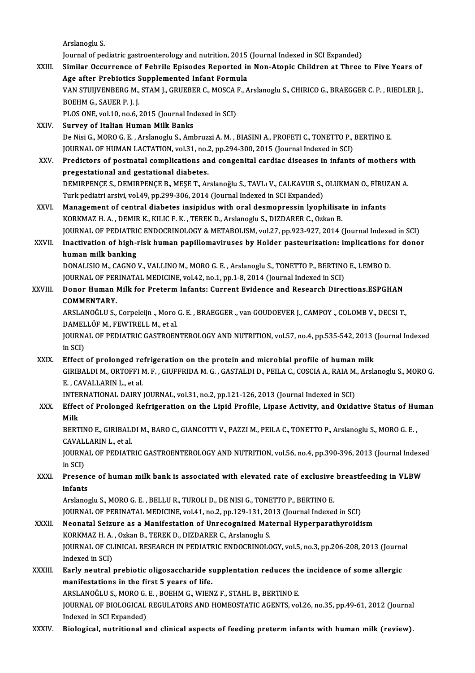Arslanoglu S.

Journal of pediatric gastroenterology and nutrition, 2015 (Journal Indexed in SCI Expanded)

- XXIII. Similar Occurrence of Febrile Episodes Reported in Non-Atopic Children at Three to Five Years of Journal of pediatric gastroenterology and nutrition, 2015<br>Similar Occurrence of Febrile Episodes Reported in<br>Age after Prebiotics Supplemented Infant Formula<br>VAN STUIVENBERC M. STAM L. CRUEBER G. MOSCA E. A Similar Occurrence of Febrile Episodes Reported in Non-Atopic Children at Three to Five Years of<br>Age after Prebiotics Supplemented Infant Formula<br>VAN STUIJVENBERG M., STAM J., GRUEBER C., MOSCA F., Arslanoglu S., CHIRICO G Age after Prebiotics<br>VAN STUIJVENBERG M.,<br>BOEHM G., SAUER P. J. J.<br>PLOS ONE VOL10, po 6 . VAN STUIJVENBERG M., STAM J., GRUEBER C., MOSCA I<br>BOEHM G., SAUER P. J. J.<br>PLOS ONE, vol.10, no.6, 2015 (Journal Indexed in SCI)<br>Survey of Italian Human Milk Banks BOEHM G., SAUER P. J. J.<br>PLOS ONE, vol.10, no.6, 2015 (Journal Indexed in SCI)<br>XXIV. Survey of Italian Human Milk Banks De Nisi G., MORO G. E., Arslanoglu S., Ambruzzi A. M., BIASINI A., PROFETI C., TONETTO P., BERTINO E. Survey of Italian Human Milk Banks<br>De Nisi G., MORO G. E. , Arslanoglu S., Ambruzzi A. M. , BIASINI A., PROFETI C., TONETTO P., .<br>JOURNAL OF HUMAN LACTATION, vol.31, no.2, pp.294-300, 2015 (Journal Indexed in SCI)<br>Predisto XXV. Predictors of postnatal complications and congenital cardiac diseases in infants of mothers with pregestational and gestational diabetes. JOURNAL OF HUMAN LACTATION, vol.31, no.2<br>Predictors of postnatal complications an<br>pregestational and gestational diabetes.<br>DEMIPPENCES, DEMIPPENCE P. MESE T. AT DEMIRPENÇE S., DEMIRPENÇE B., MEŞE T., Arslanoğlu S., TAVLı V., CALKAVUR S., OLUKMAN O., FİRUZAN A. Turk pediatri arsivi, vol.49, pp.299-306, 2014 (Journal Indexed in SCI Expanded) XXVI. Management of central diabetes insipidus with oral desmopressin lyophilisate in infants KORKMAZ H. A., DEMIR K., KILIC F. K., TEREK D., Arslanoglu S., DIZDARER C., Ozkan B. Management of central diabetes insipidus with oral desmopressin lyophilisate in infants<br>KORKMAZ H. A. , DEMIR K., KILIC F. K. , TEREK D., Arslanoglu S., DIZDARER C., Ozkan B.<br>JOURNAL OF PEDIATRIC ENDOCRINOLOGY & METABOLISM XXVII. Inactivation of high-risk human papillomaviruses by Holder pasteurization: implications for donor<br>human milk banking **JOURNAL OF PEDIATRI<br>Inactivation of high-l<br>human milk banking<br>DONALISIOM CACNO** Inactivation of high-risk human papillomaviruses by Holder pasteurization: implications f<br>human milk banking<br>DONALISIO M., CAGNO V., VALLINO M., MORO G. E. , Arslanoglu S., TONETTO P., BERTINO E., LEMBO D.<br>JOUPMAL OF PERIM human milk banking<br>DONALISIO M., CAGNO V., VALLINO M., MORO G. E. , Arslanoglu S., TONETTO P., BERTINC<br>JOURNAL OF PERINATAL MEDICINE, vol.42, no.1, pp.1-8, 2014 (Journal Indexed in SCI)<br>Donor Human Milk for Protorm Infants DONALISIO M., CAGNO V., VALLINO M., MORO G. E. , Arslanoglu S., TONETTO P., BERTINO E., LEMBO D.<br>JOURNAL OF PERINATAL MEDICINE, vol.42, no.1, pp.1-8, 2014 (Journal Indexed in SCI)<br>XXVIII. Donor Human Milk for Preterm I JOURNAL OF PERINATAL MEDICINE, vol.42, no.1, pp.1-8, 2014 (Journal Indexed in SCI)<br>Donor Human Milk for Preterm Infants: Current Evidence and Research Directions.ESPGHAN<br>COMMENTARY. Donor Human Milk for Preterm Infants: Current Evidence and Research Directions.ESPGHAN<br>COMMENTARY.<br>ARSLANOĞLU S., Corpeleijn ., Moro G. E. , BRAEGGER ., van GOUDOEVER J., CAMPOY ., COLOMB V., DECSI T.,<br>DAMELLÖE M. EEWTPELL COMMENTARY.<br>ARSLANOĞLU S., Corpeleijn ., Moro<br>DAMELLÖF M., FEWTRELL M., et al.<br>JOUPNAL OF PEDIATPIC CASTROFN ARSLANOĞLU S., Corpeleijn ., Moro G. E. , BRAEGGER ., van GOUDOEVER J., CAMPOY ., COLOMB V., DECSI T.,<br>DAMELLÖF M., FEWTRELL M., et al.<br>JOURNAL OF PEDIATRIC GASTROENTEROLOGY AND NUTRITION, vol.57, no.4, pp.535-542, 2013 (J DAMEL<br>JOURNA<br>in SCI)<br>Effect JOURNAL OF PEDIATRIC GASTROENTEROLOGY AND NUTRITION, vol.57, no.4, pp.535-542, 2013 (<br>in SCI)<br>XXIX. Effect of prolonged refrigeration on the protein and microbial profile of human milk<br>CIBIPALDI M. OPTOEELM E. CUIEEPIDA M. in SCI)<br>Effect of prolonged refrigeration on the protein and microbial profile of human milk<br>GIRIBALDI M., ORTOFFI M. F. , GIUFFRIDA M. G. , GASTALDI D., PEILA C., COSCIA A., RAIA M., Arslanoglu S., MORO G.<br>E. .CAVALLARIN Effect of prolonged re<br>GIRIBALDI M., ORTOFFI I<br>E. , CAVALLARIN L., et al.<br>INTERNATIONAL DAIRY GIRIBALDI M., ORTOFFI M. F. , GIUFFRIDA M. G. , GASTALDI D., PEILA C., COSCIA A., RAIA M.<br>E. , CAVALLARIN L., et al.<br>INTERNATIONAL DAIRY JOURNAL, vol.31, no.2, pp.121-126, 2013 (Journal Indexed in SCI)<br>Effect of Prolonged E. , CAVALLARIN L., et al.<br>INTERNATIONAL DAIRY JOURNAL, vol.31, no.2, pp.121-126, 2013 (Journal Indexed in SCI)<br>XXX. Effect of Prolonged Refrigeration on the Lipid Profile, Lipase Activity, and Oxidative Status of Huma INTE<mark>l</mark><br>Effec<br>Milk<br>PEPT Effect of Prolonged Refrigeration on the Lipid Profile, Lipase Activity, and Oxidative Status of Hu<br>Milk<br>BERTINO E., GIRIBALDI M., BARO C., GIANCOTTI V., PAZZI M., PEILA C., TONETTO P., Arslanoglu S., MORO G. E. ,<br>CAVALLAP Milk<br>BERTINO E., GIRIBALI<br>CAVALLARIN L., et al.<br>JOUPNAL OF PEDIATI BERTINO E., GIRIBALDI M., BARO C., GIANCOTTI V., PAZZI M., PEILA C., TONETTO P., Arslanoglu S., MORO G. E. ,<br>CAVALLARIN L., et al.<br>JOURNAL OF PEDIATRIC GASTROENTEROLOGY AND NUTRITION, vol.56, no.4, pp.390-396, 2013 (Journa CAVALLARIN L., et al.<br>JOURNAL OF PEDIATRIC GASTROENTEROLOGY AND NUTRITION, vol.56, no.4, pp.390-396, 2013 (Journal Indexed<br>in SCI) JOURNAL OF PEDIATRIC GASTROENTEROLOGY AND NUTRITION, vol.56, no.4, pp.390-396, 2013 (Journal Indexe<br>in SCI)<br>XXXI. Presence of human milk bank is associated with elevated rate of exclusive breastfeeding in VLBW<br>infants in SCI)<br>Presend<br>infants<br>Arslange Presence of human milk bank is associated with elevated rate of exclusive<br>infants<br>Arslanoglu S., MORO G. E. , BELLU R., TUROLI D., DE NISI G., TONETTO P., BERTINO E.<br>JOUPMAL OF PERIMATAL MEDICINE vol.41, no.2, nn.129,121, infants<br>Arslanoglu S., MORO G. E. , BELLU R., TUROLI D., DE NISI G., TONETTO P., BERTINO E.<br>JOURNAL OF PERINATAL MEDICINE, vol.41, no.2, pp.129-131, 2013 (Journal Indexed in SCI) Arslanoglu S., MORO G. E. , BELLU R., TUROLI D., DE NISI G., TONETTO P., BERTINO E.<br>JOURNAL OF PERINATAL MEDICINE, vol.41, no.2, pp.129-131, 2013 (Journal Indexed in SCI)<br>XXXII. Neonatal Seizure as a Manifestation of Unrec JOURNAL OF PERINATAL MEDICINE, vol.41, no.2, pp.129-131, 20<br>Neonatal Seizure as a Manifestation of Unrecognized Mat<br>KORKMAZ H. A., Ozkan B., TEREK D., DIZDARER C., Arslanoglu S.<br>JOURNAL OF CLINICAL RESEARCH IN REDIATRIC EN Neonatal Seizure as a Manifestation of Unrecognized Maternal Hyperparathyroidism<br>KORKMAZ H. A. , Ozkan B., TEREK D., DIZDARER C., Arslanoglu S.<br>JOURNAL OF CLINICAL RESEARCH IN PEDIATRIC ENDOCRINOLOGY, vol.5, no.3, pp.206-2 KORKMAZ H. A. , Ozkan B., TEREK D., DIZDARER C., Arslanoglu S.<br>JOURNAL OF CLINICAL RESEARCH IN PEDIATRIC ENDOCRINOLOGY, vol.5, no.3, pp.206-208, 2013 (Journal<br>Indexed in SCI) JOURNAL OF CLINICAL RESEARCH IN PEDIATRIC ENDOCRINOLOGY, vol.5, no.3, pp.206-208, 2013 (Journal<br>Indexed in SCI)<br>XXXIII. Early neutral prebiotic oligosaccharide supplentation reduces the incidence of some allergic<br>manifesta manifestations in the first 5 years of life. Early neutral prebiotic oligosaccharide supplentation reduces th<br>manifestations in the first 5 years of life.<br>ARSLANOĞLU S., MORO G. E. , BOEHM G., WIENZ F., STAHL B., BERTINO E.<br>JOUPMAL OF PIOLOCICAL BECHLATORS AND HOMEOS JOURNAL OF BIOLOGICAL REGULATORS AND HOMEOSTATIC AGENTS, vol.26, no.35, pp.49-61, 2012 (Journal Indexed in SCI Expanded) ARSLANOĞLU S., MORO G. E., BOEHM G., WIENZ F., STAHL B., BERTINO E.
- XXXIV. Biological, nutritional and clinical aspects of feeding preterm infants with human milk (review).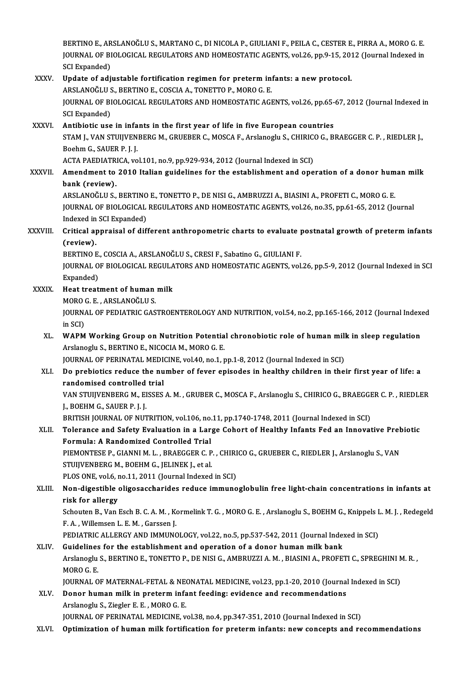BERTINO E., ARSLANOĞLU S., MARTANO C., DI NICOLA P., GIULIANI F., PEILA C., CESTER E., PIRRA A., MORO G. E. BERTINO E., ARSLANOĞLU S., MARTANO C., DI NICOLA P., GIULIANI F., PEILA C., CESTER E., PIRRA A., MORO G. E.<br>JOURNAL OF BIOLOGICAL REGULATORS AND HOMEOSTATIC AGENTS, vol.26, pp.9-15, 2012 (Journal Indexed in BERTINO E., AR<br>JOURNAL OF BI<br>SCI Expanded)<br>Undate of adi JOURNAL OF BIOLOGICAL REGULATORS AND HOMEOSTATIC AGENTS, vol.26, pp.9-15, 201<br>SCI Expanded)<br>XXXV. Update of adjustable fortification regimen for preterm infants: a new protocol.

# SCI Expanded)<br>Update of adjustable fortification regimen for preterm in:<br>ARSLANOĞLU S., BERTINO E., COSCIA A., TONETTO P., MORO G. E.<br>JOUPNAL OF PIOLOCICAL PECULATORS AND HOMEOSTATIC ACI Update of adjustable fortification regimen for preterm infants: a new protocol.<br>ARSLANOĞLU S., BERTINO E., COSCIA A., TONETTO P., MORO G. E.<br>JOURNAL OF BIOLOGICAL REGULATORS AND HOMEOSTATIC AGENTS, vol.26, pp.65-67, 2012 ( ARSLANOĞLU S<br>JOURNAL OF BI<br>SCI Expanded)<br>Antibiotic use JOURNAL OF BIOLOGICAL REGULATORS AND HOMEOSTATIC AGENTS, vol.26, pp.65-<br>SCI Expanded)<br>XXXVI. Antibiotic use in infants in the first year of life in five European countries<br>STAM J VAN STUIVENEER (M. CRUERER G. MOSCA E. Arsi

## SCI Expanded)<br>Antibiotic use in infants in the first year of life in five European countries<br>STAM J., VAN STUIJVENBERG M., GRUEBER C., MOSCA F., Arslanoglu S., CHIRICO G., BRAEGGER C. P. , RIEDLER J.,<br>Boobm C. SAUER R. J. Antibiotic use in infa<br>STAM J., VAN STUIJVEN<br>Boehm G., SAUER P. J. J.<br>ACTA BAEDIATBICA .vo STAM J., VAN STUIJVENBERG M., GRUEBER C., MOSCA F., Arslanoglu S., CHIRIC<br>Boehm G., SAUER P. J. J.<br>ACTA PAEDIATRICA, vol.101, no.9, pp.929-934, 2012 (Journal Indexed in SCI)<br>Amendment to 2010 Italian guidelines for the est Boehm G., SAUER P. J. J.<br>ACTA PAEDIATRICA, vol.101, no.9, pp.929-934, 2012 (Journal Indexed in SCI)<br>XXXVII. Amendment to 2010 Italian guidelines for the establishment and operation of a donor human milk

# bank (review). Amendment to 2010 Italian guidelines for the establishment and operation of a donor hum<br>bank (review).<br>ARSLANOĞLU S., BERTINO E., TONETTO P., DE NISI G., AMBRUZZI A., BIASINI A., PROFETI C., MORO G. E.<br>JOUPMAL OF PIOLOCICA

JOURNAL OF BIOLOGICAL REGULATORS AND HOMEOSTATIC AGENTS, vol.26, no.35, pp.61-65, 2012 (Journal Indexed in SCI Expanded) ARSLANOĞLU S., BERTINO<br>JOURNAL OF BIOLOGICAL<br>Indexed in SCI Expanded)<br>Critical approisal of dif JOURNAL OF BIOLOGICAL REGULATORS AND HOMEOSTATIC AGENTS, vol.26, no.35, pp.61-65, 2012 (Journal<br>Indexed in SCI Expanded)<br>XXXVIII. Critical appraisal of different anthropometric charts to evaluate postnatal growth of preter

# Indexed in<br>Critical a<sub>l</sub><br>(review).<br>PERTINO E Critical appraisal of different anthropometric charts to evaluate <sub>I</sub><br>(review).<br>BERTINO E., COSCIA A., ARSLANOĞLU S., CRESI F., Sabatino G., GIULIANI F.<br>JOUPNAL OF PIOLOCICAL BECHLATOPS AND HOMEOSTATIC ACENTS, vol

(review).<br>BERTINO E., COSCIA A., ARSLANOĞLU S., CRESI F., Sabatino G., GIULIANI F.<br>JOURNAL OF BIOLOGICAL REGULATORS AND HOMEOSTATIC AGENTS, vol.26, pp.5-9, 2012 (Journal Indexed in SCI<br>Evnanded) BERTINO E.<br>JOURNAL O<br>Expanded)<br>Heat treat JOURNAL OF BIOLOGICAL REGULA<br>Expanded)<br>XXXIX. Heat treatment of human milk<br>MOBO C E ABSLANOČIJI S

# Expanded)<br>Heat treatment of human milk<br>MORO G. E. , ARSLANOĞLU S.

Heat treatment of human milk<br>MORO G. E. , ARSLANOĞLU S.<br>JOURNAL OF PEDIATRIC GASTROENTEROLOGY AND NUTRITION, vol.54, no.2, pp.165-166, 2012 (Journal Indexed<br>in SCD MORO<br>JOURNA<br>in SCI)<br>WARM JOURNAL OF PEDIATRIC GASTROENTEROLOGY AND NUTRITION, vol.54, no.2, pp.165-166, 2012 (Journal Index<br>in SCI)<br>XL. WAPM Working Group on Nutrition Potential chronobiotic role of human milk in sleep regulation<br>Archanocly S. RER

# in SCI)<br>WAPM Working Group on Nutrition Potentia<br>Arslanoglu S., BERTINO E., NICOCIA M., MORO G. E.<br>JOUPMAL OF PERINATAL MEDICINE vol 40 no 1 r WAPM Working Group on Nutrition Potential chronobiotic role of human mill<br>Arslanoglu S., BERTINO E., NICOCIA M., MORO G. E.<br>JOURNAL OF PERINATAL MEDICINE, vol.40, no.1, pp.1-8, 2012 (Journal Indexed in SCI)<br>De prebioties r

# Arslanoglu S., BERTINO E., NICOCIA M., MORO G. E.<br>JOURNAL OF PERINATAL MEDICINE, vol.40, no.1, pp.1-8, 2012 (Journal Indexed in SCI)<br>XLI. Do prebiotics reduce the number of fever episodes in healthy children in their first JOURNAL OF PERINATAL MEDI<br>Do prebiotics reduce the nu<br>randomised controlled trial<br>VAN STUUVENBEDC M-EISSES Do prebiotics reduce the number of fever episodes in healthy children in their first year of life: a<br>randomised controlled trial<br>VAN STUIJVENBERG M., EISSES A. M. , GRUBER C., MOSCA F., Arslanoglu S., CHIRICO G., BRAEGGER

randomised controlled trial<br>VAN STUIJVENBERG M., EISSES A. M. , GRUBER C., MOSCA F., Arslanoglu S., CHIRICO G., BRAEGGER C. P. , RIEDLER<br>J., BOEHM G., SAUER P. J. J. VAN STUIJVENBERG M., EISSES A. M. , GRUBER C., MOSCA F., Arslanoglu S., CHIRICO G., BRAEGGI<br>J., BOEHM G., SAUER P. J. J.<br>BRITISH JOURNAL OF NUTRITION, vol.106, no.11, pp.1740-1748, 2011 (Journal Indexed in SCI)<br>Telerange a

# J., BOEHM G., SAUER P. J. J.<br>BRITISH JOURNAL OF NUTRITION, vol.106, no.11, pp.1740-1748, 2011 (Journal Indexed in SCI)<br>XLII. Tolerance and Safety Evaluation in a Large Cohort of Healthy Infants Fed an Innovative Prebio BRITISH JOURNAL OF NUTRITION, vol.106, no.<br>Tolerance and Safety Evaluation in a Lar<br>Formula: A Randomized Controlled Trial<br>PIEMONTESE B. CIANNI M.J. - PRAECCER C. R Tolerance and Safety Evaluation in a Large Cohort of Healthy Infants Fed an Innovative Preb<br>Formula: A Randomized Controlled Trial<br>PIEMONTESE P., GIANNI M. L. , BRAEGGER C. P. , CHIRICO G., GRUEBER C., RIEDLER J., Arslanog

Formula: A Randomized Controlled Trial<br>PIEMONTESE P., GIANNI M. L. , BRAEGGER C. P. , CHIRICO G., GRUEBER C., RIEDLER J., Arslanoglu S., VAN<br>STUIJVENBERG M., BOEHM G., JELINEK J., et al. PIEMONTESE P., GIANNI M. L. , BRAEGGER C. P. , CHIRI<br>STUIJVENBERG M., BOEHM G., JELINEK J., et al.<br>PLOS ONE, vol.6, no.11, 2011 (Journal Indexed in SCI)<br>Non-digestible eligesessbarides reduce immune

# XLIII. Non-digestible oligosaccharides reduce immunoglobulin free light-chain concentrations in infants at risk for allergy PLOS ONE, vol.6, r<br>Non-digestible<br>risk for allergy<br>Schouton P. Van l Non-digestible oligosaccharides reduce immunoglobulin free light-chain concentrations in infants at<br>risk for allergy<br>Schouten B., Van Esch B. C. A. M. , Kormelink T. G. , MORO G. E. , Arslanoglu S., BOEHM G., Knippels L. M

risk for allergy<br>Schouten B., Van Esch B. C. A. M. , Ko<br>F. A. , Willemsen L. E. M. , Garssen J.<br>REDIATRIC ALLERCY AND IMMING Schouten B., Van Esch B. C. A. M. , Kormelink T. G. , MORO G. E. , Arslanoglu S., BOEHM G., Knippels I<br>F. A. , Willemsen L. E. M. , Garssen J.<br>PEDIATRIC ALLERGY AND IMMUNOLOGY, vol.22, no.5, pp.537-542, 2011 (Journal Index

# F. A., Willemsen L. E. M., Garssen J.<br>PEDIATRIC ALLERGY AND IMMUNOLOGY, vol.22, no.5, pp.537-542, 2011 (Journal Index<br>XLIV. Guidelines for the establishment and operation of a donor human milk bank PEDIATRIC ALLERGY AND IMMUNOLOGY, vol.22, no.5, pp.537-542, 2011 (Journal Indexed in SCI)<br>Guidelines for the establishment and operation of a donor human milk bank<br>Arslanoglu S., BERTINO E., TONETTO P., DE NISI G., AMBRUZZ **Guidelines<br>Arslanoglu<br>MORO G. E.<br>JOUPNAL O** Arslanoglu S., BERTINO E., TONETTO P., DE NISI G., AMBRUZZI A. M. , BIASINI A., PROFETI C., SPREGHINI N<br>MORO G. E.<br>JOURNAL OF MATERNAL-FETAL & NEONATAL MEDICINE, vol.23, pp.1-20, 2010 (Journal Indexed in SCI)<br>Donor human m MORO G. E.<br>JOURNAL OF MATERNAL-FETAL & NEONATAL MEDICINE, vol.23, pp.1-20, 2010 (Journal)<br>XLV. Donor human milk in preterm infant feeding: evidence and recommendations<br>Archaechy & Zieclen E. E. MORO G. E.

# **JOURNAL OF MATERNAL-FETAL & NE<br>Donor human milk in preterm infa<br>Arslanoglu S., Ziegler E. E. , MORO G. E.<br>JOURNAL OF PERINATAL MEDICINE.** Arslanoglu S., Ziegler E. E. , MORO G. E.<br>JOURNAL OF PERINATAL MEDICINE, vol.38, no.4, pp.347-351, 2010 (Journal Indexed in SCI)

### XLVI. Optimization of human milk fortification for preterm infants: new concepts and recommendations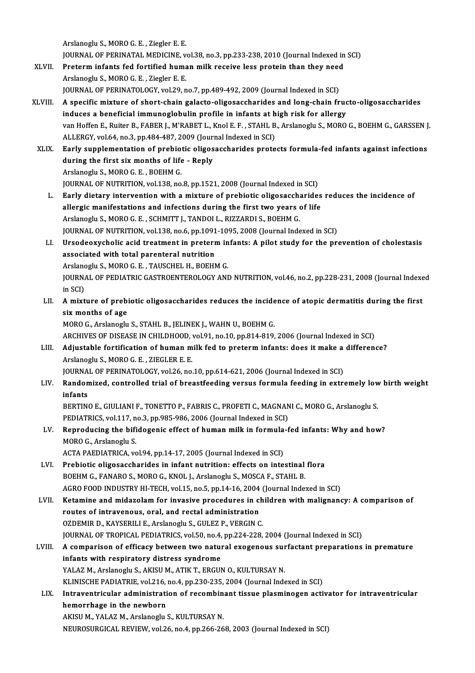Arslanoglu S.,MOROG.E. ,Ziegler E.E.

Arslanoglu S., MORO G. E. , Ziegler E. E.<br>JOURNAL OF PERINATAL MEDICINE, vol.38, no.3, pp.233-238, 2010 (Journal Indexed in SCI)<br>Preterm infants fed fartified human mill: neseive less pretein than they need.

- Arslanoglu S., MORO G. E. , Ziegler E. E.<br>JOURNAL OF PERINATAL MEDICINE, vol.38, no.3, pp.233-238, 2010 (Journal Indexed in<br>XLVII. Preterm infants fed fortified human milk receive less protein than they need<br>Arslangsly S. **JOURNAL OF PERINATAL MEDICINE, v<br>Preterm infants fed fortified huma<br>Arslanoglu S., MORO G. E. , Ziegler E. E.<br>JOURNAL OF PERINATOLOCY, vol 20. p** Preterm infants fed fortified human milk receive less protein than they need<br>Arslanoglu S., MORO G. E. , Ziegler E. E.<br>JOURNAL OF PERINATOLOGY, vol.29, no.7, pp.489-492, 2009 (Journal Indexed in SCI)
- Arslanoglu S., MORO G. E. , Ziegler E. E.<br>JOURNAL OF PERINATOLOGY, vol.29, no.7, pp.489-492, 2009 (Journal Indexed in SCI)<br>XLVIII. A specific mixture of short-chain galacto-oligosaccharides and long-chain fructo-oligosacch JOURNAL OF PERINATOLOGY, vol.29, no.7, pp.489-492, 2009 (Journal Indexed in SCI)<br>A specific mixture of short-chain galacto-oligosaccharides and long-chain fruc<br>induces a beneficial immunoglobulin profile in infants at high van Hoffen E., Ruiter B., FABER J., M'RABET L., Knol E. F. , STAHL B., Arslanoglu S., MORO G., BOEHM G., GARSSEN J.<br>ALLERGY. vol.64. no.3. pp.484-487. 2009 (Journal Indexed in SCI) induces a beneficial immunoglobulin profile in infants at high risk for allergy van Hoffen E., Ruiter B., FABER J., M'RABET L., Knol E. F. , STAHL B., Arslanoglu S., MORO G., BOEHM G., GARSSEN J<br>ALLERGY, vol.64, no.3, pp.484-487, 2009 (Journal Indexed in SCI)<br>XLIX. Early supplementation of prebiotic o
- ALLERGY, vol.64, no.3, pp.484-487, 2009 (Journ<br>Early supplementation of prebiotic oligos<br>during the first six months of life Reply<br>Arslangsly S. MORO C.E., POEUM C. Early supplementation of prebio<br>during the first six months of life<br>Arslanoglu S., MORO G. E. , BOEHM G.<br>JOUPMAL OF NUTRUTION vol.128, no during the first six months of life - Reply<br>Arslanoglu S., MORO G. E. , BOEHM G.<br>JOURNAL OF NUTRITION, vol.138, no.8, pp.1521, 2008 (Journal Indexed in SCI) Arslanoglu S., MORO G. E. , BOEHM G.<br>JOURNAL OF NUTRITION, vol.138, no.8, pp.1521, 2008 (Journal Indexed in SCI)<br>L. Early dietary intervention with a mixture of prebiotic oligosaccharides reduces the incidence of<br>alloggie
	- JOURNAL OF NUTRITION, vol.138, no.8, pp.1521, 2008 (Journal Indexed in SCI)<br>Early dietary intervention with a mixture of prebiotic oligosaccharides<br>allergic manifestations and infections during the first two years of life<br> Early dietary intervention with a mixture of prebiotic oligosacch:<br>allergic manifestations and infections during the first two years (<br>Arslanoglu S., MORO G. E. , SCHMITT J., TANDOI L., RIZZARDI S., BOEHM G.<br>JOURNAL OF NUT allergic manifestations and infections during the first two years of life<br>Arslanoglu S., MORO G. E. , SCHMITT J., TANDOI L., RIZZARDI S., BOEHM G.<br>JOURNAL OF NUTRITION, vol.138, no.6, pp.1091-1095, 2008 (Journal Indexed in Arslanoglu S., MORO G. E. , SCHMITT J., TANDOI L., RIZZARDI S., BOEHM G.<br>JOURNAL OF NUTRITION, vol.138, no.6, pp.1091-1095, 2008 (Journal Indexed in SCI)<br>LI. Ursodeoxycholic acid treatment in preterm infants: A pilot study
	- JOURNAL OF NUTRITION, vol.138, no.6, pp.1091<br>Ursodeoxycholic acid treatment in preterr<br>associated with total parenteral nutrition<br>Arelangely S. MORO G.E., TAUSCHEL H. BOEHN Ursodeoxycholic acid treatment in preterm in<br>associated with total parenteral nutrition<br>Arslanoglu S., MORO G. E. , TAUSCHEL H., BOEHM G.<br>JOURNAL OF PEDIATRIC CASTROENTEROLOCY ANI associated with total parenteral nutrition<br>Arslanoglu S., MORO G. E. , TAUSCHEL H., BOEHM G.<br>JOURNAL OF PEDIATRIC GASTROENTEROLOGY AND NUTRITION, vol.46, no.2, pp.228-231, 2008 (Journal Indexed<br>in SCI) Arslanoglu S., MORO G. E., TAUSCHEL H., BOEHM G.
	- JOURNAL OF PEDIATRIC GASTROENTEROLOGY AND NUTRITION, vol.46, no.2, pp.228-231, 2008 (Journal Indexe<br>in SCI)<br>LII. A mixture of prebiotic oligosaccharides reduces the incidence of atopic dermatitis during the first<br>six month in SCI)<br>A mixture of prebi<br>six months of age<br>MOBO C. Arclanegly A mixture of prebiotic oligosaccharides reduces the incide<br>six months of age<br>MORO G., Arslanoglu S., STAHL B., JELINEK J., WAHN U., BOEHM G.<br>ARCHIVES OF DISEASE IN CHU DHOOD, vol.91, pp.910, pp.914, 919. six months of age<br>MORO G., Arslanoglu S., STAHL B., JELINEK J., WAHN U., BOEHM G.<br>ARCHIVES OF DISEASE IN CHILDHOOD, vol.91, no.10, pp.814-819, 2006 (Journal Indexed in SCI)<br>Adjustable fortification of buman milk fod to pro

MORO G., Arslanoglu S., STAHL B., JELINEK J., WAHN U., BOEHM G.<br>ARCHIVES OF DISEASE IN CHILDHOOD, vol.91, no.10, pp.814-819, 2006 (Journal Indexed in SCI)<br>LIII. Adjustable fortification of human milk fed to preterm infants ARCHIVES OF DISEASE IN CHILDHOOD,<br>Adjustable fortification of human m<br>Arslanoglu S., MORO G. E. , ZIEGLER E. E.<br>JOURNAL OF PERINATOLOCY vol 26 no Adjustable fortification of human milk fed to preterm infants: does it make a<br>Arslanoglu S., MORO G. E. , ZIEGLER E. E.<br>JOURNAL OF PERINATOLOGY, vol.26, no.10, pp.614-621, 2006 (Journal Indexed in SCI)<br>Pendemised, controll

# LIV. Randomized, controlled trial of breastfeeding versus formula feeding in extremely low birth weight infants **JOURNA**<br><mark>Randon</mark><br>infants<br>PEPTIM Randomized, controlled trial of breastfeeding versus formula feeding in extremely low<br>infants<br>BERTINO E., GIULIANI F., TONETTO P., FABRIS C., PROFETI C., MAGNANI C., MORO G., Arslanoglu S.<br>PERLATRICS vol.117 no.2, nn.985,9

infants<br>BERTINO E., GIULIANI F., TONETTO P., FABRIS C., PROFETI C., MAGNAN<br>PEDIATRICS, vol.117, no.3, pp.985-986, 2006 (Journal Indexed in SCI)<br>Bennedusing the bifidegenis effect of human mill; in formula f BERTINO E., GIULIANI F., TONETTO P., FABRIS C., PROFETI C., MAGNANI C., MORO G., Arslanoglu S.<br>PEDIATRICS, vol.117, no.3, pp.985-986, 2006 (Journal Indexed in SCI)<br>LV. Reproducing the bifidogenic effect of human milk in fo

# PEDIATRICS, vol.117, n<br>Reproducing the bifi<br>MORO G., Arslanoglu S.<br>ACTA PAEDIATRICA, vo Reproducing the bifidogenic effect of human milk in formula<br>MORO G., Arslanoglu S.<br>ACTA PAEDIATRICA, vol.94, pp.14-17, 2005 (Journal Indexed in SCI)<br>Probiatis alizosascharidas in infant putrition: effects on inte MORO G., Arslanoglu S.<br>ACTA PAEDIATRICA, vol.94, pp.14-17, 2005 (Journal Indexed in SCI)<br>LVI. Prebiotic oligosaccharides in infant nutrition: effects on intestinal flora

BOEHM G., FANARO S., MORO G., KNOL J., Arslanoglu S., MOSCA F., STAHL B. AGRO FOOD INDUSTRY HI-TECH, vol.15, no.5, pp.14-16, 2004 (Journal Indexed in SCI)

## LVII. Ketamine and midazolam for invasive procedures in children with malignancy: A comparison of AGRO FOOD INDUSTRY HI-TECH, vol.15, no.5, pp.14-16, 2004<br>Ketamine and midazolam for invasive procedures in cl<br>routes of intravenous, oral, and rectal administration<br>OZDEMIR D. KAVSERILLE, Arclanecus S. CULEZ R. VERCINC Ketamine and midazolam for invasive procedures in ch<br>routes of intravenous, oral, and rectal administration<br>OZDEMIR D., KAYSERILI E., Arslanoglu S., GULEZ P., VERGIN C.<br>JOUPNAL OF TROPICAL PEDIATRICS vol 50 no 4 nn 224 229 routes of intravenous, oral, and rectal administration<br>OZDEMIR D., KAYSERILI E., Arslanoglu S., GULEZ P., VERGIN C.<br>JOURNAL OF TROPICAL PEDIATRICS, vol.50, no.4, pp.224-228, 2004 (Journal Indexed in SCI)<br>A comparison of of OZDEMIR D., KAYSERILI E., Arslanoglu S., GULEZ P., VERGIN C.<br>JOURNAL OF TROPICAL PEDIATRICS, vol.50, no.4, pp.224-228, 2004 (Journal Indexed in SCI)<br>LVIII. A comparison of efficacy between two natural exogenous surfactant

- **JOURNAL OF TROPICAL PEDIATRICS, vol.50, no.4,<br>A comparison of efficacy between two natural infants with respiratory distress syndrome** A comparison of efficacy between two natural exogenous surfants with respiratory distress syndrome<br>YALAZ M., Arslanoglu S., AKISU M., ATIK T., ERGUN O., KULTURSAY N.<br>VI INISCUE PADIATRIE vol 216 no 4 nn 220 225-2004 (Journ infants with respiratory distress syndrome<br>YALAZ M., Arslanoglu S., AKISU M., ATIK T., ERGUN O., KULTURSAY N.<br>KLINISCHE PADIATRIE, vol.216, no.4, pp.230-235, 2004 (Journal Indexed in SCI) YALAZ M., Arslanoglu S., AKISU M., ATIK T., ERGUN O., KULTURSAY N.<br>KLINISCHE PADIATRIE, vol.216, no.4, pp.230-235, 2004 (Journal Indexed in SCI)<br>LIX. Intraventricular administration of recombinant tissue plasminogen activa
- KLINISCHE PADIATRIE, vol.216,<br>Intraventricular administrati<br>hemorrhage in the newborn<br>AKISUM, VALAZM, Arclaneshy Intraventricular administration of recombin<br>hemorrhage in the newborn<br>AKISU M., YALAZ M., Arslanoglu S., KULTURSAY N.<br>NEUDOSURCICAL REVIEW, vol.26, no.4, np.266,26

hemorrhage in the newborn<br>AKISU M., YALAZ M., Arslanoglu S., KULTURSAY N.<br>NEUROSURGICAL REVIEW, vol.26, no.4, pp.266-268, 2003 (Journal Indexed in SCI)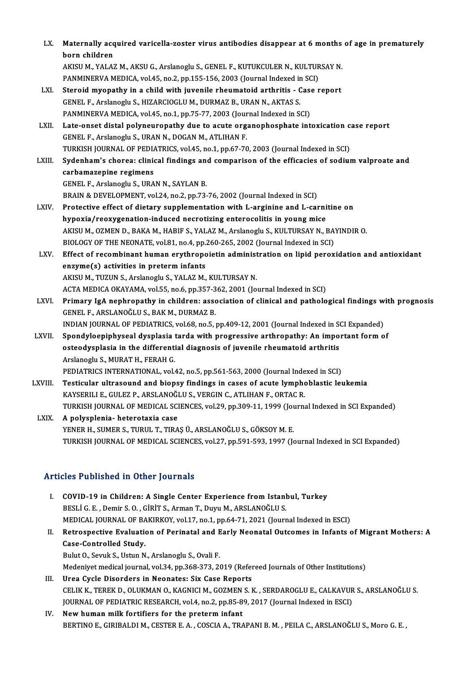| LX.          | Maternally acquired varicella-zoster virus antibodies disappear at 6 months of age in prematurely     |
|--------------|-------------------------------------------------------------------------------------------------------|
|              | born children                                                                                         |
|              | AKISU M., YALAZ M., AKSU G., Arslanoglu S., GENEL F., KUTUKCULER N., KULTURSAY N.                     |
|              | PANMINERVA MEDICA, vol.45, no.2, pp.155-156, 2003 (Journal Indexed in SCI)                            |
| LXI.         | Steroid myopathy in a child with juvenile rheumatoid arthritis - Case report                          |
|              | GENEL F., Arslanoglu S., HIZARCIOGLU M., DURMAZ B., URAN N., AKTAS S.                                 |
|              | PANMINERVA MEDICA, vol.45, no.1, pp.75-77, 2003 (Journal Indexed in SCI)                              |
| LXII.        | Late-onset distal polyneuropathy due to acute organophosphate intoxication case report                |
|              | GENEL F., Arslanoglu S., URAN N., DOGAN M., ATLIHAN F.                                                |
|              | TURKISH JOURNAL OF PEDIATRICS, vol.45, no.1, pp.67-70, 2003 (Journal Indexed in SCI)                  |
| LXIII.       | Sydenham's chorea: clinical findings and comparison of the efficacies of sodium valproate and         |
|              | carbamazepine regimens                                                                                |
|              | GENEL F., Arslanoglu S., URAN N., SAYLAN B.                                                           |
|              | BRAIN & DEVELOPMENT, vol.24, no.2, pp.73-76, 2002 (Journal Indexed in SCI)                            |
| <b>LXIV.</b> | Protective effect of dietary supplementation with L-arginine and L-carnitine on                       |
|              | hypoxia/reoxygenation-induced necrotizing enterocolitis in young mice                                 |
|              | AKISU M., OZMEN D., BAKA M., HABIF S., YALAZ M., Arslanoglu S., KULTURSAY N., BAYINDIR O.             |
|              | BIOLOGY OF THE NEONATE, vol.81, no.4, pp.260-265, 2002 (Journal Indexed in SCI)                       |
| LXV.         | Effect of recombinant human erythropoietin administration on lipid peroxidation and antioxidant       |
|              | enzyme(s) activities in preterm infants                                                               |
|              | AKISU M., TUZUN S., Arslanoglu S., YALAZ M., KULTURSAY N.                                             |
|              | ACTA MEDICA OKAYAMA, vol.55, no.6, pp.357-362, 2001 (Journal Indexed in SCI)                          |
| LXVI.        | Primary IgA nephropathy in children: association of clinical and pathological findings with prognosis |
|              | GENEL F., ARSLANOĞLU S., BAK M., DURMAZ B.                                                            |
|              | INDIAN JOURNAL OF PEDIATRICS, vol.68, no.5, pp.409-12, 2001 (Journal Indexed in SCI Expanded)         |
| LXVII.       | Spondyloepiphyseal dysplasia tarda with progressive arthropathy: An important form of                 |
|              | osteodysplasia in the differential diagnosis of juvenile rheumatoid arthritis                         |
|              | Arslanoglu S., MURAT H., FERAH G.                                                                     |
|              | PEDIATRICS INTERNATIONAL, vol.42, no.5, pp.561-563, 2000 (Journal Indexed in SCI)                     |
| LXVIII.      | Testicular ultrasound and biopsy findings in cases of acute lymphoblastic leukemia                    |
|              | KAYSERILI E., GULEZ P., ARSLANOĞLU S., VERGIN C., ATLIHAN F., ORTAC R.                                |
|              | TURKISH JOURNAL OF MEDICAL SCIENCES, vol.29, pp.309-11, 1999 (Journal Indexed in SCI Expanded)        |
| LXIX.        | A polysplenia- heterotaxia case                                                                       |
|              | YENER H., SUMER S., TURUL T., TIRAŞ Ü., ARSLANOĞLU S., GÖKSOY M. E.                                   |
|              | TURKISH JOURNAL OF MEDICAL SCIENCES, vol.27, pp.591-593, 1997 (Journal Indexed in SCI Expanded)       |
|              | <b>Articles Published in Other Journals</b>                                                           |

|      | <b>Articles Published in Other Journals</b>                                                          |
|------|------------------------------------------------------------------------------------------------------|
| Ι.   | COVID-19 in Children: A Single Center Experience from Istanbul, Turkey                               |
|      | BESLI G. E., Demir S. O., GIRIT S., Arman T., Duyu M., ARSLANOGLU S.                                 |
|      | MEDICAL JOURNAL OF BAKIRKOY, vol.17, no.1, pp.64-71, 2021 (Journal Indexed in ESCI)                  |
| Н.   | Retrospective Evaluation of Perinatal and Early Neonatal Outcomes in Infants of Migrant Mothers: A   |
|      | Case-Controlled Study.                                                                               |
|      | Bulut O., Sevuk S., Ustun N., Arslanoglu S., Ovali F.                                                |
|      | Medeniyet medical journal, vol.34, pp.368-373, 2019 (Refereed Journals of Other Institutions)        |
| III. | Urea Cycle Disorders in Neonates: Six Case Reports                                                   |
|      | CELIK K., TEREK D., OLUKMAN O., KAGNICI M., GOZMEN S. K. , SERDAROGLU E., CALKAVUR S., ARSLANOĞLU S. |
|      | [OURNAL OF PEDIATRIC RESEARCH, vol.4, no.2, pp.85-89, 2017 (Journal Indexed in ESCI)                 |
| TV 7 | Now human milk fantifiang fan the nuataum infant                                                     |

### IV. New human milk fortifiers for the preterm infant BERTINO E., GIRIBALDI M., CESTER E. A., COSCIA A., TRAPANI B. M., PEILA C., ARSLANOĞLU S., Moro G. E.,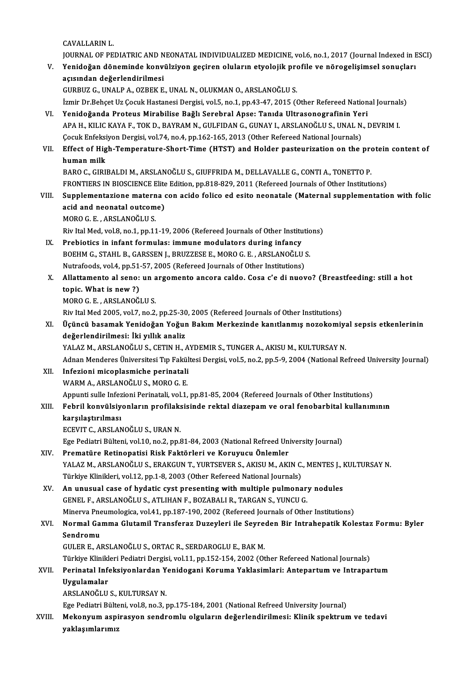CAVALLARINL.

JOURNAL OF PEDIATRIC AND NEONATAL INDIVIDUALIZED MEDICINE, vol.6, no.1, 2017 (Journal Indexed in ESCI) CAVALLARIN L.<br>JOURNAL OF PEDIATRIC AND NEONATAL INDIVIDUALIZED MEDICINE, vol.6, no.1, 2017 (Journal Indexed in E<br>V. Yenidoğan döneminde konvülziyon geçiren oluların etyolojik profile ve nörogelişimsel sonuçları<br>2010'da JOURNAL OF PEDIATRIC AND N<br>Yenidoğan döneminde konv<br>açısından değerlendirilmesi<br>CUPBUZ C. UNALB A. OZBEK E Yenidoğan döneminde konvülziyon geçiren oluların etyolojik pro<br>açısından değerlendirilmesi<br>GURBUZ G., UNALP A., OZBEK E., UNAL N., OLUKMAN O., ARSLANOĞLU S.<br>İsmir Dr Pobect Uz Cosuk Hastanesi Dergisi vol 5, no 1, nn 42,47, açısından değerlendirilmesi<br>GURBUZ G., UNALP A., OZBEK E., UNAL N., OLUKMAN O., ARSLANOĞLU S.<br>İzmir Dr.Behçet Uz Çocuk Hastanesi Dergisi, vol.5, no.1, pp.43-47, 2015 (Other Refereed National Journals)<br>Yonidoğanda Protous M GURBUZ G., UNALP A., OZBEK E., UNAL N., OLUKMAN O., ARSLANOĞLU S.<br>İzmir Dr.Behçet Uz Çocuk Hastanesi Dergisi, vol.5, no.1, pp.43-47, 2015 (Other Refereed National Journals<br>VI. Yenidoğanda Proteus Mirabilise Bağlı Sereb İzmir Dr.Behçet Uz Çocuk Hastanesi Dergisi, vol.5, no.1, pp.43-47, 2015 (Other Refereed National Journal:<br>Yenidoğanda Proteus Mirabilise Bağlı Serebral Apse: Tanıda Ultrasonografinin Yeri<br>APA H., KILIC KAYA F., TOK D., BAY Yenidoğanda Proteus Mirabilise Bağlı Serebral Apse: Tanıda Ultrasonografinin Yei<br>APA H., KILIC KAYA F., TOK D., BAYRAM N., GULFIDAN G., GUNAY I., ARSLANOĞLU S., UNAL N.<br>Çocuk Enfeksiyon Dergisi, vol.74, no.4, pp.162-165, 2 APA H., KILIC KAYA F., TOK D., BAYRAM N., GULFIDAN G., GUNAY I., ARSLANOĞLU S., UNAL N., DEVRIM I.<br>Cocuk Enfeksiyon Dergisi, vol.74, no.4, pp.162-165, 2013 (Other Refereed National Journals)<br>VII. Effect of High-Temperature Cocuk Enfeksi<br>Effect of Hig<br>human milk<br>PAPOC CIPU Effect of High-Temperature-Short-Time (HTST) and Holder pasteurization on the pro<br>human milk<br>BARO C., GIRIBALDI M., ARSLANOĞLU S., GIUFFRIDA M., DELLAVALLE G., CONTI A., TONETTO P.<br>ERONTIERS IN RIOSCIENCE Elite Edition np. human milk<br>BARO C., GIRIBALDI M., ARSLANOĞLU S., GIUFFRIDA M., DELLAVALLE G., CONTI A., TONETTO P.<br>FRONTIERS IN BIOSCIENCE Elite Edition, pp.818-829, 2011 (Refereed Journals of Other Institutions) BARO C., GIRIBALDI M., ARSLANOĞLU S., GIUFFRIDA M., DELLAVALLE G., CONTI A., TONETTO P.<br>FRONTIERS IN BIOSCIENCE Elite Edition, pp.818-829, 2011 (Refereed Journals of Other Institutions)<br>VIII. Supplementazione materna con a FRONTIERS IN BIOSCIENCE Elite<br>Supplementazione materna d<br>acid and neonatal outcome)<br>MOBO G E - ABSI ANOČI U S Supplementazione matern<br>acid and neonatal outcom<br>MORO G. E. , ARSLANOĞLU S.<br>Piv Ital Med val 9. no 1. nn 11 acid and neonatal outcome)<br>MORO G. E. , ARSLANOĞLU S.<br>Riv Ital Med, vol.8, no.1, pp.11-19, 2006 (Refereed Journals of Other Institutions) IX. Prebiotics in infant formulas: immune modulators during infancy Riv Ital Med, vol.8, no.1, pp.11-19, 2006 (Refereed Journals of Other Institutional Prebiotics in infant formulas: immune modulators during infancy<br>BOEHM G., STAHL B., GARSSEN J., BRUZZESE E., MORO G. E. , ARSLANOĞLU S.<br>Nu Prebiotics in infant formulas: immune modulators during infancy<br>BOEHM G., STAHL B., GARSSEN J., BRUZZESE E., MORO G. E., ARSLANOĞLU !<br>Nutrafoods, vol.4, pp.51-57, 2005 (Refereed Journals of Other Institutions)<br>Allattamente BOEHM G., STAHL B., GARSSEN J., BRUZZESE E., MORO G. E. , ARSLANOĞLU S.<br>Nutrafoods, vol.4, pp.51-57, 2005 (Refereed Journals of Other Institutions)<br>X. Allattamento al seno: un argomento ancora caldo. Cosa c'e di nuovo? (Br Nutrafoods, vol.4, pp.51-57, 2005 (Refereed Journals of Other Institutions)<br>Allattamento al seno: un argomento ancora caldo. Cosa c'e di nuov<br>topic. What is new ?)<br>MORO G. E., ARSLANOĞLU S. Allattamento al seno: un a<br>topic. What is new ?)<br>MORO G. E. , ARSLANOĞLU S.<br><sup>Div. Itol Med 2005. vol 7, no ?</sup> topic. What is new ?)<br>MORO G. E. , ARSLANOĞLU S.<br>Riv Ital Med 2005, vol.7, no.2, pp.25-30, 2005 (Refereed Journals of Other Institutions)<br>Ügüngü başamak Yanidoğan Yoğun Bakım Markazinda kanıtlanmış nazakami: MORO G. E. , ARSLANOĞLU S.<br>Riv Ital Med 2005, vol.7, no.2, pp.25-30, 2005 (Refereed Journals of Other Institutions)<br>XI. Üçüncü basamak Yenidoğan Yoğun Bakım Merkezinde kanıtlanmış nozokomiyal sepsis etkenlerinin<br>doğarl Riv Ital Med 2005, vol.7, no.2, pp.25-30<br>Üçüncü basamak Yenidoğan Yoğur<br>değerlendirilmesi: İki yıllık analiz<br>YALAZ M. ABSLANOĞLUS, CETIN H Üçüncü basamak Yenidoğan Yoğun Bakım Merkezinde kanıtlanmış nozokomiya<br>değerlendirilmesi: İki yıllık analiz<br>YALAZ M., ARSLANOĞLU S., CETIN H., AYDEMIR S., TUNGER A., AKISU M., KULTURSAY N.<br>Adnan Mandares Üniversitesi Tın F **değerlendirilmesi: İki yıllık analiz**<br>YALAZ M., ARSLANOĞLU S., CETIN H., AYDEMIR S., TUNGER A., AKISU M., KULTURSAY N.<br>Adnan Menderes Üniversitesi Tıp Fakültesi Dergisi, vol.5, no.2, pp.5-9, 2004 (National Refreed Univers YALAZ M., ARSLANOĞLU S., CETIN H., A<br>Adnan Menderes Üniversitesi Tıp Fakül<br>XII. Infezioni micoplasmiche perinatali Adnan Menderes Üniversitesi Tıp Fakül<br>Infezioni micoplasmiche perinatali<br>WARM A., ARSLANOĞLU S., MORO G. E.<br>Annunti sulle Infezioni Perinatali vel 1 WARM A., ARSLANOĞLU S., MORO G. E.<br>Appunti sulle Infezioni Perinatali, vol.1, pp.81-85, 2004 (Refereed Journals of Other Institutions) WARM A., ARSLANOĞLU S., MORO G. E.<br>Appunti sulle Infezioni Perinatali, vol.1, pp.81-85, 2004 (Refereed Journals of Other Institutions)<br>XIII. Febril konvülsiyonların profilaksisinde rektal diazepam ve oral fenobarbital Appunti sulle Infez<br>Febril <mark>konvülsiy</mark><br>karşılaştırılması<br>ECEVIT C. ABSI AN Febril konvülsiyonların profilaks<br>karşılaştırılması<br>ECEVIT C., ARSLANOĞLU S., URAN N.<br>Ece Bediatri Bültoni vel 10 no 2 nn 9 karşılaştırılması<br>ECEVIT C., ARSLANOĞLU S., URAN N.<br>Ege Pediatri Bülteni, vol.10, no.2, pp.81-84, 2003 (National Refreed University Journal)<br>Premetüre Petinonatisi Biek Faktörleri ve Konuway Önlemler ECEVIT C., ARSLANOĞLU S., URAN N.<br>Ege Pediatri Bülteni, vol.10, no.2, pp.81-84, 2003 (National Refreed Unix<br>XIV. Prematüre Retinopatisi Risk Faktörleri ve Koruyucu Önlemler<br>XALAZ M. ARSLANOĞLU S. ERAKÇIN T. VURTSEVER S. AK Prematüre Retinopatisi Risk Faktörleri ve Koruyucu Önlemler<br>YALAZ M., ARSLANOĞLU S., ERAKGUN T., YURTSEVER S., AKISU M., AKIN C., MENTES J., KULTURSAY N. Prematüre Retinopatisi Risk Faktörleri ve Koruyucu Önlemler<br>YALAZ M., ARSLANOĞLU S., ERAKGUN T., YURTSEVER S., AKISU M., AKIN C.<br>Türkiye Klinikleri, vol.12, pp.1-8, 2003 (Other Refereed National Journals)<br>An unusual sese o XV. An unusual case of hydatic cyst presenting with multiple pulmonary nodules GENEL F., ARSLANOĞLU S., ATLIHAN F., BOZABALI R., TARGAN S., YUNCU G. Türkiye Klinikleri, vol.12, pp.1-8, 2003 (Other Refereed National Journals)<br>An unusual case of hydatic cyst presenting with multiple pulmonar<br>GENEL F., ARSLANOĞLU S., ATLIHAN F., BOZABALI R., TARGAN S., YUNCU G.<br>Minerya Pr An unusual case of hydatic cyst presenting with multiple pulmonary nodules<br>GENEL F., ARSLANOĞLU S., ATLIHAN F., BOZABALI R., TARGAN S., YUNCU G.<br>Minerva Pneumologica, vol.41, pp.187-190, 2002 (Refereed Journals of Other In GENEL F., ARSLANOĞLU S., ATLIHAN F., BOZABALI R., TARGAN S., YUNCU G.<br>Minerva Pneumologica, vol.41, pp.187-190, 2002 (Refereed Journals of Other Institutions)<br>XVI. Normal Gamma Glutamil Transferaz Duzeyleri ile Seyrede Minerva Pne<br><mark>Normal Ga</mark><br>Sendromu<br>CULER E Al Normal Gamma Glutamil Transferaz Duzeyleri ile Seyre<br>Sendromu<br>GULER E., ARSLANOĞLU S., ORTAC R., SERDAROGLU E., BAK M.<br>Türkiye Klinikleri Bediatri Dergisi vel 11 nn 152,154,2002. Cv Se<mark>ndromu</mark><br>GULER E., ARSLANOĞLU S., ORTAC R., SERDAROGLU E., BAK M.<br>Türkiye Klinikleri Pediatri Dergisi, vol.11, pp.152-154, 2002 (Other Refereed National Journals)<br>Perinatal Infeksivenlandan Yonidogani Koruma Yaklasimleri GULER E., ARSLANOĞLU S., ORTAC R., SERDAROGLU E., BAK M.<br>Türkiye Klinikleri Pediatri Dergisi, vol.11, pp.152-154, 2002 (Other Refereed National Journals)<br>XVII. Perinatal Infeksiyonlardan Yenidogani Koruma Yaklasimlari: Türkiye Klinikl<br>Perinatal Infe<br>Uygulamalar<br>ARSLANOČLU Perinatal Infeksiyonlardan Y<br>Uygulamalar<br>ARSLANOĞLU S., KULTURSAY N.<br>Ege Pediatri Bültoni val 9, no 3, . Uygulamalar<br>ARSLANOĞLU S., KULTURSAY N.<br>Ege Pediatri Bülteni, vol.8, no.3, pp.175-184, 2001 (National Refreed University Journal) ARSLANOĞLU S., KULTURSAY N.<br>Ege Pediatri Bülteni, vol.8, no.3, pp.175-184, 2001 (National Refreed University Journal)<br>XVIII. Mekonyum aspirasyon sendromlu olguların değerlendirilmesi: Klinik spektrum ve tedavi<br>xoklasım Ege Pediatri Bülte<br>Mekonyum aspi<br>yaklaşımlarımız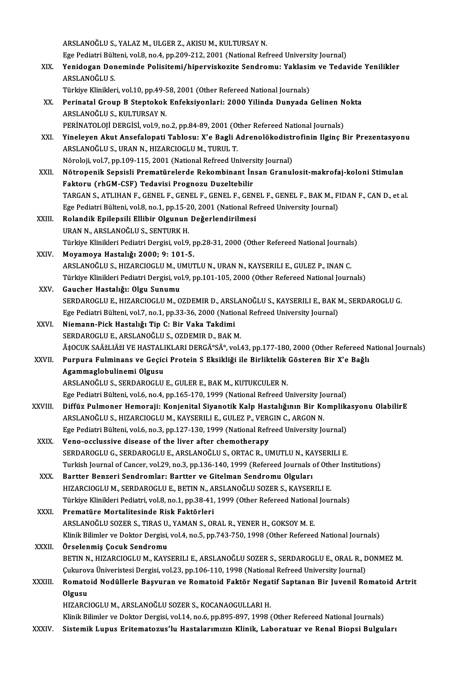ARSLANOĞLUS.,YALAZM.,ULGERZ.,AKISUM.,KULTURSAYN. ARSLANOĞLU S., YALAZ M., ULGER Z., AKISU M., KULTURSAY N.<br>Ege Pediatri Bülteni, vol.8, no.4, pp.209-212, 2001 (National Refreed University Journal)<br>Yonidogan Donomindo Polisitomi (hinouviskogito Sondnomu) Yoklasim ve Todor ARSLANOĞLU S., YALAZ M., ULGER Z., AKISU M., KULTURSAY N.<br>Ege Pediatri Bülteni, vol.8, no.4, pp.209-212, 2001 (National Refreed University Journal)<br>XIX. Yenidogan Doneminde Polisitemi/hiperviskozite Sendromu: Yaklasim Ege Pediatri Bült<br><mark>Yenidogan Dor</mark><br>ARSLANOĞLU S.<br>Türkiye Klinikler Yenidogan Doneminde Polisitemi/hiperviskozite Sendromu: Yaklasir<br>ARSLANOĞLU S.<br>Türkiye Klinikleri, vol.10, pp.49-58, 2001 (Other Refereed National Journals)<br>Perinatal Croup B Stantakak Enfeksivenleri: 2000 Vilinda Dunyada ARSLANOĞLU S.<br>Türkiye Klinikleri, vol.10, pp.49-58, 2001 (Other Refereed National Journals)<br>XX. Perinatal Group B Steptokok Enfeksiyonlari: 2000 Yilinda Dunyada Gelinen Nokta<br>ARSLANOĞLU S. KULTURSAY N Türkiye Klinikleri, vol.10, pp.49-58, 2001 (Other Refereed National Journals)<br>Perinatal Group B Steptokok Enfeksiyonlari: 2000 Yilinda Dunyada<br>ARSLANOĞLU S., KULTURSAY N. Perinatal Group B Steptokok Enfeksiyonlari: 2000 Yilinda Dunyada Gelinen N<br>ARSLANOĞLU S., KULTURSAY N.<br>PERİNATOLOJİ DERGİSİ, vol.9, no.2, pp.84-89, 2001 (Other Refereed National Journals)<br>Vinalayan Akut Ansafalanati Tablas ARSLANOĞLU S., KULTURSAY N.<br>PERİNATOLOJİ DERGİSİ, vol.9, no.2, pp.84-89, 2001 (Other Refereed National Journals)<br>XXI. Yineleyen Akut Ansefalopati Tablosu: X'e Bagli Adrenolökodistrofinin Ilginç Bir Prezentasyonu<br>ARSLAN PERİNATOLOJİ DERGİSİ, vol.9, no.2, pp.84-89, 2001 (Other Refereed National Journals)<br>Yineleyen Akut Ansefalopati Tablosu: X'e Bagli Adrenolökodistrofinin Ilginç I<br>ARSLANOĞLU S., URAN N., HIZARCIOGLU M., TURUL T.<br>Nöroloji, Yineleyen Akut Ansefalopati Tablosu: X'e Bagli Adrenolökodisti<br>ARSLANOĞLU S., URAN N., HIZARCIOGLU M., TURUL T.<br>Nöroloji, vol.7, pp.109-115, 2001 (National Refreed University Journal)<br>Nötnenenik Sensisli Brematürelerde Bek XXI . Nötropenik Sepsisli Prematürelerde Rekombinant İnsan Granulosit-makrofaj-koloni Stimulan Faktoru (rhGM-CSF) Tedavisi Prognozu Duzeltebilir Nötropenik Sepsisli Prematürelerde Rekombinant İnsan Granulosit-makrofaj-koloni Stimulan<br>Faktoru (rhGM-CSF) Tedavisi Prognozu Duzeltebilir<br>TARGAN S., ATLIHAN F., GENEL F., GENEL F., GENEL F., GENEL F., GENEL F., BAK M., FI Faktoru (rhGM-CSF) Tedavisi Prognozu Duzeltebilir<br>TARGAN S., ATLIHAN F., GENEL F., GENEL F., GENEL F., GENEL F., GENEL F., BAK M., F.<br>Ege Pediatri Bülteni, vol.8, no.1, pp.15-20, 2001 (National Refreed University Journal)<br> TARGAN S., ATLIHAN F., GENEL F., GENEL F., GENEL F., GEN<br>Ege Pediatri Bülteni, vol.8, no.1, pp.15-20, 2001 (National Re<br>XXIII. Rolandik Epilepsili Ellibir Olgunun Değerlendirilmesi<br>IIBAN N. ARSLANQĞLU S. SENTIRK H Ege Pediatri Bülteni, vol.8, no.1, pp.15-20, 2001 (National Refreed University Journal)<br>Rolandik Epilepsili Ellibir Olgunun Değerlendirilmesi<br>URAN N., ARSLANOĞLU S., SENTURK H. Türkiye Klinikleri Pediatri Dergisi, vol.9, pp.28-31, 2000 (Other Refereed National Journals) XXIV. Moyamoya Hastalıǧı 2000; 9: 101-5. Türkiye Klinikleri Pediatri Dergisi, vol.9, pp.28-31, 2000 (Other Refereed National Journals<br>Moyamoya Hastalığı 2000; 9: 101-5.<br>ARSLANOĞLU S., HIZARCIOGLU M., UMUTLU N., URAN N., KAYSERILI E., GULEZ P., INAN C.<br>Türkiye Kli Moyamoya Hastalığı 2000; 9: 101-5.<br>ARSLANOĞLU S., HIZARCIOGLU M., UMUTLU N., URAN N., KAYSERILI E., GULEZ P., INAN C.<br>Türkiye Klinikleri Pediatri Dergisi, vol.9, pp.101-105, 2000 (Other Refereed National Journals)<br>Cayshor ARSLANOĞLU S., HIZARCIOGLU M., U<br>Türkiye Klinikleri Pediatri Dergisi, vo<br>XXV. Gaucher Hastalığı: Olgu Sunumu<br>SERDAROCLU E. HIZARCIOCLU M. O Türkiye Klinikleri Pediatri Dergisi, vol.9, pp.101-105, 2000 (Other Refereed National Journals)<br>Gaucher Hastalığı: Olgu Sunumu<br>SERDAROGLU E., HIZARCIOGLU M., OZDEMIR D., ARSLANOĞLU S., KAYSERILI E., BAK M., SERDAROGLU G.<br>E Gaucher Hastalığı: Olgu Sunumu<br>SERDAROGLU E., HIZARCIOGLU M., OZDEMIR D., ARSLANOĞLU S., KAYSERILI E., BAK I<br>Ege Pediatri Bülteni, vol.7, no.1, pp.33-36, 2000 (National Refreed University Journal)<br>Niemann Bick Hastalığı Ti SERDAROGLU E., HIZARCIOGLU M., OZDEMIR D., ARSI<br>Ege Pediatri Bülteni, vol.7, no.1, pp.33-36, 2000 (National XXVI. Niemann-Pick Hastalığı Tip C: Bir Vaka Takdimi Ege Pediatri Bülteni, vol.7, no.1, pp.33-36, 2000 (National Refreed University Journal)<br>Niemann-Pick Hastalığı Tip C: Bir Vaka Takdimi<br>SERDAROGLU E., ARSLANOĞLU S., OZDEMIR D., BAK M.  $\tilde{A}$ ‡OCUK SAÄŽLIÄŽI VE HASTALIKLARI DERGİSİ, vol.43, pp.177-180, 2000 (Other Refereed National Journals) XXVII. Purpura Fulminans ve Geçici Protein S Eksikliği ile Birliktelik Gösteren Bir X'e Bağlı Agammaglobulinemi Olgusu ARSLANOĞLU S., SERDAROGLU E., GULER E., BAK M., KUTUKCULER N. Ege Pediatri Bülteni, vol.6, no.4, pp.165-170, 1999 (National Refreed University Journal) ARSLANOĞLU S., SERDAROGLU E., GULER E., BAK M., KUTUKCULER N.<br>Ege Pediatri Bülteni, vol.6, no.4, pp.165-170, 1999 (National Refreed University Journal)<br>XXVIII. Diffüz Pulmoner Hemoraji: Konjenital Siyanotik Kalp Hastal Ege Pediatri Bülteni, vol.6, no.4, pp.165-170, 1999 (National Refreed University Jo<br>Diffüz Pulmoner Hemoraji: Konjenital Siyanotik Kalp Hastalığının Bir Ko<br>ARSLANOĞLU S., HIZARCIOGLU M., KAYSERILI E., GULEZ P., VERGIN C., Diffüz Pulmoner Hemoraji: Konjenital Siyanotik Kalp Hastalığının Bir Komplik:<br>ARSLANOĞLU S., HIZARCIOGLU M., KAYSERILI E., GULEZ P., VERGIN C., ARGON N.<br>Ege Pediatri Bülteni, vol.6, no.3, pp.127-130, 1999 (National Refreed ARSLANOĞLU S., HIZARCIOGLU M., KAYSERILI E., GULEZ P., VERGIN C., ARGON N.<br>Ege Pediatri Bülteni, vol.6, no.3, pp.127-130, 1999 (National Refreed University Journal)<br>XXIX. Veno-occlussive disease of the liver after chemothe Ege Pediatri Bülteni, vol.6, no.3, pp.127-130, 1999 (National Refreed University Journal) Turkish Journal of Cancer, vol.29, no.3, pp.136-140, 1999 (Refereed Journals of Other Institutions) SERDAROGLU G., SERDAROGLU E., ARSLANOĞLU S., ORTAC R., UMUTLU N., KA<br>Turkish Journal of Cancer, vol.29, no.3, pp.136-140, 1999 (Refereed Journals of<br>XXX. Bartter Benzeri Sendromlar: Bartter ve Gitelman Sendromu Olguları<br>UI Turkish Journal of Cancer, vol.29, no.3, pp.136-140, 1999 (Refereed Journals of Oth<br>Bartter Benzeri Sendromlar: Bartter ve Gitelman Sendromu Olguları<br>HIZARCIOGLU M., SERDAROGLU E., BETIN N., ARSLANOĞLU SOZER S., KAYSERILI Bartter Benzeri Sendromlar: Bartter ve Gitelman Sendromu Olguları<br>HIZARCIOGLU M., SERDAROGLU E., BETIN N., ARSLANOĞLU SOZER S., KAYSERILI E.<br>Türkiye Klinikleri Pediatri, vol.8, no.1, pp.38-41, 1999 (Other Refereed National HIZARCIOGLU M., SERDAROGLU E., BETIN N., ARSLANOĞLU SOZER S., KAYSERILI E.<br>Türkiye Klinikleri Pediatri, vol.8, no.1, pp.38-41, 1999 (Other Refereed National Jour<br>XXXI. Prematüre Mortalitesinde Risk Faktörleri Türkiye Klinikleri Pediatri, vol.8, no.1, pp.38-41, 1999 (Other Refereed National Journals) Prematüre Mortalitesinde Risk Faktörleri<br>ARSLANOĞLU SOZER S., TIRAS U., YAMAN S., ORAL R., YENER H., GOKSOY M. E.<br>Klinik Bilimler ve Doktor Dergisi, vol.4, no.5, pp.743-750, 1998 (Other Refereed National Journals)<br>Örselenm ARSLANOĞLU SOZER S., TIRAS U., YAMAN S., ORAL R., YENER H., GOKSOY M. E.<br>Klinik Bilimler ve Doktor Dergisi, vol.4, no.5, pp.743-750, 1998 (Other Refereed National Journals)<br>XXXII. Örselenmiş Çocuk Sendromu<br>BETIN N Klinik Bilimler ve Doktor Dergisi, vol.4, no.5, pp.743-750, 1998 (Other Refereed National Journals)<br>Örselenmiş Çocuk Sendromu<br>BETIN N., HIZARCIOGLU M., KAYSERILI E., ARSLANOĞLU SOZER S., SERDAROGLU E., ORAL R., DONMEZ M.<br>C Çukurova Üniveristesi Dergisi, vol.23, pp.106-110, 1998 (National Refreed University Journal) BETIN N., HIZARCIOGLU M., KAYSERILI E., ARSLANOĞLU SOZER S., SERDAROGLU E., ORAL R., DONMEZ M.<br>Çukurova Üniveristesi Dergisi, vol.23, pp.106-110, 1998 (National Refreed University Journal)<br>XXXIII. Romatoid Nodüllerle B Cukurov<br><mark>Romato</mark><br>Olgusu<br>HIZAPCI Romatoid Nodüllerle Başvuran ve Romatoid Faktör Nega<br>Olgusu<br>HIZARCIOGLU M., ARSLANOĞLU SOZER S., KOCANAOGULLARI H.<br>Klinik Bilimlar ve Delter Dergisi vel 14. ne 6. nr 805.807.1908 ( Olgusu<br>HIZARCIOGLU M., ARSLANOĞLU SOZER S., KOCANAOGULLARI H.<br>Klinik Bilimler ve Doktor Dergisi, vol.14, no.6, pp.895-897, 1998 (Other Refereed National Journals) XXXIV. Sistemik Lupus Eritematozus'lu Hastalarımızın Klinik, Laboratuar ve Renal Biopsi Bulguları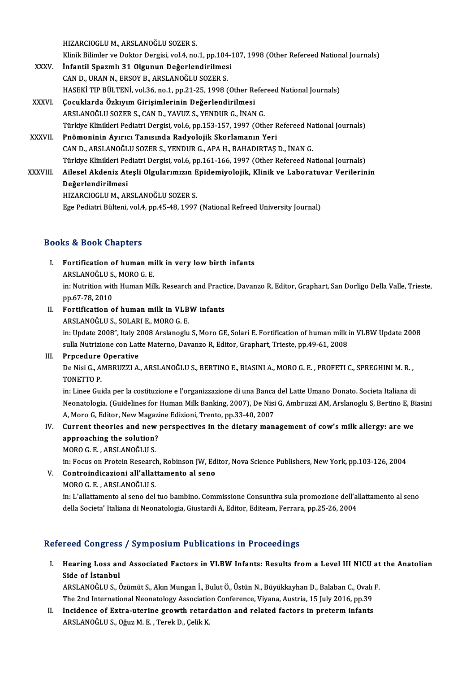HIZARCIOGLUM.,ARSLANOĞLUSOZERS.

Klinik Bilimler ve Doktor Dergisi, vol.4, no.1, pp.104-107, 1998 (Other Refereed National Journals)

- HIZARCIOGLU M., ARSLANOĞLU SOZER S.<br>Klinik Bilimler ve Doktor Dergisi, vol.4, no.1, pp.104-3<br>XXXV. İnfantil Spazmlı 31 Olgunun Değerlendirilmesi Klinik Bilimler ve Doktor Dergisi, vol.4, no.1, pp.104<br>İnfantil Spazmlı 31 Olgunun Değerlendirilmes<br>CAN D., URAN N., ERSOY B., ARSLANOĞLU SOZER S.<br>HASEKİ TIP PÜLTENİ YOL?6 no.1 np.21.25.1998 ( CAN D., URAN N., ERSOY B., ARSLANOĞLU SOZER S.<br>HASEKİ TIP BÜLTENİ, vol.36, no.1, pp.21-25, 1998 (Other Refereed National Journals)
- XXXVI. Çocuklarda Özkıyım Girişimlerinin Değerlendirilmesi ARSLANOĞLUSOZERS.,CAND.,YAVUZ S.,YENDURG., İNANG. Türkiye Klinikleri Pediatri Dergisi, vol.6, pp.153-157, 1997 (Other Refereed National Journals)

## XXXVII. Pnömoninin Ayırıcı Tanısında Radyolojik Skorlamanın Yeri CAND.,ARSLANOĞLUSOZERS.,YENDURG.,APAH.,BAHADIRTAŞD., İNANG. Pnömoninin Ayırıcı Tanısında Radyolojik Skorlamanın Yeri<br>CAN D., ARSLANOĞLU SOZER S., YENDUR G., APA H., BAHADIRTAŞ D., İNAN G.<br>Türkiye Klinikleri Pediatri Dergisi, vol.6, pp.161-166, 1997 (Other Refereed National Journals CAN D., ARSLANOĞLU SOZER S., YENDUR G., APA H., BAHADIRTAŞ D., İNAN G.<br>Türkiye Klinikleri Pediatri Dergisi, vol.6, pp.161-166, 1997 (Other Refereed National Journals)<br>XXXVIII. Ailesel Akdeniz Ateşli Olgularımızın Epidemiyo

Türkiye Klinikleri Pe<br>Ailesel Akdeniz At<br>Değerlendirilmesi<br>HIZARCIOCLUM AE Ailesel Akdeniz Ateşli Olgularımızın E<br>Değerlendirilmesi<br>HIZARCIOGLU M., ARSLANOĞLU SOZER S.<br>Ege Pediatri Bültoni vel 4 nn 45,48,4907 De<mark>ğerlendirilmesi</mark><br>HIZARCIOGLU M., ARSLANOĞLU SOZER S.<br>Ege Pediatri Bülteni, vol.4, pp.45-48, 1997 (National Refreed University Journal)

## Books&Book Chapters

OOks & Book Chapters<br>I. Fortification of human milk in very low birth infants<br>ARSI ANOČLUS MORO C F LE & DOOK CHAPCELE<br>Fortification of human mi<br>ARSLANOĞLU S., MORO G. E.

Fortification of human milk in very low birth infants<br>ARSLANOĞLU S., MORO G. E.<br>in: Nutrition with Human Milk. Research and Practice, Davanzo R, Editor, Graphart, San Dorligo Della Valle, Trieste,<br>nn 67-78-2010 ARSLANOĞLU S.<br>in: Nutrition wit<br>pp.67-78, 2010<br>Eortification c in: Nutrition with Human Milk. Research and Practi<br>pp.67-78, 2010<br>II. Fortification of human milk in VLBW infants<br>ABSLANOČLUS, SQLABLE, MORO G. E pp.67-78, 2010<br>Fortification of human milk in VLB<br>ARSLANOĞLU S., SOLARI E., MORO G. E.<br>in: Undata 2008″ Italy 2008 Arslangslu

Fortification of human milk in VLBW infants<br>ARSLANOĞLU S., SOLARI E., MORO G. E.<br>in: Update 2008", Italy 2008 Arslanoglu S, Moro GE, Solari E. Fortification of human milk in VLBW Update 2008<br>sulla Nutrigiana can Latta Mate ARSLANOĞLU S., SOLARI E., MORO G. E.<br>in: Update 2008", Italy 2008 Arslanoglu S, Moro GE, Solari E. Fortification of human milk i<br>sulla Nutrizione con Latte Materno, Davanzo R, Editor, Graphart, Trieste, pp.49-61, 2008<br>Prna sulla Nutrizione con Latte Materno, Davanzo R, Editor, Graphart, Trieste, pp.49-61, 2008<br>III. Prpcedure Operative

sulla Nutrizione con Latte Materno, Davanzo R, Editor, Graphart, Trieste, pp.49-61, 2008<br><mark>Prpcedure Operative</mark><br>De Nisi G., AMBRUZZI A., ARSLANOĞLU S., BERTINO E., BIASINI A., MORO G. E. , PROFETI C., SPREGHINI M. R. ,<br>TONE Prpcedure<br>De Nisi G., Al<br>TONETTO P.<br>in: Linee Cui De Nisi G., AMBRUZZI A., ARSLANOĞLU S., BERTINO E., BIASINI A., MORO G. E. , PROFETI C., SPREGHINI M. R. ,<br>TONETTO P.<br>in: Linee Guida per la costituzione e l'organizzazione di una Banca del Latte Umano Donato. Societa Ital

TONETTO P.<br>in: Linee Guida per la costituzione e l'organizzazione di una Banca del Latte Umano Donato. Societa Italiana di<br>Neonatologia. (Guidelines for Human Milk Banking, 2007), De Nisi G, Ambruzzi AM, Arslanoglu S, Bert in: Linee Guida per la costituzione e l'organizzazione di una Banca<br>Neonatologia. (Guidelines for Human Milk Banking, 2007), De Nisi<br>A, Moro G, Editor, New Magazine Edizioni, Trento, pp.33-40, 2007<br>Cunnent theories and new Neonatologia. (Guidelines for Human Milk Banking, 2007), De Nisi G, Ambruzzi AM, Arslanoglu S, Bertino E, B.<br>A, Moro G, Editor, New Magazine Edizioni, Trento, pp.33-40, 2007<br>IV. Current theories and new perspectives in the

# A, Moro G, Editor, New Magazine Edizioni, Trento, pp.33-40, 2007<br>IV. Current theories and new perspectives in the dietary management of cow's milk allergy: are we<br>approaching the solution? approaching the solution?<br>MORO G. E. , ARSLANOĞLU S.<br>in: Focus on Protein Research, Robinson JW, Editor, Nova Science Publishers, New York, pp.103-126, 2004<br>Controindisariani all'allattamente al sene

MOROG.E. ,ARSLANOĞLUS.

in: Focus on Protein Research<br>**Controindicazioni all'allat<br>MORO G. E. , ARSLANOĞLU S.**<br>in: L'allattamente al sene del

V. Controindicazioni all'allattamento al seno<br>MORO G. E. . ARSLANOĞLU S.

Controindicazioni all'allattamento al seno<br>MORO G. E. , ARSLANOĞLU S.<br>in: L'allattamento al seno del tuo bambino. Commissione Consuntiva sula promozione dell'allattamento al seno<br>della Segista' Italiana di Neonatologia. Ci MORO G. E. , ARSLANOĞLU S.<br>in: L'allattamento al seno del tuo bambino. Commissione Consuntiva sula promozione dell'al<br>della Societa' Italiana di Neonatologia, Giustardi A, Editor, Editeam, Ferrara, pp.25-26, 2004 della Societa' Italiana di Neonatologia, Giustardi A, Editor, Editeam, Ferrara, pp.25-26, 2004<br>Refereed Congress / Symposium Publications in Proceedings

efereed Congress / Symposium Publications in Proceedings<br>I. Hearing Loss and Associated Factors in VLBW Infants: Results from a Level III NICU at the Anatolian **Side of Islam**<br>Side of İstanbul<br>ABSI ANOČULS *İ* Hearing Loss and Associated Factors in VLBW Infants: Results from a Level III NICU at<br>Side of İstanbul<br>ARSLANOĞLU S., Özümüt S., Akın Mungan İ., Bulut Ö., Üstün N., Büyükkayhan D., Balaban C., Ovalı F.<br>The 2nd Internationa

Side of İstanbul<br>ARSLANOĞLU S., Özümüt S., Akın Mungan İ., Bulut Ö., Üstün N., Büyükkayhan D., Balaban C., Ovalı F. The 2nd International Neonatology Association Conference, Viyana, Austria, 15 July 2016, pp.39

II. Incidence of Extra-uterine growth retardation and related factors in preterm infants<br>ARSLANOĞLU S., Oğuz M. E., Terek D., Çelik K.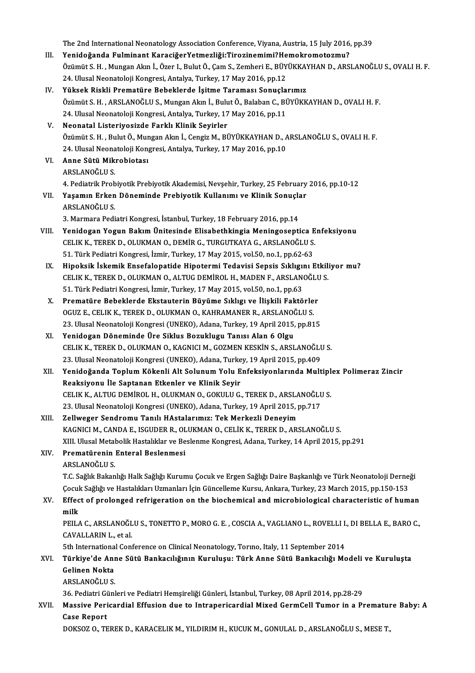The 2nd International Neonatology Association Conference, Viyana, Austria, 15 July 2016, pp.39<br>Yonidoženda Eulminent KanasižerVetmerliži:Tinerinemimi?Hemelrematermu?

- I I. The 2nd International Neonatology Association Conference, Viyana, Austria, 15 July 2016<br>III. Yenidoğanda Fulminant KaraciğerYetmezliği:Tirozinemimi?Hemokromotozmu?<br>Örümüt S.H. Mungan Alan İ. Özen L. Bulut Ö. Com S. Ze The 2nd International Neonatology Association Conference, Viyana, Austria, 15 July 2016, pp.39<br>Yenidoğanda Fulminant KaraciğerYetmezliği:Tirozinemimi?Hemokromotozmu?<br>Özümüt S. H. , Mungan Akın İ., Özer I., Bulut Ö., Çam S. Yenidoğanda Fulminant KaraciğerYetmezliği:Tirozinemimi?He<br>Özümüt S. H. , Mungan Akın İ., Özer I., Bulut Ö., Çam S., Zemheri E., BÜY<br>24. Ulusal Neonatoloji Kongresi, Antalya, Turkey, 17 May 2016, pp.12<br>Vükaak Biakli Bromatü Özümüt S. H. , Mungan Akın İ., Özer I., Bulut Ö., Çam S., Zemheri E., BÜYÜKKA'<br>24. Ulusal Neonatoloji Kongresi, Antalya, Turkey, 17 May 2016, pp.12<br>IV. Yüksek Riskli Prematüre Bebeklerde İşitme Taraması Sonuçlarımız<br>Ör
- 24. Ulusal Neonatoloji Kongresi, Antalya, Turkey, 17 May 2016, pp.12<br>Yüksek Riskli Prematüre Bebeklerde İşitme Taraması Sonuçlarımız<br>Özümüt S. H. , ARSLANOĞLU S., Mungan Akın İ., Bulut Ö., Balaban C., BÜYÜKKAYHAN D., OVALI Yüksek Riskli Prematüre Bebeklerde İşitme Taraması Sonuçla<br>Özümüt S. H. , ARSLANOĞLU S., Mungan Akın İ., Bulut Ö., Balaban C., Bİ<br>24. Ulusal Neonatoloji Kongresi, Antalya, Turkey, 17 May 2016, pp.11<br>Neonatal Listeriyesinde 24. Ulusal Neonatoloji Kongresi, Antalya, Turkey, 17 May 2016, pp.11<br>V. Neonatal Listeriyosizde Farklı Klinik Seyirler
- 24. Ulusal Neonatoloji Kongresi, Antalya, Turkey, 17 May 2016, pp.11<br><mark>Neonatal Listeriyosizde Farklı Klinik Seyirler</mark><br>Özümüt S. H. , Bulut Ö., Mungan Akın İ., Cengiz M., BÜYÜKKAYHAN D., ARSLANOĞLU S., OVALI H. F.<br>24. Ulusa Neonatal Listeriyosizde Farklı Klinik Seyirler<br>Özümüt S. H. , Bulut Ö., Mungan Akın İ., Cengiz M., BÜYÜKKAYHAN D., A<br>24. Ulusal Neonatoloji Kongresi, Antalya, Turkey, 17 May 2016, pp.10<br>Anne Sütü Mikrobietesı Özümüt S. H. , Bulut Ö., Mur<br>24. Ulusal Neonatoloji Kon<br>VI. – **Anne Sütü Mikrobiotası**<br>ABSI ANQČLU S
- 24. Ulusal Neonatoloji Kongresi, Antalya, Turkey, 17 May 2016, pp.10<br>VI. Anne Sütü Mikrobiotası<br>ARSLANOĞLU S. 4. Pediatrik Probiyotik Prebiyotik Akademisi, Nevşehir, Turkey, 25 February 2016, pp.10-12 ARSLANOĞLU S.<br>4. Pediatrik Probiyotik Prebiyotik Akademisi, Nevşehir, Turkey, 25 February<br>VII. Yaşamın Erken Döneminde Prebiyotik Kullanımı ve Klinik Sonuçlar<br>ARSLANOĞLU S
- 4. Pediatrik Prob<br>Yaşamın Erken<br>ARSLANOĞLU S.<br>2. Marmara Padi Yaşamın Erken Döneminde Prebiyotik Kullanımı ve Klinik Sonuçla<br>ARSLANOĞLU S.<br>3. Marmara Pediatri Kongresi, İstanbul, Turkey, 18 February 2016, pp.14<br>Yonidogan Yogun Bolum Ünitesinde Elisabethkingia Meningasenti

- ARSLANOĞLU S.<br>3. Marmara Pediatri Kongresi, İstanbul, Turkey, 18 February 2016, pp.14<br>VIII. Yenidogan Yogun Bakım Ünitesinde Elisabethkingia Meningoseptica Enfeksiyonu<br>CELIK K, TEREK D, OLUKMAN O, DEMİR G, TURGUTKAYA G 3. Marmara Pediatri Kongresi, İstanbul, Turkey, 18 February 2016, pp.14<br>Yenidogan Yogun Bakım Ünitesinde Elisabethkingia Meningoseptica E<br>CELIK K., TEREK D., OLUKMAN O., DEMİR G., TURGUTKAYA G., ARSLANOĞLU S.<br>51. Türk Pedi CELIK K., TEREK D., OLUKMAN O., DEMİR G., TURGUTKAYA G., ARSLANOĞLU S.<br>51. Türk Pediatri Kongresi, İzmir, Turkey, 17 May 2015, vol.50, no.1, pp.62-63 CELIK K., TEREK D., OLUKMAN O., DEMİR G., TURGUTKAYA G., ARSLANOĞLU S.<br>51. Türk Pediatri Kongresi, İzmir, Turkey, 17 May 2015, vol.50, no.1, pp.62-63<br>IX. Hipoksik İskemik Ensefalopatide Hipotermi Tedavisi Sepsis Sıklıgını
- 51. Türk Pediatri Kongresi, İzmir, Turkey, 17 May 2015, vol.50, no.1, pp.62-63<br>Hipoksik İskemik Ensefalopatide Hipotermi Tedavisi Sepsis Sıklıgını Etkili<br>CELIK K., TEREK D., OLUKMAN O., ALTUG DEMİROL H., MADEN F., ARSLANOĞ Hipoksik İskemik Ensefalopatide Hipotermi Tedavisi Sepsis Sıklıgıı<br>CELIK K., TEREK D., OLUKMAN O., ALTUG DEMİROL H., MADEN F., ARSLAN<br>51. Türk Pediatri Kongresi, İzmir, Turkey, 17 May 2015, vol.50, no.1, pp.63<br>Prematüre Be CELIK K., TEREK D., OLUKMAN O., ALTUG DEMİROL H., MADEN F., ARSLANOĞLU<br>51. Türk Pediatri Kongresi, İzmir, Turkey, 17 May 2015, vol.50, no.1, pp.63<br>X. Prematüre Bebeklerde Ekstauterin Büyüme Sıklıgı ve İlişkili Faktörler<br>OC
- 51. Türk Pediatri Kongresi, İzmir, Turkey, 17 May 2015, vol.50, no.1, pp.63<br>Prematüre Bebeklerde Ekstauterin Büyüme Sıklıgı ve İlişkili Faktörle<br>OGUZ E., CELIK K., TEREK D., OLUKMAN O., KAHRAMANER R., ARSLANOĞLU S.<br>22 Hluc Prematüre Bebeklerde Ekstauterin Büyüme Sıklıgı ve İlişkili Faktörler<br>OGUZ E., CELIK K., TEREK D., OLUKMAN O., KAHRAMANER R., ARSLANOĞLU S.<br>23. Ulusal Neonatoloji Kongresi (UNEKO), Adana, Turkey, 19 April 2015, pp.815<br>Yoni OGUZ E., CELIK K., TEREK D., OLUKMAN O., KAHRAMANER R., ARSLANOĞLU S.<br>23. Ulusal Neonatoloji Kongresi (UNEKO), Adana, Turkey, 19 April 2015, pp.815<br>XI. Yenidogan Döneminde Üre Siklus Bozuklugu Tanısı Alan 6 Olgu
- 23. Ulusal Neonatoloji Kongresi (UNEKO), Adana, Turkey, 19 April 2015, pp.815<br>Yenidogan Döneminde Üre Siklus Bozuklugu Tanısı Alan 6 Olgu<br>CELIK K., TEREK D., OLUKMAN O., KAGNICI M., GOZMEN KESKİN S., ARSLANOĞLU S.<br>22. Ulus Yenidogan Döneminde Üre Siklus Bozuklugu Tanısı Alan 6 Olgu<br>CELIK K., TEREK D., OLUKMAN O., KAGNICI M., GOZMEN KESKİN S., ARSLANOĞLU<br>23. Ulusal Neonatoloji Kongresi (UNEKO), Adana, Turkey, 19 April 2015, pp.409<br>Yenidoğanda CELIK K., TEREK D., OLUKMAN O., KAGNICI M., GOZMEN KESKİN S., ARSLANOĞLU S.<br>23. Ulusal Neonatoloji Kongresi (UNEKO), Adana, Turkey, 19 April 2015, pp.409<br>XII. Yenidoğanda Toplum Kökenli Alt Solunum Yolu Enfeksiyonların
- 23. Ulusal Neonatoloji Kongresi (UNEKO), Adana, Turke<br>Yenidoğanda Toplum Kökenli Alt Solunum Yolu E<br>Reaksiyonu İle Saptanan Etkenler ve Klinik Seyir<br>CELIK K. ALTUC DEMİROL H. OLUKMAN O. COKULU C Yenidoğanda Toplum Kökenli Alt Solunum Yolu Enfeksiyonlarında Multipl<br>Reaksiyonu İle Saptanan Etkenler ve Klinik Seyir<br>CELIK K., ALTUG DEMİROL H., OLUKMAN O., GOKULU G., TEREK D., ARSLANOĞLU S.<br>22 Hlucel Neonatolaji Kongre Reaksiyonu İle Saptanan Etkenler ve Klinik Seyir<br>CELIK K., ALTUG DEMİROL H., OLUKMAN O., GOKULU G., TEREK D., ARSLANOĞLU<br>23. Ulusal Neonatoloji Kongresi (UNEKO), Adana, Turkey, 19 April 2015, pp.717<br>Zallusaar Sandromu Tanı CELIK K., ALTUG DEMİROL H., OLUKMAN O., GOKULU G., TEREK D., ARSLANOĞLU S.<br>23. Ulusal Neonatoloji Kongresi (UNEKO), Adana, Turkey, 19 April 2015, pp.717<br>XIII. Zellweger Sendromu Tanılı HAstalarımız: Tek Merkezli Deneyi
- 23. Ulusal Neonatoloji Kongresi (UNEKO), Adana, Turkey, 19 April 2015, pp.717<br>Zellweger Sendromu Tanılı HAstalarımız: Tek Merkezli Deneyim<br>KAGNICI M., CANDA E., ISGUDER R., OLUKMAN O., CELİK K., TEREK D., ARSLANOĞLU S.<br>YII Zellweger Sendromu Tanılı HAstalarımız: Tek Merkezli Deneyim<br>KAGNICI M., CANDA E., ISGUDER R., OLUKMAN O., CELİK K., TEREK D., ARSLANOĞLU S.<br>XIII. Ulusal Metabolik Hastalıklar ve Beslenme Kongresi, Adana, Turkey, 14 April KAGNICI M., CANDA E., ISGUDER R., OL<br>XIII. Ulusal Metabolik Hastalıklar ve Be<br>XIV. Prematürenin Enteral Beslenmesi XIII. Ulusal Metal<br><mark>Prematürenin</mark><br>ARSLANOĞLU S.<br>T.C. Səğlir Pakan
- 

Prematürenin Enteral Beslenmesi<br>ARSLANOĞLU S.<br>T.C. Sağlık Bakanlığı Halk Sağlığı Kurumu Çocuk ve Ergen Sağlığı Daire Başkanlığı ve Türk Neonatoloji Derneği ARSLANOĞLU S.<br>T.C. Sağlık Bakanlığı Halk Sağlığı Kurumu Çocuk ve Ergen Sağlığı Daire Başkanlığı ve Türk Neonatoloji Derne<br>Çocuk Sağlığı ve Hastalıkları Uzmanları İçin Güncelleme Kursu, Ankara, Turkey, 23 March 2015, pp.150 T.C. Sağlık Bakanlığı Halk Sağlığı Kurumu Çocuk ve Ergen Sağlığı Daire Başkanlığı ve Türk Neonatoloji Derneği<br>Çocuk Sağlığı ve Hastalıkları Uzmanları İçin Güncelleme Kursu, Ankara, Turkey, 23 March 2015, pp.150-153<br>XV.

# Çocuk Sağlığı ve Hastalıkları Uzmanları İçin Güncelleme Kursu, Ankara, Turkey, 23 March 2015, pp.150-153<br>XV. Effect of prolonged refrigeration on the biochemical and microbiological characteristic of human<br>milk Effect of prolonged refrigeration on the biochemical and microbiological characteristic of human<br>milk<br>PEILA C., ARSLANOĞLU S., TONETTO P., MORO G. E. , COSCIA A., VAGLIANO L., ROVELLI I., DI BELLA E., BARO C.,<br>CAVALLAPIN L

milk<br>PEILA C., ARSLANOĞL<br>CAVALLARIN L., et al.<br>Eth International Cont PEILA C., ARSLANOĞLU S., TONETTO P., MORO G. E. , COSCIA A., VAGLIANO L., ROVELLI I.<br>CAVALLARIN L., et al.<br>5th International Conference on Clinical Neonatology, Torıno, Italy, 11 September 2014<br>Türkiye'de Anne Sütü Benkesı

5th International Conference on Clinical Neonatology, Tormo, Italy, 11 September 2014

# CAVALLARIN L., et al.<br>5th International Conference on Clinical Neonatology, Torıno, Italy, 11 September 2014<br>XVI. Türkiye'de Anne Sütü Bankacılığının Kuruluşu: Türk Anne Sütü Bankacılığı Modeli ve Kuruluşta<br>Gelinen Nok Gelinen Nokta<br>ARSLANOĞLU S.<br>36. Pediatri Günleri ve Pediatri Hemşireliği Günleri, İstanbul, Turkey, 08 April 2014, pp.28-29<br>Massiya Penisandial Effusian dua ta Intransaisandial Mixad CarmCell Tumar in a Pr

ARSLANOĞLUS.

# XVII. Massive Pericardial Effusion due to Intrapericardial Mixed GermCell Tumor in a Premature Baby: A<br>Case Report 36. Pediatri Gi<br>Massive Peri<br>Case Report<br>DO<sup>VSO7.</sup> O. TE

DOKSOZO.,TEREKD.,KARACELIKM.,YILDIRIMH.,KUCUKM.,GONULALD.,ARSLANOĞLUS.,MESET.,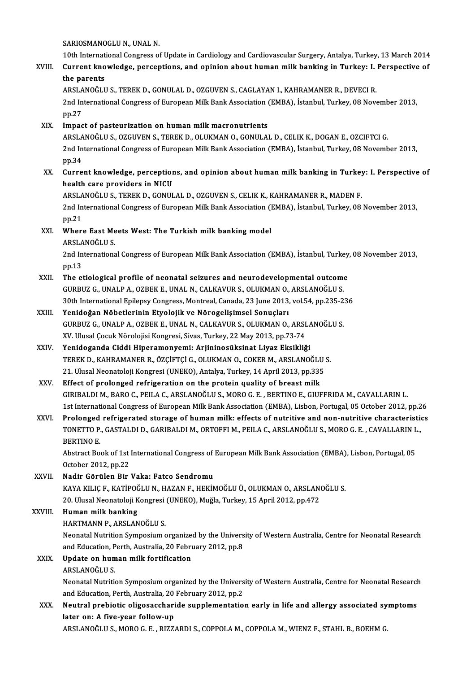SARIOSMANOGLUN, UNALN.

19th International Congress of Update in Cardiology and Cardiovascular Surgery, Antalya, Turkey, 13 March 2014<br>10th International Congress of Update in Cardiology and Cardiovascular Surgery, Antalya, Turkey, 13 March 2014<br>

# XVIII. Current knowledge, perceptions, and opinion about human milk banking in Turkey: I. Perspective of the parents 10th Internat<br>Current kno<br>the parents<br>ABSLANOČU Current knowledge, perceptions, and opinion about human milk banking in Turkey: I.<br>the parents<br>ARSLANOĞLU S., TEREK D., GONULAL D., OZGUVEN S., CAGLAYAN I., KAHRAMANER R., DEVECI R.<br>2nd International Congress of European M

the parents<br>ARSLANOĞLU S., TEREK D., GONULAL D., OZGUVEN S., CAGLAYAN I., KAHRAMANER R., DEVECI R.<br>2nd International Congress of European Milk Bank Association (EMBA), İstanbul, Turkey, 08 November 2013,<br>nn <sup>27</sup> ARSLA<br>2nd In<br>pp.27<br>Impas 2nd International Congress of European Milk Bank Association<br>pp.27<br>XIX. Impact of pasteurization on human milk macronutrients<br>APSLANOČLUS OZCINENS TEREK DOUIKMAN O CONIUAL

pp.27<br>Impact of pasteurization on human milk macronutrients<br>ARSLANOĞLU S., OZGUVEN S., TEREK D., OLUKMAN O., GONULAL D., CELIK K., DOGAN E., OZCIFTCI G. Impact of pasteurization on human milk macronutrients<br>ARSLANOĞLU S., OZGUVEN S., TEREK D., OLUKMAN O., GONULAL D., CELIK K., DOGAN E., OZCIFTCI G.<br>2nd International Congress of European Milk Bank Association (EMBA), İstanb ARSLA<br>2nd In<br>pp.34 2nd International Congress of European Milk Bank Association (EMBA), İstanbul, Turkey, 08 November 2013,<br>2013, pp.34<br>XX. Current knowledge, perceptions, and opinion about human milk banking in Turkey: I. Perspective of<br>201

pp.34<br>XX. Current knowledge, perceptions, and opinion about human milk banking in Turkey: I. Perspective of<br>health care providers in NICU Current knowledge, perceptions, and opinion about human milk banking in Turkey<br>health care providers in NICU<br>ARSLANOĞLU S., TEREK D., GONULAL D., OZGUVEN S., CELIK K., KAHRAMANER R., MADEN F.<br>2nd International Congress of

2nd International Congress of European Milk Bank Association (EMBA), İstanbul, Turkey, 08 November 2013, pp.21 ARSLA<br>2nd In<br>pp.21 2nd International Congress of European Milk Bank Association (1<br>pp.21<br>XXI. Where East Meets West: The Turkish milk banking model

# pp.21<br>Where East Me<br>ARSLANOĞLU S.<br>2nd Internations

Where East Meets West: The Turkish milk banking model<br>ARSLANOĞLU S.<br>2nd International Congress of European Milk Bank Association (EMBA), İstanbul, Turkey, 08 November 2013,<br>nn 13 ARSLA<br>2nd In<br>pp.13<br>The ex 2nd International Congress of European Milk Bank Association (EMBA), İstanbul, Turkey<br>pp.13<br>XXII. The etiological profile of neonatal seizures and neurodevelopmental outcome<br>CURPUZ C. UNALRA, OZREK E. UNALN, CALKAVUR S. OL

- pp.13<br>The etiological profile of neonatal seizures and neurodevelopmental outcome<br>GURBUZ G., UNALP A., OZBEK E., UNAL N., CALKAVUR S., OLUKMAN O., ARSLANOĞLU S. The etiological profile of neonatal seizures and neurodevelopmental outcome<br>GURBUZ G., UNALP A., OZBEK E., UNAL N., CALKAVUR S., OLUKMAN O., ARSLANOĞLU S.<br>30th International Epilepsy Congress, Montreal, Canada, 23 June 201
- XXIII. Yenidoğan Nöbetlerinin Etyolojik ve Nörogelişimsel Sonuçları<br>GURBUZ G., UNALP A., OZBEK E., UNAL N., CALKAVUR S., OLUKMAN O., ARSLANOĞLU S. 30th International Epilepsy Congress, Montreal, Canada, 23 June 2013, vol.54, pp.235-2<br>Yenidoğan Nöbetlerinin Etyolojik ve Nörogelişimsel Sonuçları<br>GURBUZ G., UNALP A., OZBEK E., UNAL N., CALKAVUR S., OLUKMAN O., ARSLANOĞL Yenidoğan Nöbetlerinin Etyolojik ve Nörogelişimsel Sonuçları<br>GURBUZ G., UNALP A., OZBEK E., UNAL N., CALKAVUR S., OLUKMAN O., ARSI<br>XV. Ulusal Çocuk Nörolojisi Kongresi, Sivas, Turkey, 22 May 2013, pp.73-74<br>Yonidoganda Cidd GURBUZ G., UNALP A., OZBEK E., UNAL N., CALKAVUR S., OLUKMAN O., ARSLA<br>XV. Ulusal Çocuk Nörolojisi Kongresi, Sivas, Turkey, 22 May 2013, pp.73-74<br>XXIV. Yenidoganda Ciddi Hiperamonyemi: Arjininosüksinat Liyaz Eksikliği
- Yenidoganda Ciddi Hiperamonyemi: Arjininosüksinat Liyaz Eksikliği<br>TEREK D., KAHRAMANER R., ÖZÇİFTÇİ G., OLUKMAN O., COKER M., ARSLANOĞLU S. Yenidoganda Ciddi Hiperamonyemi: Arjininosüksinat Liyaz Eksikliği<br>TEREK D., KAHRAMANER R., ÖZÇİFTÇİ G., OLUKMAN O., COKER M., ARSLANOĞLU<br>21. Ulusal Neonatoloji Kongresi (UNEKO), Antalya, Turkey, 14 April 2013, pp.335<br>Effec TEREK D., KAHRAMANER R., ÖZÇİFTÇİ G., OLUKMAN O., COKER M., ARSLANOĞLU<br>21. Ulusal Neonatoloji Kongresi (UNEKO), Antalya, Turkey, 14 April 2013, pp.335<br>XXV. Effect of prolonged refrigeration on the protein quality of breast
- Effect of prolonged refrigeration on the protein quality of breast milk<br>GIRIBALDI M., BARO C., PEILA C., ARSLANOĞLU S., MORO G. E. , BERTINO E., GIUFFRIDA M., CAVALLARIN L. 1st International Congress of European Milk Bank Association (EMBA), Lisbon, Portugal, 05 October 2012, pp.26 GIRIBALDI M., BARO C., PEILA C., ARSLANOĞLU S., MORO G. E. , BERTINO E., GIUFFRIDA M., CAVALLARIN L.<br>1st International Congress of European Milk Bank Association (EMBA), Lisbon, Portugal, 05 October 2012, pp.26<br>XXVI. Prolo
- 1st International Congress of European Milk Bank Association (EMBA), Lisbon, Portugal, 05 October 2012, pp.2<br>Prolonged refrigerated storage of human milk: effects of nutritive and non-nutritive characteristic<br>TONETTO P., G Prolonged<br>TONETTO P.<br>BERTINO E.<br>Abstrast P.a. TONETTO P., GASTALDI D., GARIBALDI M., ORTOFFI M., PEILA C., ARSLANOĞLU S., MORO G. E. , CAVALLARIN L.,<br>BERTINO E.<br>Abstract Book of 1st International Congress of European Milk Bank Association (EMBA), Lisbon, Portugal, 05<br>

Abstract Book of 1st International Congress of European Milk Bank Association (EMBA), Lisbon, Portugal, 05

XXVII. Nadir Görülen Bir Vaka: Fatco Sendromu October 2012, pp.22<br>Nadir Görülen Bir Vaka: Fatco Sendromu<br>KAYA KILIÇ F., KATİPOĞLU N., HAZAN F., HEKİMOĞLU Ü., OLUKMAN O., ARSLANOĞLU S.<br>20 Hlusal Neonataleji Kongresi (UNEKO), Muğla Turkey 15 April 2012, pp.472 Nadir Görülen Bir Vaka: Fatco Sendromu<br>KAYA KILIÇ F., KATİPOĞLU N., HAZAN F., HEKİMOĞLU Ü., OLUKMAN O., ARSLANı<br>20. Ulusal Neonatoloji Kongresi (UNEKO), Muğla, Turkey, 15 April 2012, pp.472<br>Human milk banking 20. Ulusal Neonatoloji Kongresi (UNEKO), Muğla, Turkey, 15 April 2012, pp.472

XXVIII. Human milk banking<br>HARTMANN P., ARSLANOĞLU S.

Human milk banking<br>HARTMANN P., ARSLANOĞLU S.<br>Neonatal Nutrition Symposium organized by the University of Western Australia, Centre for Neonatal Research<br>and Education, Perth, Australia, 20 February 2012, pp.9. HARTMANN P., ARSLANOĞLU S.<br>Neonatal Nutrition Symposium organized by the Univers<br>and Education, Perth, Australia, 20 February 2012, pp.8<br>Undete en buman milk fortification.

Neonatal Nutrition Symposium organize<br>and Education, Perth, Australia, 20 Febru<br>XXIX. Update on human milk fortification and Education, Perth, Australia, 20 February 2012, pp.8<br>Update on human milk fortification<br>ARSLANOĞLU S. Update on human milk fortification<br>ARSLANOĞLU S.<br>Neonatal Nutrition Symposium organized by the University of Western Australia, Centre for Neonatal Research<br>and Education, Perth, Australia, 20 February 2012, pp.2. ARSLANOĞLU S.<br>Neonatal Nutrition Symposium organized by the Univers<br>and Education, Perth, Australia, 20 February 2012, pp.2<br>Neutral probietis elizesessberide supplementatio

Neonatal Nutrition Symposium organized by the University of Western Australia, Centre for Neonatal Research<br>and Education, Perth, Australia, 20 February 2012, pp.2<br>XXX. Neutral prebiotic oligosaccharide supplementation ear and Education, Perth, Australia, 20 February 2012, pp.2<br>Neutral prebiotic oligosaccharide supplementation early in life and allergy associated symptoms<br>later on: A five-year follow-up

ARSLANOĞLUS.,MOROG.E. ,RIZZARDI S.,COPPOLAM.,COPPOLAM.,WIENZ F.,STAHLB.,BOEHMG.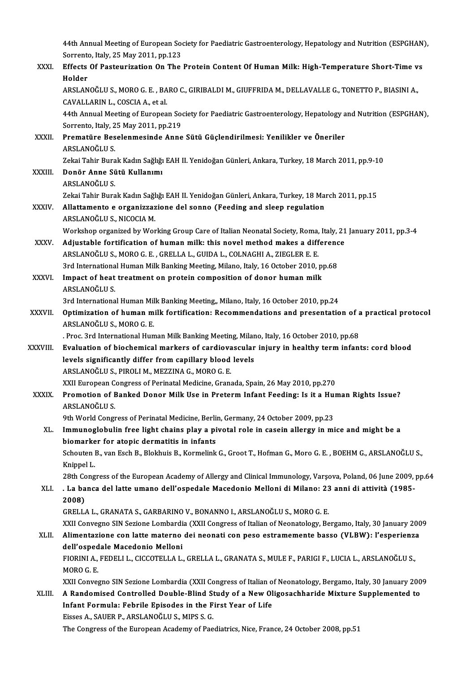44th Annual Meeting of European Society for Paediatric Gastroenterology, Hepatology and Nutrition (ESPGHAN),<br>Serrente Jtaly, 25 May 2011, np.123 44th Annual Meeting of European Soo<br>Sorrento, Italy, 25 May 2011, pp.123<br>Effects Of Besteunization On The 44th Annual Meeting of European Society for Paediatric Gastroenterology, Hepatology and Nutrition (ESPGHAN<br>Sorrento, Italy, 25 May 2011, pp.123<br>XXXI. Effects Of Pasteurization On The Protein Content Of Human Milk: High-Tem

|               | Sorrento, Italy, 25 May 2011, pp.123                                                                           |
|---------------|----------------------------------------------------------------------------------------------------------------|
| XXXI.         | Effects Of Pasteurization On The Protein Content Of Human Milk: High-Temperature Short-Time vs                 |
|               | Holder                                                                                                         |
|               | ARSLANOĞLU S., MORO G. E., BARO C., GIRIBALDI M., GIUFFRIDA M., DELLAVALLE G., TONETTO P., BIASINI A.,         |
|               | CAVALLARIN L., COSCIA A., et al.                                                                               |
|               | 44th Annual Meeting of European Society for Paediatric Gastroenterology, Hepatology and Nutrition (ESPGHAN),   |
|               | Sorrento, Italy, 25 May 2011, pp.219                                                                           |
| XXXII.        | Prematüre Beselenmesinde Anne Sütü Güçlendirilmesi: Yenilikler ve Öneriler                                     |
|               | ARSLANOĞLU S                                                                                                   |
|               | Zekai Tahir Burak Kadın Sağlığı EAH II. Yenidoğan Günleri, Ankara, Turkey, 18 March 2011, pp.9-10              |
| XXXIII.       | Donör Anne Sütü Kullanımı                                                                                      |
|               | ARSLANOĞLU S.                                                                                                  |
|               | Zekai Tahir Burak Kadın Sağlığı EAH II. Yenidoğan Günleri, Ankara, Turkey, 18 March 2011, pp.15                |
| XXXIV.        | Allattamento e organizzazione del sonno (Feeding and sleep regulation                                          |
|               | ARSLANOĞLU S., NICOCIA M.                                                                                      |
|               | Workshop organized by Working Group Care of Italian Neonatal Society, Roma, Italy, 21 January 2011, pp.3-4     |
| <b>XXXV</b>   | Adjustable fortification of human milk: this novel method makes a difference                                   |
|               | ARSLANOĞLU S., MORO G. E., GRELLA L., GUIDA L., COLNAGHI A., ZIEGLER E. E.                                     |
|               | 3rd International Human Milk Banking Meeting, Milano, Italy, 16 October 2010, pp.68                            |
| XXXVI.        | Impact of heat treatment on protein composition of donor human milk                                            |
|               | ARSLANOĞLU S.                                                                                                  |
|               | 3rd International Human Milk Banking Meeting,, Milano, Italy, 16 October 2010, pp.24                           |
| <b>XXXVII</b> | Optimization of human milk fortification: Recommendations and presentation of a practical protocol             |
|               | ARSLANOĞLU S., MORO G. E.                                                                                      |
|               | . Proc. 3rd International Human Milk Banking Meeting, Milano, Italy, 16 October 2010, pp.68                    |
| XXXVIII.      | Evaluation of biochemical markers of cardiovascular injury in healthy term infants: cord blood                 |
|               | levels significantly differ from capillary blood levels                                                        |
|               | ARSLANOĞLU S., PIROLI M., MEZZINA G., MORO G. E.                                                               |
|               | XXII European Congress of Perinatal Medicine, Granada, Spain, 26 May 2010, pp.270                              |
| XXXIX.        | Promotion of Banked Donor Milk Use in Preterm Infant Feeding: Is it a Human Rights Issue?<br>ARSLANOĞLU S.     |
|               | 9th World Congress of Perinatal Medicine, Berlin, Germany, 24 October 2009, pp.23                              |
| XL.           | Immunoglobulin free light chains play a pivotal role in casein allergy in mice and might be a                  |
|               | biomarker for atopic dermatitis in infants                                                                     |
|               | Schouten B., van Esch B., Blokhuis B., Kormelink G., Groot T., Hofman G., Moro G. E., BOEHM G., ARSLANOGLU S., |
|               | Knippel L.                                                                                                     |
|               | 28th Congress of the European Academy of Allergy and Clinical Immunology, Varsova, Poland, 06 June 2009, pp.64 |
| XLI.          | -La banca del latte umano dell'ospedale Macedonio Melloni di Milano: 23 anni di attività (1985-                |
|               | 2008)                                                                                                          |
|               | GRELLA L., GRANATA S., GARBARINO V., BONANNO I., ARSLANOĞLU S., MORO G. E.                                     |
|               | XXII Convegno SIN Sezione Lombardia (XXII Congress of Italian of Neonatology, Bergamo, Italy, 30 January 2009  |
| XLII.         | Alimentazione con latte materno dei neonati con peso estramemente basso (VLBW): l'esperienza                   |
|               | dell'ospedale Macedonio Melloni                                                                                |
|               | FIORINI A., FEDELI L., CICCOTELLA L., GRELLA L., GRANATA S., MULE F., PARIGI F., LUCIA L., ARSLANOĞLU S.,      |
|               | MORO G.E.                                                                                                      |
|               | XXII Convegno SIN Sezione Lombardia (XXII Congress of Italian of Neonatology, Bergamo, Italy, 30 January 2009  |
| XLIII.        | A Randomised Controlled Double-Blind Study of a New Oligosachharide Mixture Supplemented to                    |
|               | Infant Formula: Febrile Episodes in the First Year of Life                                                     |
|               | Eisses A., SAUER P., ARSLANOĞLU S., MIPS S. G.                                                                 |
|               | The Congress of the European Academy of Paediatrics, Nice, France, 24 October 2008, pp.51                      |
|               |                                                                                                                |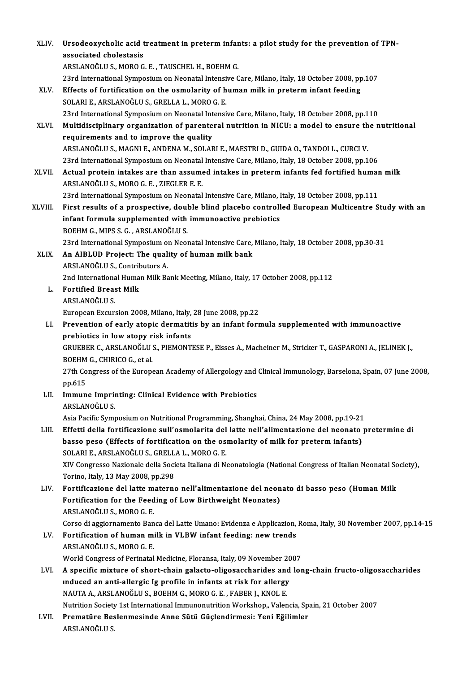| XLIV.        | Ursodeoxycholic acid treatment in preterm infants: a pilot study for the prevention of TPN-                                                  |
|--------------|----------------------------------------------------------------------------------------------------------------------------------------------|
|              | associated cholestasis                                                                                                                       |
|              | ARSLANOĞLU S., MORO G. E., TAUSCHEL H., BOEHM G.                                                                                             |
|              | 23rd International Symposium on Neonatal Intensive Care, Milano, Italy, 18 October 2008, pp.107                                              |
| XLV.         | Effects of fortification on the osmolarity of human milk in preterm infant feeding                                                           |
|              | SOLARI E., ARSLANOĞLU S., GRELLA L., MORO G. E.                                                                                              |
|              | 23rd International Symposium on Neonatal Intensive Care, Milano, Italy, 18 October 2008, pp.110                                              |
| XLVI.        | Multidisciplinary organization of parenteral nutrition in NICU: a model to ensure the nutritional<br>requirements and to improve the quality |
|              | ARSLANOĞLU S., MAGNI E., ANDENA M., SOLARI E., MAESTRI D., GUIDA O., TANDOI L., CURCI V.                                                     |
|              | 23rd International Symposium on Neonatal Intensive Care, Milano, Italy, 18 October 2008, pp.106                                              |
| <b>XLVII</b> | Actual protein intakes are than assumed intakes in preterm infants fed fortified human milk<br>ARSLANOĞLU S., MORO G. E., ZIEGLER E. E.      |
|              | 23rd International Symposium on Neonatal Intensive Care, Milano, Italy, 18 October 2008, pp.111                                              |
| XLVIII.      | First results of a prospective, double blind placebo controlled European Multicentre Study with an                                           |
|              | infant formula supplemented with immunoactive prebiotics                                                                                     |
|              | BOEHM G., MIPS S. G., ARSLANOĞLU S.                                                                                                          |
|              | 23rd International Symposium on Neonatal Intensive Care, Milano, Italy, 18 October 2008, pp.30-31                                            |
| XLIX.        | An AIBLUD Project: The quality of human milk bank                                                                                            |
|              | ARSLANOĞLU S., Contributors A.                                                                                                               |
|              | 2nd International Human Milk Bank Meeting, Milano, Italy, 17 October 2008, pp.112                                                            |
| L.           | <b>Fortified Breast Milk</b>                                                                                                                 |
|              | ARSLANOĞLU S.                                                                                                                                |
|              | European Excursion 2008, Milano, Italy, 28 June 2008, pp.22                                                                                  |
| LI           | Prevention of early atopic dermatitis by an infant formula supplemented with immunoactive                                                    |
|              | prebiotics in low atopy risk infants                                                                                                         |
|              | GRUEBER C., ARSLANOĞLU S., PIEMONTESE P., Eisses A., Macheiner M., Stricker T., GASPARONI A., JELINEK J.,                                    |
|              | BOEHM G., CHIRICO G., et al.                                                                                                                 |
|              | 27th Congress of the European Academy of Allergology and Clinical Immunology, Barselona, Spain, 07 June 2008,                                |
| LII.         | pp.615                                                                                                                                       |
|              | Immune Imprinting: Clinical Evidence with Prebiotics<br>ARSLANOĞLU S.                                                                        |
|              | Asia Pacific Symposium on Nutritional Programming, Shanghai, China, 24 May 2008, pp.19-21                                                    |
| LIII.        | Effetti della fortificazione sull'osmolarita del latte nell'alimentazione del neonato pretermine di                                          |
|              | basso peso (Effects of fortification on the osmolarity of milk for preterm infants)                                                          |
|              | SOLARI E., ARSLANOĞLU S., GRELLA L., MORO G. E.                                                                                              |
|              | XIV Congresso Nazionale della Societa Italiana di Neonatologia (National Congress of Italian Neonatal Society),                              |
|              | Torino, Italy, 13 May 2008, pp.298                                                                                                           |
| LIV.         | Fortificazione del latte materno nell'alimentazione del neonato di basso peso (Human Milk                                                    |
|              | Fortification for the Feeding of Low Birthweight Neonates)                                                                                   |
|              | ARSLANOĞLU S., MORO G. E.                                                                                                                    |
|              | Corso di aggiornamento Banca del Latte Umano: Evidenza e Applicazion, Roma, Italy, 30 November 2007, pp.14-15                                |
| LV.          | Fortification of human milk in VLBW infant feeding: new trends                                                                               |
|              | ARSLANOĞLU S., MORO G. E.                                                                                                                    |
|              | World Congress of Perinatal Medicine, Floransa, Italy, 09 November 2007                                                                      |
| LVI.         | A specific mixture of short-chain galacto-oligosaccharides and long-chain fructo-oligosaccharides                                            |
|              | induced an anti-allergic Ig profile in infants at risk for allergy                                                                           |
|              | NAUTA A., ARSLANOĞLU S., BOEHM G., MORO G. E., FABER J., KNOL E.                                                                             |
|              | Nutrition Society 1st International Immunonutrition Workshop,, Valencia, Spain, 21 October 2007                                              |
| LVII.        | Prematüre Beslenmesinde Anne Sütü Güçlendirmesi: Yeni Eğilimler<br>ARSLANOĞLU S.                                                             |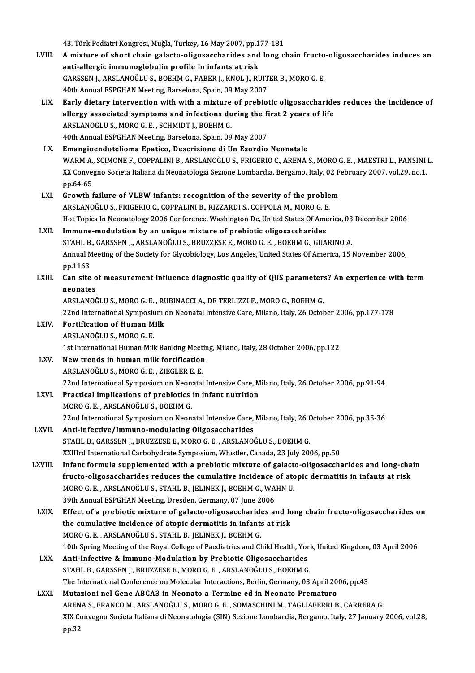43.TürkPediatriKongresi,Muğla,Turkey,16May2007,pp.177-181 43. Türk Pediatri Kongresi, Muğla, Turkey, 16 May 2007, pp.177-181<br>LVIII. A mixture of short chain galacto-oligosaccharides and long chain fructo-oligosaccharides induces an<br>anti alleggia immuneslabulin profile in infe 43. Türk Pediatri Kongresi, Muğla, Turkey, 16 May 2007, pp.1<br>A mixture of short chain galacto-oligosaccharides and<br>anti-allergic immunoglobulin profile in infants at risk<br>GARSEN LARSLANQČLUS, ROEYM G. FARER L. KNOLL RI A mixture of short chain galacto-oligosaccharides and long chain fructo<br>anti-allergic immunoglobulin profile in infants at risk<br>GARSSEN J., ARSLANOĞLU S., BOEHM G., FABER J., KNOL J., RUITER B., MORO G. E.<br>40th Annual ESPC anti-allergic immunoglobulin profile in infants at risk<br>GARSSEN J., ARSLANOĞLU S., BOEHM G., FABER J., KNOL J., RUITER B., MORO G. E.<br>40th Annual ESPGHAN Meeting, Barselona, Spain, 09 May 2007 GARSSEN J., ARSLANOĞLU S., BOEHM G., FABER J., KNOL J., RUITER B., MORO G. E.<br>40th Annual ESPGHAN Meeting, Barselona, Spain, 09 May 2007<br>LIX. Early dietary intervention with with a mixture of prebiotic oligosaccharides red 40th Annual ESPGHAN Meeting, Barselona, Spain, 09 May 2007<br>Early dietary intervention with with a mixture of prebiotic oligosaccharide<br>allergy associated symptoms and infections during the first 2 years of life<br>ARSLANOČLUS Early dietary intervention with with a mixture<br>allergy associated symptoms and infections du<br>ARSLANOĞLU S., MORO G. E. , SCHMIDT J., BOEHM G.<br>40th Annual ESPCHAN Meeting Barselons Spain, 09 allergy associated symptoms and infections during the fi<br>ARSLANOĞLU S., MORO G. E. , SCHMIDT J., BOEHM G.<br>40th Annual ESPGHAN Meeting, Barselona, Spain, 09 May 2007<br>Emangioandateliama Enatise, Descripiane di Un Esendie ARSLANOĞLU S., MORO G. E. , SCHMIDT J., BOEHM G.<br>40th Annual ESPGHAN Meeting, Barselona, Spain, 09 May 2007<br>LX. Emangioendotelioma Epatico, Descrizione di Un Esordio Neonatale 40th Annual ESPGHAN Meeting, Barselona, Spain, 09 May 2007<br><mark>Emangioendotelioma Epatico, Descrizione di Un Esordio Neonatale</mark><br>WARM A., SCIMONE F., COPPALINI B., ARSLANOĞLU S., FRIGERIO C., ARENA S., MORO G. E. , MAESTRI L., Emangioendotelioma Epatico, Descrizione di Un Esordio Neonatale<br>WARM A., SCIMONE F., COPPALINI B., ARSLANOĞLU S., FRIGERIO C., ARENA S., MORO G. E. , MAESTRI L., PANSINI<br>XX Convegno Societa Italiana di Neonatologia Sezione WARM A.,<br>XX Conve<sub>l</sub><br>pp.64-65<br>Crouth f XX Convegno Societa Italiana di Neonatologia Sezione Lombardia, Bergamo, Italy, 02 F<br>pp.64-65<br>LXI. Growth failure of VLBW infants: recognition of the severity of the problem<br>ARSLANOČLUS ERICERIO G CORRALINUR, RIZZARDUS COR pp.64-65<br>Growth failure of VLBW infants: recognition of the severity of the proble<br>ARSLANOĞLU S., FRIGERIO C., COPPALINI B., RIZZARDI S., COPPOLA M., MORO G. E.<br>Het Topics In Neonatology 2006 Conference Weshington De Unite Growth failure of VLBW infants: recognition of the severity of the problem<br>ARSLANOĞLU S., FRIGERIO C., COPPALINI B., RIZZARDI S., COPPOLA M., MORO G. E.<br>Hot Topics In Neonatology 2006 Conference, Washington Dc, United Stat ARSLANOĞLU S., FRIGERIO C., COPPALINI B., RIZZARDI S., COPPOLA M., MORO G. E.<br>Hot Topics In Neonatology 2006 Conference, Washington Dc, United States Of America, 03<br>LXII. Immune-modulation by an unique mixture of prebiotic Hot Topics In Neonatology 2006 Conference, Washington Dc, United States Of America, 03<br>Immune-modulation by an unique mixture of prebiotic oligosaccharides<br>STAHL B., GARSSEN J., ARSLANOĞLU S., BRUZZESE E., MORO G. E. , BOE I<mark>mmune-modulation by an unique mixture of prebiotic oligosaccharides</mark><br>STAHL B., GARSSEN J., ARSLANOĞLU S., BRUZZESE E., MORO G. E. , BOEHM G., GUARINO A.<br>Annual Meeting of the Society for Glycobiology, Los Angeles, United STAHL B.<br>Annual M<br>pp.1163 Annual Meeting of the Society for Glycobiology, Los Angeles, United States Of America, 15 November 2006,<br>pp.1163<br>LXIII. Can site of measurement influence diagnostic quality of QUS parameters? An experience with term pp.1163<br>Can site o<br>neonates<br>APSI ANOČ Can site of measurement influence diagnostic quality of QUS parameter:<br>neonates<br>ARSLANOĞLU S., MORO G. E. , RUBINACCI A., DE TERLIZZI F., MORO G., BOEHM G.<br>22nd International Sumnesium on Neonatal Intensive Care Milane, It neonates<br>ARSLANOĞLU S., MORO G. E. , RUBINACCI A., DE TERLIZZI F., MORO G., BOEHM G.<br>22nd International Symposium on Neonatal Intensive Care, Milano, Italy, 26 October 2006, pp.177-178<br>Fortification of Human Mill ARSLANOĞLU S., MORO G. E. , RUBINACCI A., DE TERLIZZI F., MORO G., BOEHM G.<br>22nd International Symposium on Neonatal Intensive Care, Milano, Italy, 26 Octol<br>LXIV. Fortification of Human Milk<br>ARSLANOĞLU S., MORO G. E. 22nd International Symposit<br>Fortification of Human M<br>ARSLANOĞLU S., MORO G. E.<br>1st International Human Mill Fortification of Human Milk<br>ARSLANOĞLU S., MORO G. E.<br>1st International Human Milk Banking Meeting, Milano, Italy, 28 October 2006, pp.122<br>Navy tranda in buman milk fortification ARSLANOĞLU S., MORO G. E.<br>1st International Human Milk Banking Meetir<br>LXV. New trends in human milk fortification New trends in human milk fortification<br>ARSLANOĞLU S., MORO G. E., ZIEGLER E. E. New trends in human milk fortification<br>ARSLANOĞLU S., MORO G. E. , ZIEGLER E. E.<br>22nd International Symposium on Neonatal Intensive Care, Milano, Italy, 26 October 2006, pp.91-94<br>Prestisel implications of prebiotise in inf ARSLANOĞLU S., MORO G. E., ZIEGLER E. E.<br>22nd International Symposium on Neonatal Intensive Care, M<br>LXVI. Practical implications of prebiotics in infant nutrition<br>MORO G. E., ARSLANOĞLU S. POEUM G. Practical implications of prebiotics in infant nutrition<br>MORO G. E., ARSLANOĞLU S., BOEHM G. 22nd International Symposium on Neonatal Intensive Care, Milano, Italy, 26 October 2006, pp.35-36 LXVII. Anti-infective/Immuno-modulating Oligosaccharides STAHL B., GARSSEN J., BRUZZESE E., MORO G. E., ARSLANOĞLU S., BOEHM G. XXIIIrd International Carbohydrate Symposium, Whistler, Canada, 23 July 2006, pp.50 LXVIII. Infant formula supplemented with a prebiotic mixture of galacto-oligosaccharides and long-chain XXIIIrd International Carbohydrate Symposium, Whistler, Canada, 23 July 2006, pp.50<br>Infant formula supplemented with a prebiotic mixture of galacto-oligosaccharides and long-cha<br>fructo-oligosaccharides reduces the cumulati Infant formula supplemented with a prebiotic mixture of galact<br>fructo-oligosaccharides reduces the cumulative incidence of ato<br>MORO G. E., ARSLANOĞLU S., STAHL B., JELINEK J., BOEHM G., WAHN U.<br>20th Annual ESBCHAN Mesting fructo-oligosaccharides reduces the cumulative incidence<br>MORO G. E. , ARSLANOĞLU S., STAHL B., JELINEK J., BOEHM G., WA<br>39th Annual ESPGHAN Meeting, Dresden, Germany, 07 June 2006<br>Effect of a probiotic mixture of galacte o MORO G. E. , ARSLANOĞLU S., STAHL B., JELINEK J., BOEHM G., WAHN U.<br>39th Annual ESPGHAN Meeting, Dresden, Germany, 07 June 2006<br>LXIX. Effect of a prebiotic mixture of galacto-oligosaccharides and long chain fructo-oligosac 39th Annual ESPGHAN Meeting, Dresden, Germany, 07 June 2006<br>Effect of a prebiotic mixture of galacto-oligosaccharides and lo<br>the cumulative incidence of atopic dermatitis in infants at risk<br>MORO C. E., ARSLANOČLUS, STAHL R Effect of a prebiotic mixture of galacto-oligosaccharide<br>the cumulative incidence of atopic dermatitis in infants<br>MORO G. E., ARSLANOĞLU S., STAHL B., JELINEK J., BOEHM G.<br>10th Spring Meeting of the Boyal College of Boedis the cumulative incidence of atopic dermatitis in infants at risk<br>MORO G. E. , ARSLANOĞLU S., STAHL B., JELINEK J., BOEHM G.<br>10th Spring Meeting of the Royal College of Paediatrics and Child Health, York, United Kingdom, 03 MORO G. E., ARSLANOĞLU S., STAHL B., JELINEK J., BOEHM G.<br>10th Spring Meeting of the Royal College of Paediatrics and Child Health, Yor<br>LXX. Anti-Infective & Immuno-Modulation by Prebiotic Oligosaccharides<br>5TAHL B. GARSEN 10th Spring Meeting of the Royal College of Paediatrics and Child Health, Yorl<br>Anti-Infective & Immuno-Modulation by Prebiotic Oligosaccharides<br>STAHL B., GARSSEN J., BRUZZESE E., MORO G. E. , ARSLANOĞLU S., BOEHM G.<br>The In Anti-Infective & Immuno-Modulation by Prebiotic Oligosaccharides<br>STAHL B., GARSSEN J., BRUZZESE E., MORO G. E. , ARSLANOĞLU S., BOEHM G.<br>The International Conference on Molecular Interactions, Berlin, Germany, 03 April 200 LXXI. Mutazioni nel Gene ABCA3 in Neonato a Termine ed in Neonato Prematuro ARENAS.,FRANCOM.,ARSLANOĞLUS.,MOROG.E. ,SOMASCHINIM.,TAGLIAFERRIB.,CARRERAG. Mutazioni nel Gene ABCA3 in Neonato a Termine ed in Neonato Prematuro<br>ARENA S., FRANCO M., ARSLANOĞLU S., MORO G. E. , SOMASCHINI M., TAGLIAFERRI B., CARRERA G.<br>XIX Convegno Societa Italiana di Neonatologia (SIN) Sezione L AREN<br>XIX C<br>pp.32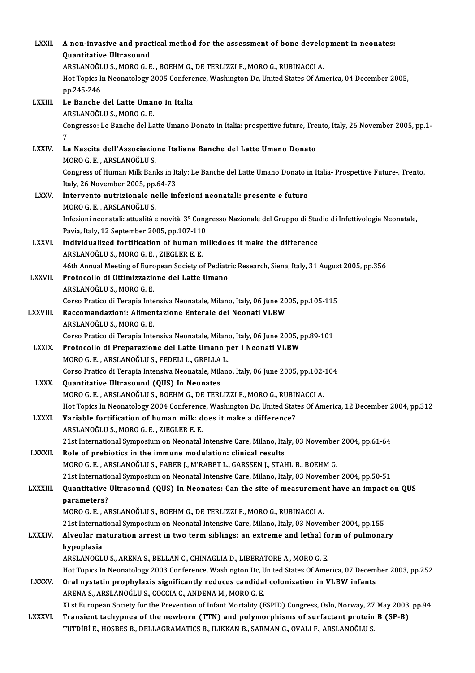| <b>LXXII</b> . | A non-invasive and practical method for the assessment of bone development in neonates:                                                            |
|----------------|----------------------------------------------------------------------------------------------------------------------------------------------------|
|                | Quantitative Ultrasound                                                                                                                            |
|                | ARSLANOĞLU S., MORO G. E., BOEHM G., DE TERLIZZI F., MORO G., RUBINACCI A.                                                                         |
|                | Hot Topics In Neonatology 2005 Conference, Washington Dc, United States Of America, 04 December 2005,                                              |
|                | pp 245-246                                                                                                                                         |
| LXXIII.        | Le Banche del Latte Umano in Italia                                                                                                                |
|                | ARSLANOĞLU S., MORO G. E.                                                                                                                          |
|                | Congresso: Le Banche del Latte Umano Donato in Italia: prospettive future, Trento, Italy, 26 November 2005, pp.1-                                  |
|                | 7                                                                                                                                                  |
| <b>LXXIV</b>   | La Nascita dell'Associazione Italiana Banche del Latte Umano Donato                                                                                |
|                | MORO G. E., ARSLANOĞLU S.                                                                                                                          |
|                | Congress of Human Milk Banks in Italy: Le Banche del Latte Umano Donato in Italia- Prospettive Future-, Trento,                                    |
|                | Italy, 26 November 2005, pp.64-73                                                                                                                  |
| <b>LXXV</b>    | Intervento nutrizionale nelle infezioni neonatali: presente e futuro                                                                               |
|                | MORO G. E., ARSLANOĞLU S.                                                                                                                          |
|                | Infezioni neonatali: attualità e novità. 3º Congresso Nazionale del Gruppo di Studio di Infettivologia Neonatale,                                  |
|                | Pavia, Italy, 12 September 2005, pp.107-110                                                                                                        |
| LXXVI.         | Individualized fortification of human milk: does it make the difference                                                                            |
|                | ARSLANOĞLU S., MORO G. E., ZIEGLER E. E.                                                                                                           |
|                | 46th Annual Meeting of European Society of Pediatric Research, Siena, Italy, 31 August 2005, pp.356                                                |
| <b>LXXVII.</b> | Protocollo di Ottimizzazione del Latte Umano                                                                                                       |
|                | ARSLANOĞLU S., MORO G. E.                                                                                                                          |
|                | Corso Pratico di Terapia Intensiva Neonatale, Milano, Italy, 06 June 2005, pp.105-115<br>Raccomandazioni: Alimentazione Enterale dei Neonati VLBW  |
| LXXVIII.       | ARSLANOĞLU S., MORO G. E.                                                                                                                          |
|                | Corso Pratico di Terapia Intensiva Neonatale, Milano, Italy, 06 June 2005, pp.89-101                                                               |
| <b>LXXIX</b>   | Protocollo di Preparazione del Latte Umano per i Neonati VLBW                                                                                      |
|                | MORO G. E., ARSLANOĞLU S., FEDELI L., GRELLA L.                                                                                                    |
|                | Corso Pratico di Terapia Intensiva Neonatale, Milano, Italy, 06 June 2005, pp.102-104                                                              |
| <b>LXXX</b>    | Quantitative Ultrasound (QUS) In Neonates                                                                                                          |
|                | MORO G. E., ARSLANOĞLU S., BOEHM G., DE TERLIZZI F., MORO G., RUBINACCI A.                                                                         |
|                | Hot Topics In Neonatology 2004 Conference, Washington Dc, United States Of America, 12 December 2004, pp.312                                       |
| LXXXI.         | Variable fortification of human milk: does it make a difference?                                                                                   |
|                | ARSLANOĞLU S., MORO G. E., ZIEGLER E. E.                                                                                                           |
|                | 21st International Symposium on Neonatal Intensive Care, Milano, Italy, 03 November 2004, pp.61-64                                                 |
| <b>LXXXII</b>  | Role of prebiotics in the immune modulation: clinical results                                                                                      |
|                | MORO G. E., ARSLANOĞLU S., FABER J., M'RABET L., GARSSEN J., STAHL B., BOEHM G.                                                                    |
|                | 21st International Symposium on Neonatal Intensive Care, Milano, Italy, 03 November 2004, pp.50-51                                                 |
| <b>LXXXIII</b> | Quantitative Ultrasound (QUS) In Neonates: Can the site of measurement have an impact on QUS                                                       |
|                | parameters?                                                                                                                                        |
|                | MORO G. E., ARSLANOĞLU S., BOEHM G., DE TERLIZZI F., MORO G., RUBINACCI A.                                                                         |
|                | 21st International Symposium on Neonatal Intensive Care, Milano, Italy, 03 November 2004, pp.155                                                   |
| <b>LXXXIV</b>  | Alveolar maturation arrest in two term siblings: an extreme and lethal form of pulmonary                                                           |
|                | hypoplasia                                                                                                                                         |
|                | ARSLANOĞLU S., ARENA S., BELLAN C., CHINAGLIA D., LIBERATORE A., MORO G. E.                                                                        |
|                | Hot Topics In Neonatology 2003 Conference, Washington Dc, United States Of America, 07 December 2003, pp.252                                       |
| <b>LXXXV</b>   | Oral nystatin prophylaxis significantly reduces candidal colonization in VLBW infants<br>ARENA S., ARSLANOĞLU S., COCCIA C., ANDENA M., MORO G. E. |
|                | XI st European Society for the Prevention of Infant Mortality (ESPID) Congress, Oslo, Norway, 27 May 2003, pp.94                                   |
| LXXXVI.        | Transient tachypnea of the newborn (TTN) and polymorphisms of surfactant protein B (SP-B)                                                          |
|                | TUTDIBI E., HOSBES B., DELLAGRAMATICS B., ILIKKAN B., SARMAN G., OVALI F., ARSLANOĞLU S.                                                           |
|                |                                                                                                                                                    |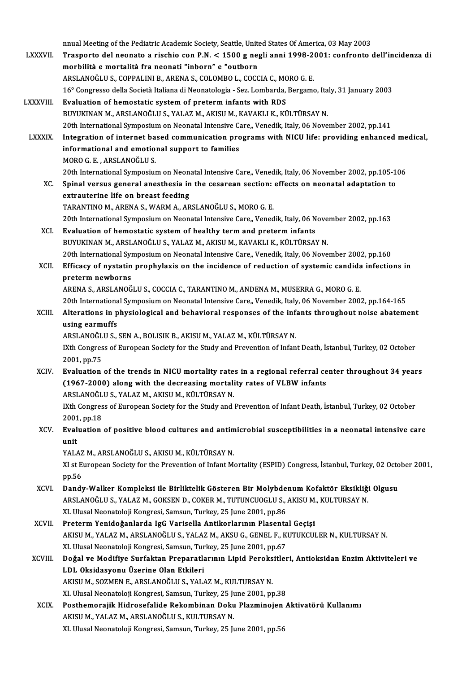nnual Meeting of the Pediatric Academic Society, Seattle, United States Of America, 03 May 2003<br>Treaperts del neenate e rischie son P.N. < 1500 g negli anni 1998-2001; confrente nnual Meeting of the Pediatric Academic Society, Seattle, United States Of America, 03 May 2003<br>LXXXVII. Trasporto del neonato a rischio con P.N. < 1500 g negli anni 1998-2001: confronto dell'incidenza di nnual Meeting of the Pediatric Academic Society, Seattle, Unite<br>Trasporto del neonato a rischio con P.N. < 1500 g nea<br>morbilità e mortalità fra neonati "inborn" e "outborn<br>ARSI ANQČLUS, CORRALINI B. ARENA S. COLOMBO L. COC Trasporto del neonato a rischio con P.N. < 1500 g negli anni 1998-2001: confronto dell'incidenza di<br>morbilità e mortalità fra neonati "inborn" e "outborn<br>ARSLANOĞLU S., COPPALINI B., ARENA S., COLOMBO L., COCCIA C., MORO G morbilità e mortalità fra neonati "inborn" e "outborn<br>ARSLANOĞLU S., COPPALINI B., ARENA S., COLOMBO L., COCCIA C., MORO G. E.<br>16° Congresso della Società Italiana di Neonatologia - Sez. Lombarda, Bergamo, Italy, 31 Januar ARSLANOĞLU S., COPPALINI B., ARENA S., COLOMBO L., COCCIA C., MC<br>16° Congresso della Società Italiana di Neonatologia - Sez. Lombarda,<br>LXXXVIII. Evaluation of hemostatic system of preterm infants with RDS<br>PIIVIIENAN M. ARS Evaluation of hemostatic system of preterm infants with RDS<br>BUYUKINAN M., ARSLANOĞLU S., YALAZ M., AKISU M., KAVAKLI K., KÜLTÜRSAY N. 20th International Symposium on Neonatal Intensive Care,, Venedik, Italy, 06 November 2002, pp.141 LXXXIX. Integration of internet based communication programs with NICU life: providing enhanced medical, 20th International Symposium on Neonatal Intensive Cannot Integration of internet based communication pro<br>informational and emotional support to families<br>MORO G E - ARSI ANOČLUS Integration of internet ba<br>informational and emotio<br>MORO G. E. , ARSLANOĞLU S.<br>20th International Sumnesius 20th International Symposium on Neonatal Intensive Care,, Venedik, Italy, 06 November 2002, pp.105-106<br>20th International Symposium on Neonatal Intensive Care,, Venedik, Italy, 06 November 2002, pp.105-106 XC. Spinal versus general anesthesia in the cesarean section: effects on neonatal adaptation to extrauterine life on breast feeding TARANTINOM.,ARENAS.,WARMA.,ARSLANOĞLUS.,MOROG.E. extrauterine life on breast feeding<br>TARANTINO M., ARENA S., WARM A., ARSLANOĞLU S., MORO G. E.<br>20th International Symposium on Neonatal Intensive Care,, Venedik, Italy, 06 November 2002, pp.163<br>Evaluation of hamostatis sys XCI. Evaluation of hemostatic system of healthy term and preterm infants<br>BUYUKINAN M., ARSLANOĞLU S., YALAZ M., AKISU M., KAVAKLI K., KÜLTÜRSAY N. 20th International Symposium on Neonatal Intensive Care,, Venedik, Italy, 06 Nove<br>Evaluation of hemostatic system of healthy term and preterm infants<br>BUYUKINAN M., ARSLANOĞLU S., YALAZ M., AKISU M., KAVAKLI K., KÜLTÜRSAY N Evaluation of hemostatic system of healthy term and preterm infants<br>BUYUKINAN M., ARSLANOĞLU S., YALAZ M., AKISU M., KAVAKLI K., KÜLTÜRSAY N.<br>20th International Symposium on Neonatal Intensive Care,, Venedik, Italy, 06 Nov BUYUKINAN M., ARSLANOĞLU S., YALAZ M., AKISU M., KAVAKLI K., KÜLTÜRSAY N.<br>20th International Symposium on Neonatal Intensive Care,, Venedik, Italy, 06 November 2002, pp.160<br>XCII. Efficacy of nystatin prophylaxis on the inc 20th International Syn<br>Efficacy of nystatin<br>preterm newborns Efficacy of nystatin prophylaxis on the incidence of reduction of systemic candida<br>preterm newborns<br>ARENA S., ARSLANOĞLU S., COCCIA C., TARANTINO M., ANDENA M., MUSERRA G., MORO G. E.<br>20th International Symposium on Neonat preterm newborns<br>ARENA S., ARSLANOĞLU S., COCCIA C., TARANTINO M., ANDENA M., MUSERRA G., MORO G. E.<br>20th International Symposium on Neonatal Intensive Care,, Venedik, Italy, 06 November 2002, pp.164-165<br>Alterations in phy ARENA S., ARSLANOĞLU S., COCCIA C., TARANTINO M., ANDENA M., MUSERRA G., MORO G. E.<br>20th International Symposium on Neonatal Intensive Care,, Venedik, Italy, 06 November 2002, pp.164-165<br>XCIII. Alterations in physiological 20th Internationa<br>Alterations in p<br>using earmuffs<br>APSI ANOČLUS Alterations in physiological and behavioral responses of the infations are distinguished and behavioral responses of the infations.<br>ARSLANOĞLU S., SEN A., BOLISIK B., AKISU M., YALAZ M., KÜLTÜRSAY N.<br>I<sup>Vth</sup> Congress of Eur using earmuffs<br>ARSLANOĞLU S., SEN A., BOLISIK B., AKISU M., YALAZ M., KÜLTÜRSAY N.<br>IXth Congress of European Society for the Study and Prevention of Infant Death, İstanbul, Turkey, 02 October<br>2001, pp.75 ARSLANOĞLU S., SEN A., BOLISIK B., AKISU M., YALAZ M., KÜLTÜRSAY N. IXth Congress of European Society for the Study and Prevention of Infant Death, İstanbul, Turkey, 02 October<br>2001, pp.75<br>XCIV. Evaluation of the trends in NICU mortality rates in a regional referral center throughout 34 ye 2001, pp.75<br>Evaluation of the trends in NICU mortality rates in a regional referral ce<br>(1967-2000) along with the decreasing mortality rates of VLBW infants<br>ARSLANOČLUS, VALAZ M. AKISUM, KÜLTÜRAV N Evaluation of the trends in NICU mortality rate<br>(1967-2000) along with the decreasing mortali<br>ARSLANOĞLU S., YALAZ M., AKISU M., KÜLTÜRSAY N.<br>I<sup>Vth</sup> Congress of European Sociaty for the Study and (1967-2000) along with the decreasing mortality rates of VLBW infants<br>ARSLANOĞLU S., YALAZ M., AKISU M., KÜLTÜRSAY N.<br>IXth Congress of European Society for the Study and Prevention of Infant Death, İstanbul, Turkey, 02 Oct ARSLANOĞL<br>IXth Congres<br>2001, pp.18<br>Evaluation IXth Congress of European Society for the Study and Prevention of Infant Death, İstanbul, Turkey, 02 October<br>2001, pp.18<br>XCV. Evaluation of positive blood cultures and antimicrobial susceptibilities in a neonatal intensive 2001<br>Eval<br>unit<br><sup>VAL</sup> Evaluation of positive blood cultures and anti<mark>n</mark><br>unit<br>YALAZ M., ARSLANOĞLU S., AKISU M., KÜLTÜRSAY N.<br>YLet European Sesisty for the Prevention of Infant M. unit<br>YALAZ M., ARSLANOĞLU S., AKISU M., KÜLTÜRSAY N.<br>XI st European Society for the Prevention of Infant Mortality (ESPID) Congress, İstanbul, Turkey, 02 October 2001,<br>PD 56 YALAZ<br>XI st E<br>pp.56<br>Dandr XI st European Society for the Prevention of Infant Mortality (ESPID) Congress, İstanbul, Turkey, 02 Octo<br>pp.56<br>XCVI. Dandy-Walker Kompleksi ile Birliktelik Gösteren Bir Molybdenum Kofaktör Eksikliği Olgusu<br>APSI ANOČLUS XA pp.56<br>Dandy-Walker Kompleksi ile Birliktelik Gösteren Bir Molybdenum Kofaktör Eksikliği Olgusu<br>ARSLANOĞLU S., YALAZ M., GOKSEN D., COKER M., TUTUNCUOGLU S., AKISU M., KULTURSAY N. XI. Ulusal Neonatoloji Kongresi, Samsun, Turkey, 25 June 2001, pp.86 ARSLANOĞLU S., YALAZ M., GOKSEN D., COKER M., TUTUNCUOGLU S., AKISU M.<br>XI. Ulusal Neonatoloji Kongresi, Samsun, Turkey, 25 June 2001, pp.86<br>XCVII. Preterm Yenidoğanlarda IgG Varisella Antikorlarının Plasental Geçişi AKISU M., YALAZ M., ARSLANOĞLU S., YALAZ M., AKSU G., GENEL F., KUTUKCULER N., KULTURSAY N. Preterm Yenidoğanlarda IgG Varisella Antikorlarının Plasenta<br>AKISU M., YALAZ M., ARSLANOĞLU S., YALAZ M., AKSU G., GENEL F., K<br>XI. Ulusal Neonatoloji Kongresi, Samsun, Turkey, 25 June 2001, pp.67<br>Doğal ve Modifiye Surfakta XCVIII. Doğal ve Modifiye Surfaktan Preparatlarının Lipid Peroksitleri, Antioksidan Enzim Aktiviteleri ve<br>LDL Oksidasyonu Üzerine Olan Etkileri XI. Ulusal Neonatoloji Kongresi, Samsun, Turkey, 25 June 2001, pp.67 Doğal ve Modifiye Surfaktan Preparatlarının Lipid Peroks<br>LDL Oksidasyonu Üzerine Olan Etkileri<br>AKISU M., SOZMEN E., ARSLANOĞLU S., YALAZ M., KULTURSAY N.<br>YL Ulusel Neenateleji Kengresi Semsun Turkey 25 June 2001 nr LDL Oksidasyonu Üzerine Olan Etkileri<br>AKISU M., SOZMEN E., ARSLANOĞLU S., YALAZ M., KULTURSAY N.<br>XI. Ulusal Neonatoloji Kongresi, Samsun, Turkey, 25 June 2001, pp.38<br>Pesthemorejik Hidrosefalide Bekembinen Deku Blazminejen. AKISU M., SOZMEN E., ARSLANOĞLU S., YALAZ M., KULTURSAY N.<br>XI. Ulusal Neonatoloji Kongresi, Samsun, Turkey, 25 June 2001, pp.38<br>XCIX. Posthemorajik Hidrosefalide Rekombinan Doku Plazminojen Aktivatörü Kullanımı XI. Ulusal Neonatoloji Kongresi, Samsun, Turkey, 25 Ju<br>Posthemorajik Hidrosefalide Rekombinan Doku<br>AKISU M., YALAZ M., ARSLANOĞLU S., KULTURSAY N.<br>YL Ulusal Neonatoleji Kongresi, Samsun, Turkey, 25 J. Posthemorajik Hidrosefalide Rekombinan Doku Plazminojen<br>AKISU M., YALAZ M., ARSLANOĞLU S., KULTURSAY N.<br>XI. Ulusal Neonatoloji Kongresi, Samsun, Turkey, 25 June 2001, pp.56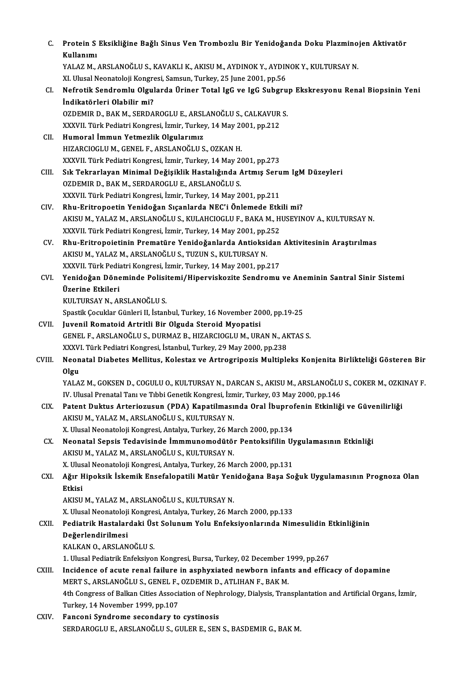| C.     | Protein S Eksikliğine Bağlı Sinus Ven Trombozlu Bir Yenidoğanda Doku Plazminojen Aktivatör<br>Kullanımı          |
|--------|------------------------------------------------------------------------------------------------------------------|
|        | YALAZ M., ARSLANOĞLU S., KAVAKLI K., AKISU M., AYDINOK Y., AYDINOK Y., KULTURSAY N.                              |
|        | XI. Ulusal Neonatoloji Kongresi, Samsun, Turkey, 25 June 2001, pp.56                                             |
| CI.    | Nefrotik Sendromlu Olgularda Üriner Total IgG ve IgG Subgrup Ekskresyonu Renal Biopsinin Yeni                    |
|        | İndikatörleri Olabilir mi?                                                                                       |
|        | OZDEMIR D., BAK M., SERDAROGLU E., ARSLANOĞLU S., CALKAVUR S.                                                    |
|        | XXXVII. Türk Pediatri Kongresi, İzmir, Turkey, 14 May 2001, pp.212                                               |
| CII.   | Humoral İmmun Yetmezlik Olgularımız                                                                              |
|        | HIZARCIOGLU M., GENEL F., ARSLANOĞLU S., OZKAN H.                                                                |
|        | XXXVII. Türk Pediatri Kongresi, İzmir, Turkey, 14 May 2001, pp.273                                               |
| CIII.  | Sık Tekrarlayan Minimal Değişiklik Hastalığında Artmış Serum IgM Düzeyleri                                       |
|        | OZDEMIR D., BAK M., SERDAROGLU E., ARSLANOĞLU S.                                                                 |
|        | XXXVII. Türk Pediatri Kongresi, İzmir, Turkey, 14 May 2001, pp.211                                               |
| CIV.   | Rhu-Eritropoetin Yenidoğan Sıçanlarda NEC'i Önlemede Etkili mi?                                                  |
|        | AKISU M., YALAZ M., ARSLANOĞLU S., KULAHCIOGLU F., BAKA M., HUSEYINOV A., KULTURSAY N.                           |
|        | XXXVII. Türk Pediatri Kongresi, İzmir, Turkey, 14 May 2001, pp.252                                               |
| CV.    | Rhu-Eritropoietinin Prematüre Yenidoğanlarda Antioksidan Aktivitesinin Araştırılmas                              |
|        | AKISU M., YALAZ M., ARSLANOĞLU S., TUZUN S., KULTURSAY N.                                                        |
|        | XXXVII. Türk Pediatri Kongresi, İzmir, Turkey, 14 May 2001, pp.217                                               |
| CVI.   | Yenidoğan Döneminde Polisitemi/Hiperviskozite Sendromu ve Aneminin Santral Sinir Sistemi                         |
|        | Üzerine Etkileri                                                                                                 |
|        | KULTURSAY N., ARSLANOĞLU S.                                                                                      |
|        | Spastik Çocuklar Günleri II, İstanbul, Turkey, 16 November 2000, pp 19-25                                        |
| CVII.  | Juvenil Romatoid Artritli Bir Olguda Steroid Myopatisi                                                           |
|        | GENEL F., ARSLANOĞLU S., DURMAZ B., HIZARCIOGLU M., URAN N., AKTAS S.                                            |
|        | XXXVI. Türk Pediatri Kongresi, İstanbul, Turkey, 29 May 2000, pp.238                                             |
| CVIII. | Neonatal Diabetes Mellitus, Kolestaz ve Artrogripozis Multipleks Konjenita Birlikteliği Gösteren Bir             |
|        | Olgu                                                                                                             |
|        | YALAZ M., GOKSEN D., COGULU O., KULTURSAY N., DARCAN S., AKISU M., ARSLANOĞLU S., COKER M., OZKINAY F.           |
|        | IV. Ulusal Prenatal Tanı ve Tıbbi Genetik Kongresi, İzmir, Turkey, 03 May 2000, pp.146                           |
| CIX.   | Patent Duktus Arteriozusun (PDA) Kapatilmasında Oral İbuprofenin Etkinliği ve Güvenilirliği                      |
|        | AKISU M., YALAZ M., ARSLANOĞLU S., KULTURSAY N.                                                                  |
|        | X. Ulusal Neonatoloji Kongresi, Antalya, Turkey, 26 March 2000, pp.134                                           |
| CX.    | Neonatal Sepsis Tedavisinde İmmmunomodütör Pentoksifilin Uygulamasının Etkinliği                                 |
|        | AKISU M., YALAZ M., ARSLANOĞLU S., KULTURSAY N.                                                                  |
|        | X. Ulusal Neonatoloji Kongresi, Antalya, Turkey, 26 March 2000, pp.131                                           |
| CXI.   | Ağır Hipoksik İskemik Ensefalopatili Matür Yenidoğana Başa Soğuk Uygulamasının Prognoza Olan                     |
|        | Etkisi                                                                                                           |
|        | AKISU M., YALAZ M., ARSLANOĞLU S., KULTURSAY N.                                                                  |
|        | X. Ulusal Neonatoloji Kongresi, Antalya, Turkey, 26 March 2000, pp.133                                           |
| CXII.  | Pediatrik Hastalardaki Üst Solunum Yolu Enfeksiyonlarında Nimesulidin Etkinliğinin                               |
|        | Değerlendirilmesi                                                                                                |
|        | KALKAN O., ARSLANOĞLU S.                                                                                         |
|        | 1. Ulusal Pediatrik Enfeksiyon Kongresi, Bursa, Turkey, 02 December 1999, pp.267                                 |
| CXIII. | Incidence of acute renal failure in asphyxiated newborn infants and efficacy of dopamine                         |
|        | MERT S., ARSLANOĞLU S., GENEL F., OZDEMIR D., ATLIHAN F., BAK M.                                                 |
|        | 4th Congress of Balkan Cities Association of Nephrology, Dialysis, Transplantation and Artificial Organs, İzmir, |
|        | Turkey, 14 November 1999, pp.107                                                                                 |
| CXIV.  | Fanconi Syndrome secondary to cystinosis                                                                         |
|        | SERDAROGLU E., ARSLANOĞLU S., GULER E., SEN S., BASDEMIR G., BAK M.                                              |
|        |                                                                                                                  |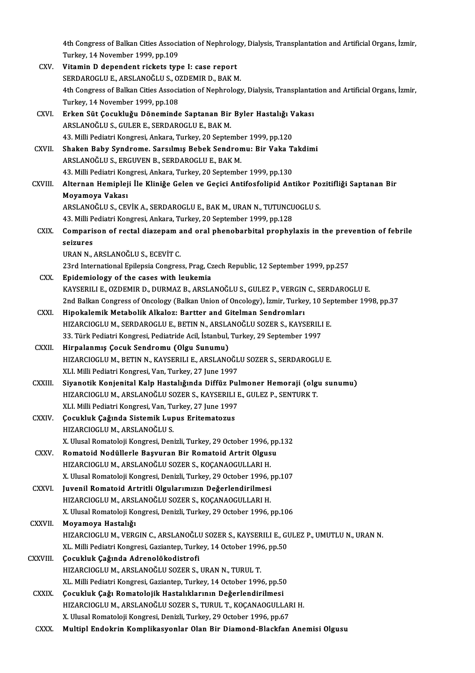4th Congress of Balkan Cities Association of Nephrology, Dialysis, Transplantation and Artificial Organs, İzmir,<br>Turkay, 14 Nevember 1999, pp.199 4th Congress of Balkan Cities Associan<br>Turkey, 14 November 1999, pp.109<br>Vitamin D dependent rickets tur Turkey, 14 November 1999, pp.109<br>CXV. Vitamin D dependent rickets type I: case report

Turkey, 14 November 1999, pp.109<br>Vitamin D dependent rickets type I: case report<br>SERDAROGLU E., ARSLANOĞLU S., OZDEMIR D., BAK M.<br>4th Congress of Ballran Cities Association of Nophrology 4th Congress of Balkan Cities Association of Nephrology, Dialysis, Transplantation and Artificial Organs, İzmir,<br>Turkey, 14 November 1999, pp.108 SERDAROGLU E., ARSLANOĞLU S., O.<br>4th Congress of Balkan Cities Associ:<br>Turkey, 14 November 1999, pp.108<br>Erken Süt Cosukluğu Döneminde 4th Congress of Balkan Cities Association of Nephrology, Dialysis, Transplanta<br>Turkey, 14 November 1999, pp.108<br>CXVI. Erken Süt Çocukluğu Döneminde Saptanan Bir Byler Hastalığı Vakası<br>APSI ANOČUUS, CULER E SERDAROCUUE BAKM Turkey, 14 November 1999, pp.108<br><mark>Erken Süt Çocukluğu Döneminde Saptanan Bir</mark><br>ARSLANOĞLU S., GULER E., SERDAROGLU E., BAK M.<br>42 Milli Pediatri Kongresi, Arkara, Turkey, 20 Santar Erken Süt Çocukluğu Döneminde Saptanan Bir Byler Hastalığı V<br>ARSLANOĞLU S., GULER E., SERDAROGLU E., BAK M.<br>43. Milli Pediatri Kongresi, Ankara, Turkey, 20 September 1999, pp.120<br>Shakan Bahy Sundrama, Sarsılmış Bahak Sandr ARSLANOĞLU S., GULER E., SERDAROGLU E., BAK M.<br>43. Milli Pediatri Kongresi, Ankara, Turkey, 20 September 1999, pp.120<br>CXVII. Shaken Baby Syndrome. Sarsılmış Bebek Sendromu: Bir Vaka Takdimi<br>ARSLANOĞLU S. ERCINIEN B. SERDAR 43. Milli Pediatri Kongresi, Ankara, Turkey, 20 September 1999, pp.120<br>Shaken Baby Syndrome. Sarsılmış Bebek Sendromu: Bir Vaka T<br>ARSLANOĞLU S., ERGUVEN B., SERDAROGLU E., BAK M.<br>43. Milli Pediatri Kongresi, Ankara, Turkey Shaken Baby Syndrome. Sarsılmış Bebek Sendromu: Bir Vaka T.<br>ARSLANOĞLU S., ERGUVEN B., SERDAROGLU E., BAK M.<br>43. Milli Pediatri Kongresi, Ankara, Turkey, 20 September 1999, pp.130<br>Altarnan Haminlaji İle Kliniže Celan ve Ce CXVIII. Alternan Hemipleji İle Kliniğe Gelen ve Geçici Antifosfolipid Antikor Pozitifliği Saptanan Bir Moyamoya Vakası Alternan Hemipleji İle Kliniğe Gelen ve Geçici Antifosfolipid Antikor Po<br>Moyamoya Vakası<br>ARSLANOĞLU S., CEVİK A., SERDAROGLU E., BAK M., URAN N., TUTUNCUOGLU S.<br>42 Milli Pediatri Kongresi, Ankara Turkey, 20 September 1999 Moyamoya Vakası<br>ARSLANOĞLU S., CEVİK A., SERDAROGLU E., BAK M., URAN N., TUTUNCU<br>43. Milli Pediatri Kongresi, Ankara, Turkey, 20 September 1999, pp.128<br>Comparison of restal diagonam and aral phonobarbital prophyl ARSLANOĞLU S., CEVİK A., SERDAROGLU E., BAK M., URAN N., TUTUNCUOGLU S.<br>43. Milli Pediatri Kongresi, Ankara, Turkey, 20 September 1999, pp.128<br>CXIX. Comparison of rectal diazepam and oral phenobarbital prophylaxis in the p 43. Milli Pediatri Kongresi, Ankara, Turkey, 20 September 1999, pp.128<br>Comparison of rectal diazepam and oral phenobarbital prophy<br>seizures<br>URAN N.. ARSLANOĞLU S.. ECEVİT C. Comparison of rectal diazepam a<br>seizures<br>URAN N., ARSLANOĞLU S., ECEVİT C.<br>22nd International Enilencia Congres 23rd International Epilepsia Congress, Prag, Czech Republic, 12 September 1999, pp.257

CXX. Epidemiology of the cases with leukemia KAYSERILIE.,OZDEMIRD.,DURMAZB.,ARSLANOĞLUS.,GULEZ P.,VERGINC.,SERDAROGLUE. Epidemiology of the cases with leukemia<br>KAYSERILI E., OZDEMIR D., DURMAZ B., ARSLANOĞLU S., GULEZ P., VERGIN C., SERDAROGLU E.<br>2nd Balkan Congress of Oncology (Balkan Union of Oncology), İzmir, Turkey, 10 September 1998, p KAYSERILI E., OZDEMIR D., DURMAZ B., ARSLANOĞLU S., GULEZ P., VERGIN<br>2nd Balkan Congress of Oncology (Balkan Union of Oncology), İzmir, Turke<br>CXXI. Hipokalemik Metabolik Alkaloz: Bartter and Gitelman Sendromları<br>2022 - Pri

- 2nd Balkan Congress of Oncology (Balkan Union of Oncology), İzmir, Turkey, 10 Sep<br>Hip**okalemik Metabolik Alkaloz: Bartter and Gitelman Sendromları**<br>HIZARCIOGLU M., SERDAROGLU E., BETIN N., ARSLANOĞLU SOZER S., KAYSERILI E. Hipokalemik Metabolik Alkaloz: Bartter and Gitelman Sendromları<br>HIZARCIOGLU M., SERDAROGLU E., BETIN N., ARSLANOĞLU SOZER S., KAYSERILI<br>33. Türk Pediatri Kongresi, Pediatride Acil, İstanbul, Turkey, 29 September 1997<br>Hirna HIZARCIOGLU M., SERDAROGLU E., BETIN N., ARSLA<br>33. Türk Pediatri Kongresi, Pediatride Acil, İstanbul,<br>CXXII. Hirpalanmış Çocuk Sendromu (Olgu Sunumu)<br>UIZARCIOCLU M. BETIN N. KAYSERILLE, ARSLANO
- 33. Türk Pediatri Kongresi, Pediatride Acil, İstanbul, Turkey, 29 September 1997<br>Hirpalanmış Çocuk Sendromu (Olgu Sunumu)<br>HIZARCIOGLU M., BETIN N., KAYSERILI E., ARSLANOĞLU SOZER S., SERDAROGLU E.<br>YLL Milli Pediatri Kongre Hirpalanmış Çocuk Sendromu (Olgu Sunumu)<br>HIZARCIOGLU M., BETIN N., KAYSERILI E., ARSLANOĞLU SOZER S., SERDAROGLU E.<br>XLI. Milli Pediatri Kongresi, Van, Turkey, 27 June 1997 HIZARCIOGLU M., BETIN N., KAYSERILI E., ARSLANOĞLU SOZER S., SERDAROGLU E.<br>XLI. Milli Pediatri Kongresi, Van, Turkey, 27 June 1997<br>CXXIII. Siyanotik Konjenital Kalp Hastalığında Diffüz Pulmoner Hemoraji (olgu sunumu)<br>HIZAR
- XLI. Milli Pediatri Kongresi, Van, Turkey, 27 June 1997<br>Siyanotik Konjenital Kalp Hastalığında Diffüz Pulmoner Hemoraji (olg<br>HIZARCIOGLU M., ARSLANOĞLU SOZER S., KAYSERILI E., GULEZ P., SENTURK T.<br>YLL Milli Pediatri Kongre Siyanotik Konjenital Kalp Hastalığında Diffüz Pul<br>HIZARCIOGLU M., ARSLANOĞLU SOZER S., KAYSERILI I<br>XLI. Milli Pediatri Kongresi, Van, Turkey, 27 June 1997<br>Cosukluk Cažunda Sistamik Lunus Eritamatarus HIZARCIOGLU M., ARSLANOĞLU SOZER S., KAYSERILI E., GULEZ P., SENTURK T.<br>XLI. Milli Pediatri Kongresi, Van, Turkey, 27 June 1997<br>CXXIV. Çocukluk Çağında Sistemik Lupus Eritematozus<br>HIZARCIOGLU M., ARSLANOĞLU S. XLI. Milli Pediatri Kongresi, Van, Turkey, 27 June 1997
- Çocukluk Çağında Sistemik Lupus Eritematozus<br>HIZARCIOGLU M., ARSLANOĞLU S.<br>X. Ulusal Romatoloji Kongresi, Denizli, Turkey, 29 October 1996, pp.132<br>Romatoid Nodüllarla Besuuran Bir Bomatoid Artrit Olsusu HIZARCIOGLU M., ARSLANOĞLU S.<br>X. Ulusal Romatoloji Kongresi, Denizli, Turkey, 29 October 1996, pp<br>CXXV. Romatoid Nodüllerle Başvuran Bir Romatoid Artrit Olgusu<br>UIZARCIOCLU M. ARSLANOĞLU SOZER S. KOCANAOCULLARLU
- X. Ulusal Romatoloji Kongresi, Denizli, Turkey, 29 October 1996, <sub>l</sub><br>Romatoid Nodüllerle Başvuran Bir Romatoid Artrit Olgus<br>HIZARCIOGLU M., ARSLANOĞLU SOZER S., KOÇANAOGULLARI H.<br>Y. Ulusal Pematoloji Kongresi, Denizli, Tur Romatoid Nodüllerle Başvuran Bir Romatoid Artrit Olgusu<br>HIZARCIOGLU M., ARSLANOĞLU SOZER S., KOÇANAOGULLARI H.<br>X. Ulusal Romatoloji Kongresi, Denizli, Turkey, 29 October 1996, pp.107<br>Iuvenil Bomatoid Artritli Olgularımızın HIZARCIOGLU M., ARSLANOĞLU SOZER S., KOÇANAOGULLARI H.<br>X. Ulusal Romatoloji Kongresi, Denizli, Turkey, 29 October 1996, <sub>I</sub><br>CXXVI. I **Juvenil Romatoid Artritli Olgularımızın Değerlendirilmesi**<br>HIZARCIOCLU M. ARSLANOĞLU SOZ
- X. Ulusal Romatoloji Kongresi, Denizli, Turkey, 29 October 1996, <sub>]</sub><br>Juvenil Romatoid Artritli Olgularımızın Değerlendirilmesi<br>HIZARCIOGLU M., ARSLANOĞLU SOZER S., KOÇANAOGULLARI H.<br>Y. Ulusal Pematoleji Kongresi, Denizli, Juvenil Romatoid Artritli Olgularımızın Değerlendirilmesi<br>HIZARCIOGLU M., ARSLANOĞLU SOZER S., KOÇANAOGULLARI H.<br>X. Ulusal Romatoloji Kongresi, Denizli, Turkey, 29 October 1996, pp.106
- CXXVII. Moyamoya Hastalığı X. Ulusal Romatoloji Kongresi, Denizli, Turkey, 29 October 1996, pp.106<br><mark>Moyamoya Hastalığı</mark><br>HIZARCIOGLU M., VERGIN C., ARSLANOĞLU SOZER S., KAYSERILI E., GULEZ P., UMUTLU N., URAN N.<br>YL. Milli Padiatri Kongresi, Cariantan Moyamoya Hastalığı<br>HIZARCIOGLU M., VERGIN C., ARSLANOĞLU SOZER S., KAYSERILI E., GI<br>XL. Milli Pediatri Kongresi, Gaziantep, Turkey, 14 October 1996, pp.50<br>Cosukluk Cağında Adranalökadistrefi
- HIZARCIOGLU M., VERGIN C., ARSLANOĞLU<br>XL. Milli Pediatri Kongresi, Gaziantep, Turk<br>CXXVIII. Cocukluk Çağında Adrenolökodistrofi XL. Milli Pediatri Kongresi, Gaziantep, Turkey, 14 October 199<br>**Çocukluk Çağında Adrenolökodistrofi**<br>HIZARCIOGLU M., ARSLANOĞLU SOZER S., URAN N., TURUL T.<br>YL. Milli Pediatri Kongresi, Carianten, Turkey, 14 Osteber 199 Çocukluk Çağında Adrenolökodistrofi<br>HIZARCIOGLU M., ARSLANOĞLU SOZER S., URAN N., TURUL T.<br>XL. Milli Pediatri Kongresi, Gaziantep, Turkey, 14 October 1996, pp.50<br>Cosukluk Çağı Bomatolojik Hastalıklarının Dağarlandirilmesi HIZARCIOGLU M., ARSLANOĞLU SOZER S., URAN N., TURUL T.<br>XL. Milli Pediatri Kongresi, Gaziantep, Turkey, 14 October 1996, pp.50<br>CXXIX. Cocukluk Çağı Romatolojik Hastalıklarının Değerlendirilmesi<br>HIZARCIOCLU M. ARSLANOĞLU SOZ
- XL. Milli Pediatri Kongresi, Gaziantep, Turkey, 14 October 1996, pp.50<br>Çocukluk Çağı Romatolojik Hastalıklarının Değerlendirilmesi<br>HIZARCIOGLU M., ARSLANOĞLU SOZER S., TURUL T., KOÇANAOGULLARI H.<br>Y. Ulusel Pematoloji Kongr Çocukluk Çağı Romatolojik Hastalıklarının Değerlendirilmesi<br>HIZARCIOGLU M., ARSLANOĞLU SOZER S., TURUL T., KOÇANAOGULLAF<br>X. Ulusal Romatoloji Kongresi, Denizli, Turkey, 29 October 1996, pp.67<br>Multinl Endelmin Kemplikesyenl X. Ulusal Romatoloji Kongresi, Denizli, Turkey, 29 October 1996, pp.67<br>CXXX. Multipl Endokrin Komplikasyonlar Olan Bir Diamond-Blackfan Anemisi Olgusu
-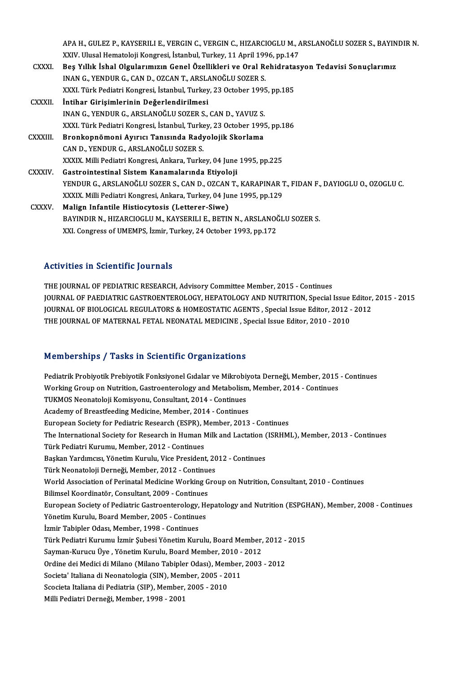APA H., GULEZ P., KAYSERILI E., VERGIN C., VERGIN C., HIZARCIOGLU M., ARSLANOĞLU SOZER S., BAYINDIR N.<br>XXIV. Ulyal Hamatalaji Kangresi, İstanbul Turkey, 11 April 1996-an 147 APA H., GULEZ P., KAYSERILI E., VERGIN C., VERGIN C., HIZARCIOGLU M., A<br>XXIV. Ulusal Hematoloji Kongresi, İstanbul, Turkey, 11 April 1996, pp.147<br>Bes Yıllık İskal Olaylanmısın Cenal Özellikleri ve Onal Rekidnatası APA H., GULEZ P., KAYSERILI E., VERGIN C., VERGIN C., HIZARCIOGLU M., ARSLANOĞLU SOZER S., BAYIN<br>XXIV. Ulusal Hematoloji Kongresi, İstanbul, Turkey, 11 April 1996, pp.147<br>CXXXI. Beş Yıllık İshal Olgularımızın Genel Özellik XXIV. Ulusal Hematoloji Kongresi, İstanbul, Turkey, 11 April 1996, pp.147<br>Beş Yıllık İshal Olgularımızın Genel Özellikleri ve Oral Rehidratas<br>INAN G., YENDUR G., CAN D., OZCAN T., ARSLANOĞLU SOZER S.<br>XXXI. Türk Pediatri Ko Beş Yıllık İshal Olgularımızın Genel Özellikleri ve Oral Rehidrata<br>INAN G., YENDUR G., CAN D., OZCAN T., ARSLANOĞLU SOZER S.<br>XXXI. Türk Pediatri Kongresi, İstanbul, Turkey, 23 October 1995, pp.185<br>İntihar Girisimlerinin De CXXXII. İntihar Girişimlerinin Değerlendirilmesi XXXI. Türk Pediatri Kongresi, İstanbul, Turkey, 23 October 199!<br>İntihar Girişimlerinin Değerlendirilmesi<br>INAN G., YENDUR G., ARSLANOĞLU SOZER S., CAN D., YAVUZ S.<br>YYYL Türk Pediatri Kongresi, İstanbul Turkey, 22 Ostober 19 XXXI. Türk Pediatri Kongresi, İstanbul, Turkey, 23 October 1995, pp.186 INAN G., YENDUR G., ARSLANOĞLU SOZER S., CAN D., YAVUZ S.<br>XXXI. Türk Pediatri Kongresi, İstanbul, Turkey, 23 October 199!<br>CXXXIII. Bronkopnömoni Ayırıcı Tanısında Radyolojik Skorlama Bronkopnömoni Ayırıcı Tanısında Radyolojik Skorlama<br>CAN D., YENDUR G., ARSLANOĞLU SOZER S. XXXIX. Milli Pediatri Kongresi, Ankara, Turkey, 04 June 1995, pp.225 CXXXIV. Gastrointestinal Sistem Kanamalarında Etiyoloji YENDUR G., ARSLANOĞLU SOZER S., CAN D., OZCAN T., KARAPINAR T., FIDAN F., DAYIOGLU O., OZOGLU C. XXXIX. Milli Pediatri Kongresi, Ankara, Turkey, 04 June 1995, pp.129 CXXXV. Malign Infantile Histiocytosis (Letterer-Siwe) BAYINDIR N., HIZARCIOGLU M., KAYSERILI E., BETIN N., ARSLANOĞLU SOZER S. XXI. Congress of UMEMPS, İzmir, Turkey, 24 October 1993, pp.172

### Activities in Scientific Journals

THE JOURNAL OF PEDIATRIC RESEARCH, Advisory Committee Member, 2015 - Continues ITCHVICLO IN OCCHENIC JOUI HUID<br>THE JOURNAL OF PEDIATRIC RESEARCH, Advisory Committee Member, 2015 - Continues<br>JOURNAL OF PAEDIATRIC GASTROENTEROLOGY, HEPATOLOGY AND NUTRITION, Special Issue Editor, 2015 - 2015<br>JOURNAL OF THE JOURNAL OF PEDIATRIC RESEARCH, Advisory Committee Member, 2015 - Continues<br>JOURNAL OF PAEDIATRIC GASTROENTEROLOGY, HEPATOLOGY AND NUTRITION, Special Issue Editor,<br>JOURNAL OF BIOLOGICAL REGULATORS & HOMEOSTATIC AGENTS , JOURNAL OF PAEDIATRIC GASTROENTEROLOGY, HEPATOLOGY AND NUTRITION, Special Issue<br>JOURNAL OF BIOLOGICAL REGULATORS & HOMEOSTATIC AGENTS , Special Issue Editor, 2012 -<br>THE JOURNAL OF MATERNAL FETAL NEONATAL MEDICINE , Special THE JOURNAL OF MATERNAL FETAL NEONATAL MEDICINE , Special Issue Editor, 2010 - 2010<br>Memberships / Tasks in Scientific Organizations

Pediatrik Probiyotik Prebiyotik Fonksiyonel Gıdalar ve Mikrobiyota Derneği, Member, 2015 - Continues WorkingGroup on Prassie in Scremente organizations<br>Pediatrik Probiyotik Prebiyotik Fonksiyonel Gidalar ve Mikrobiyota Derneği, Member, 2015<br>Working Group on Nutrition, Gastroenterology and Metabolism, Member, 2014 - Contin Pediatrik Probiyotik Prebiyotik Fonksiyonel Gıdalar ve Mikrobiy<br>Working Group on Nutrition, Gastroenterology and Metabolism<br>TUKMOS Neonatoloji Komisyonu, Consultant, 2014 - Continues<br>Agdemy of Breestfeeding Medisine, Membe Working Group on Nutrition, Gastroenterology and Metabolism,<br>TUKMOS Neonatoloji Komisyonu, Consultant, 2014 - Continues<br>Academy of Breastfeeding Medicine, Member, 2014 - Continues<br>European Society for Podictrie Besearch (E TUKMOS Neonatoloji Komisyonu, Consultant, 2014 - Continues<br>Academy of Breastfeeding Medicine, Member, 2014 - Continues<br>European Society for Pediatric Research (ESPR), Member, 2013 - Continues<br>The International Society for Academy of Breastfeeding Medicine, Member, 2014 - Continues<br>European Society for Pediatric Research (ESPR), Member, 2013 - Continues<br>The International Society for Research in Human Milk and Lactation (ISRHML), Member, 2013 European Society for Pediatric Research (ESPR), N<br>The International Society for Research in Human N<br>Türk Pediatri Kurumu, Member, 2012 - Continues<br>Peskan Varduması, Vänatim Kurulu, Vise President The International Society for Research in Human Milk and Lactation (<br>Türk Pediatri Kurumu, Member, 2012 - Continues<br>Başkan Yardımcısı, Yönetim Kurulu, Vice President, 2012 - Continues<br>Türk Neonataleji Derneği, Member, 2012 Türk Pediatri Kurumu, Member, 2012 - Continues<br>Başkan Yardımcısı, Yönetim Kurulu, Vice President, 20<br>Türk Neonatoloji Derneği, Member, 2012 - Continues<br>World Association of Perinatel Medicine Working Cro World Association of Perinatal Medicine Working Group on Nutrition, Consultant, 2010 - Continues Türk Neonatoloji Derneği, Member, 2012 - Continues European Society of Pediatric Gastroenterology, Hepatology and Nutrition (ESPGHAN), Member, 2008 - Continues<br>Yönetim Kurulu, Board Member, 2005 - Continues Bilimsel Koordinatör, Consultant, 2009 - Continues İzmir Tabipler Odası, Member, 1998 - Continues Yönetim Kurulu, Board Member, 2005 - Continues<br>İzmir Tabipler Odası, Member, 1998 - Continues<br>Türk Pediatri Kurumu İzmir Şubesi Yönetim Kurulu, Board Member, 2012 - 2015<br>Sayman Kurugu Üye, Yönetim Kurulu, Board Member, 201 İzmir Tabipler Odası, Member, 1998 - Continues<br>Türk Pediatri Kurumu İzmir Şubesi Yönetim Kurulu, Board Member,<br>Sayman-Kurucu Üye , Yönetim Kurulu, Board Member, 2010 - 2012<br>Ordine dei Medisi di Milane (Milane Tebipler Odes Türk Pediatri Kurumu İzmir Şubesi Yönetim Kurulu, Board Member, 2012 -<br>Sayman-Kurucu Üye , Yönetim Kurulu, Board Member, 2010 - 2012<br>Ordine dei Medici di Milano (Milano Tabipler Odası), Member, 2003 - 2012<br>Sosista' Italian Sayman-Kurucu Üye , Yönetim Kurulu, Board Member, 2010 -<br>Ordine dei Medici di Milano (Milano Tabipler Odası), Member,<br>Societa' Italiana di Neonatologia (SIN), Member, 2005 - 2011<br>Sessista Italiana di Bedistria (SID), Membe Ordine dei Medici di Milano (Milano Tabipler Odası), Mem<br>Societa' Italiana di Neonatologia (SIN), Member, 2005 - 20<br>Scocieta Italiana di Pediatria (SIP), Member, 2005 - 2010<br>Milli Pediatri Derneği, Member, 1998, 2001 Societa' Italiana di Neonatologia (SIN), Member, 2005 - 2011<br>Scocieta Italiana di Pediatria (SIP), Member, 2005 - 2010<br>Milli Pediatri Derneği, Member, 1998 - 2001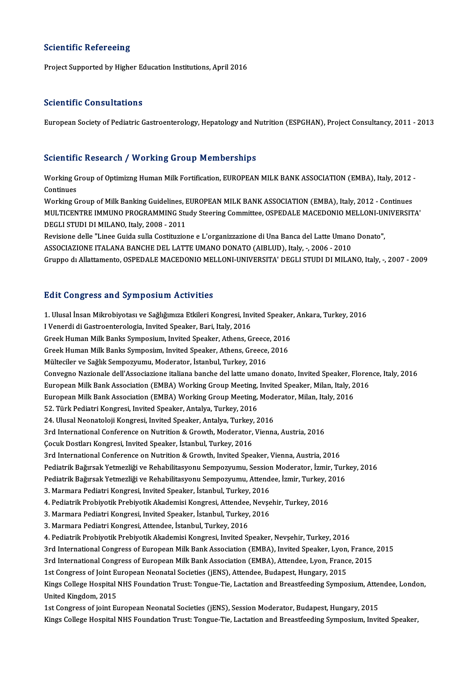#### **Scientific Refereeing**

Project Supported by Higher Education Institutions, April 2016

#### Scientific Consultations

European Society of Pediatric Gastroenterology, Hepatology and Nutrition (ESPGHAN), Project Consultancy, 2011 - 2013

### Scientific Research / Working Group Memberships

Scientific Research / Working Group Memberships<br>Working Group of Optimizng Human Milk Fortification, EUROPEAN MILK BANK ASSOCIATION (EMBA), Italy, 2012 -<br>Continues Working<br>Gontinues<br>Working C Working Group of Optimizng Human Milk Fortification, EUROPEAN MILK BANK ASSOCIATION (EMBA), Italy, 2012 -<br>Continues<br>Working Group of Milk Banking Guidelines, EUROPEAN MILK BANK ASSOCIATION (EMBA), Italy, 2012 - Continues<br>M

Continues<br>Working Group of Milk Banking Guidelines, EUROPEAN MILK BANK ASSOCIATION (EMBA), Italy, 2012 - Continues<br>MULTICENTRE IMMUNO PROGRAMMING Study Steering Committee, OSPEDALE MACEDONIO MELLONI-UNIVERSITA'<br>DEGLI STUDI Working Group of Milk Banking Guidelines, EUROPEAN MILK BANK ASSOCIATION (EMBA), Italy, 2012 - Continues MULTICENTRE IMMUNO PROGRAMMING Study Steering Committee, OSPEDALE MACEDONIO MELLONI-UN<br>DEGLI STUDI DI MILANO, Italy, 2008 - 2011<br>Revisione delle "Linee Guida sulla Costituzione e L'organizzazione di Una Banca del Latte Uma

DEGLI STUDI DI MILANO, Italy, 2008 - 2011<br>Revisione delle "Linee Guida sulla Costituzione e L'organizzazione di Una Banca del Latte Umanc<br>ASSOCIAZIONE ITALANA BANCHE DEL LATTE UMANO DONATO (AIBLUD), Italy, -, 2006 - 2010<br>C ASSOCIAZIONE ITALANA BANCHE DEL LATTE UMANO DONATO (AIBLUD), Italy, -, 2006 - 2010<br>Gruppo di Allattamento, OSPEDALE MACEDONIO MELLONI-UNIVERSITA' DEGLI STUDI DI MILANO, Italy, -, 2007 - 2009

### **Edit Congress and Symposium Activities**

Edit Congress and Symposium Activities<br>1. Ulusal İnsan Mikrobiyotası ve Sağlığımıza Etkileri Kongresi, Invited Speaker, Ankara, Turkey, 2016<br>Ulenerdi di Cestreenterelegia Javited Speaker, Bari, Italy, 2016 I Venerdi di Gastroenterologia, Invited Speaker, Bari, Italy, 2016<br>Greek Human Milk Banks Symposium, Invited Speaker, Athens, Greece, 2016 1. Ulusal İnsan Mikrobiyotası ve Sağlığımıza Etkileri Kongresi, Invited Speaker<br>I Venerdi di Gastroenterologia, Invited Speaker, Bari, Italy, 2016<br>Greek Human Milk Banks Symposium, Invited Speaker, Athens, Greece, 2016<br>Cre Greek Human Milk Banks Symposiim, Invited Speaker, Athens, Greece, 2016 Mülteciler ve Sağlık Sempozyumu, Moderator, İstanbul, Turkey, 2016 Convegno Nazionale dell'Associazione italiana banche del latte umano donato, Invited Speaker, Florence, Italy, 2016 European Milk Bank Association (EMBA) Working Group Meeting, Invited Speaker, Milan, Italy, 2016 Convegno Nazionale dell'Associazione italiana banche del latte umano donato, Invited Speaker, F<br>European Milk Bank Association (EMBA) Working Group Meeting, Invited Speaker, Milan, Italy, 2<br>European Milk Bank Association ( European Milk Bank Association (EMBA) Working Group Meeting,<br>European Milk Bank Association (EMBA) Working Group Meeting,<br>52. Türk Pediatri Kongresi, Invited Speaker, Antalya, Turkey, 2016<br>24. Ulugal Neonataleji Kongresi, European Milk Bank Association (EMBA) Working Group Meeting, Mode<br>52. Türk Pediatri Kongresi, Invited Speaker, Antalya, Turkey, 2016<br>24. Ulusal Neonatoloji Kongresi, Invited Speaker, Antalya, Turkey, 2016<br><sup>2nd</sup> Internation 52. Türk Pediatri Kongresi, Invited Speaker, Antalya, Turkey, 2016<br>24. Ulusal Neonatoloji Kongresi, Invited Speaker, Antalya, Turkey, 2016<br>3rd International Conference on Nutrition & Growth, Moderator, Vienna, Austria, 201 24. Ulusal Neonatoloji Kongresi, Invited Speaker, Antalya, Turkey,<br>3rd International Conference on Nutrition & Growth, Moderator,<br>Çocuk Dostları Kongresi, Invited Speaker, İstanbul, Turkey, 2016<br><sup>2nd</sup> International Confere 3rd International Conference on Nutrition & Growth, Moderator, Vienna, Austria, 2016<br>Çocuk Dostları Kongresi, Invited Speaker, İstanbul, Turkey, 2016<br>3rd International Conference on Nutrition & Growth, Invited Speaker, Vie Çocuk Dostları Kongresi, Invited Speaker, İstanbul, Turkey, 2016<br>3rd International Conference on Nutrition & Growth, Invited Speaker, Vienna, Austria, 2016<br>Pediatrik Bağırsak Yetmezliği ve Rehabilitasyonu Sempozyumu, Sessi 3rd International Conference on Nutrition & Growth, Invited Speaker, Vienna, Austria, 2016<br>Pediatrik Bağırsak Yetmezliği ve Rehabilitasyonu Sempozyumu, Session Moderator, İzmir, Turk<br>Pediatrik Bağırsak Yetmezliği ve Rehabi Pediatrik Bağırsak Yetmezliği ve Rehabilitasyonu Sempozyumu, Session<br>Pediatrik Bağırsak Yetmezliği ve Rehabilitasyonu Sempozyumu, Attend<br>3. Marmara Pediatri Kongresi, Invited Speaker, İstanbul, Turkey, 2016<br>4. Rediatrik Pr 9. Pediatrik Bağırsak Yetmezliği ve Rehabilitasyonu Sempozyumu, Attendee, İzmir, Turkey, 2016<br>3. Marmara Pediatri Kongresi, Invited Speaker, İstanbul, Turkey, 2016<br>4. Pediatrik Probiyotik Prebiyotik Akademisi Kongresi, Att 4. Pediatrik Probiyotik Prebiyotik Akademisi Kongresi, Attendee, Nevşehir, Turkey, 2016 3. Marmara Pediatri Kongresi, Attendee, İstanbul, Turkey, 2016 4. Pediatrik Probiyotik Prebiyotik Akademisi Kongresi, Invited Speaker, Nevşehir, Turkey, 2016 3rd International Congress of European Milk Bank Association (EMBA), Invited Speaker, Lyon, France, 2015 3rd International Congress of European Milk Bank Association (EMBA), Attendee, Lyon, France, 2015 3rd International Congress of European Milk Bank Association (EMBA), Invited Speaker, Lyon,<br>3rd International Congress of European Milk Bank Association (EMBA), Attendee, Lyon, Franc<br>1st Congress of Joint European Neonatal 3rd International Congress of European Milk Bank Association (EMBA), Attendee, Lyon, France, 2015<br>1st Congress of Joint European Neonatal Societies (jENS), Attendee, Budapest, Hungary, 2015<br>Kings College Hospital NHS Found 1st Congress of Joint Et<br>Kings College Hospital<br>United Kingdom, 2015<br>1st Congress of joint Et Kings College Hospital NHS Foundation Trust: Tongue-Tie, Lactation and Breastfeeding Symposium, Atte<br>United Kingdom, 2015<br>1st Congress of joint European Neonatal Societies (jENS), Session Moderator, Budapest, Hungary, 2015 United Kingdom, 2015<br>1st Congress of joint European Neonatal Societies (jENS), Session Moderator, Budapest, Hungary, 2015<br>Kings College Hospital NHS Foundation Trust: Tongue-Tie, Lactation and Breastfeeding Symposium, Invi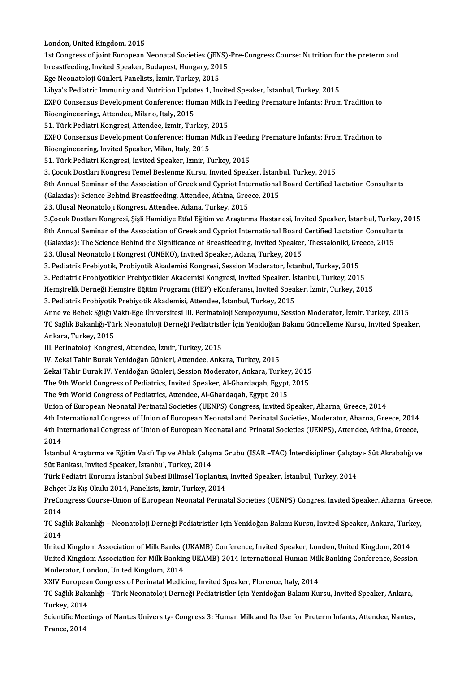London, United Kingdom, 2015 London, United Kingdom, 2015<br>1st Congress of joint European Neonatal Societies (jENS)-Pre-Congress Course: Nutrition for the preterm and<br>hreastfeading Javited Speaker, Rydapest, Hungary, 2015 London, United Kingdom, 2015<br>1st Congress of joint European Neonatal Societies (jENS)<br>breastfeeding, Invited Speaker, Budapest, Hungary, 2015<br>Ese Neonataleji Cünleri, Banelista İsmir, Turkay, 2015 breastfeeding, Invited Speaker, Budapest, Hungary, 2015<br>Ege Neonatoloji Günleri, Panelists, İzmir, Turkey, 2015 breastfeeding, Invited Speaker, Budapest, Hungary, 2015<br>Ege Neonatoloji Günleri, Panelists, İzmir, Turkey, 2015<br>Libya's Pediatric Immunity and Nutrition Updates 1, Invited Speaker, İstanbul, Turkey, 2015<br>EXPO Consensus Dev Ege Neonatoloji Günleri, Panelists, İzmir, Turkey, 2015<br>Libya's Pediatric Immunity and Nutrition Updates 1, Invited Speaker, İstanbul, Turkey, 2015<br>EXPO Consensus Development Conference; Human Milk in Feeding Premature Inf Libya's Pediatric Immunity and Nutrition Updat<br>EXPO Consensus Development Conference; Hui<br>Bioengineeering:, Attendee, Milano, Italy, 2015<br>51. Türk Pediatri Kongresi, Attendee, İsmir, Tur EXPO Consensus Development Conference; Human Milk in<br>Bioengineeering:, Attendee, Milano, Italy, 2015<br>51. Türk Pediatri Kongresi, Attendee, İzmir, Turkey, 2015<br>EXPO Consensus Development Conference: Human Milk in Bioengineeering:, Attendee, Milano, Italy, 2015<br>51. Türk Pediatri Kongresi, Attendee, İzmir, Turkey, 2015<br>EXPO Consensus Development Conference; Human Milk in Feeding Premature Infants: From Tradition to Bioengineeering, Invited Speaker, Milan, Italy, 2015 51. Türk Pediatri Kongresi, Invited Speaker, İzmir, Turkey, 2015 3.ÇocukDostlarıKongresiTemelBeslenmeKursu, Invited Speaker, İstanbul,Turkey,2015 8th Annual Seminar of the Association of Greek and Cypriot International Board Certified Lactation Consultants 3. Çocuk Dostları Kongresi Temel Beslenme Kursu, Invited Speaker, İstanb<br>8th Annual Seminar of the Association of Greek and Cypriot International<br>(Galaxias): Science Behind Breastfeeding, Attendee, Athína, Greece, 2015<br>22. 8th Annual Seminar of the Association of Greek and Cypriot Inte<br>(Galaxias): Science Behind Breastfeeding, Attendee, Athína, Gree<br>23. Ulusal Neonatoloji Kongresi, Attendee, Adana, Turkey, 2015<br>2.Comk Dostlam Kongresi, Sieli (Galaxias): Science Behind Breastfeeding, Attendee, Athína, Greece, 2015<br>23. Ulusal Neonatoloji Kongresi, Attendee, Adana, Turkey, 2015<br>3.Çocuk Dostları Kongresi, Şişli Hamidiye Etfal Eğitim ve Araştırma Hastanesi, Invited 23. Ulusal Neonatoloji Kongresi, Attendee, Adana, Turkey, 2015<br>3.Çocuk Dostları Kongresi, Şişli Hamidiye Etfal Eğitim ve Araştırma Hastanesi, Invited Speaker, İstanbul, Turkey, 2<br>8th Annual Seminar of the Association of Gr 3.Çocuk Dostları Kongresi, Şişli Hamidiye Etfal Eğitim ve Araştırma Hastanesi, Invited Speaker, İstanbul, Turke<br>8th Annual Seminar of the Association of Greek and Cypriot International Board Certified Lactation Consultar<br>( 8th Annual Seminar of the Association of Greek and Cypriot International Board Certified Lactation Consultants<br>(Galaxias): The Science Behind the Significance of Breastfeeding, Invited Speaker, Thessaloniki, Greece, 2015<br>2 3. Pediatrik Prebiyotik, Probiyotik Akademisi Kongresi, Session Moderator, İstanbul, Turkey, 2015 3. Pediatrik Probiyotikler Prebiyotikler Akademisi Kongresi, Invited Speaker, İstanbul, Turkey, 2015 Hemşirelik Derneği Hemşire Eğitim Programı (HEP) eKonferansı, Invited Speaker, İzmir, Turkey, 2015 3. Pediatrik Probiyotik Prebiyotik Akademisi, Attendee, İstanbul, Turkey, 2015 Hemşirelik Derneği Hemşire Eğitim Programı (HEP) eKonferansı, Invited Speaker, İzmir, Turkey, 2015<br>3. Pediatrik Probiyotik Prebiyotik Akademisi, Attendee, İstanbul, Turkey, 2015<br>Anne ve Bebek Sğlığı Vakfı-Ege Üniversitesi 3. Pediatrik Probiyotik Prebiyotik Akademisi, Attendee, İstanbul, Turkey, 2015<br>Anne ve Bebek Sğlığı Vakfı-Ege Üniversitesi III. Perinatoloji Sempozyumu, Session Moderator, İzmir, Turkey, 2015<br>TC Sağlık Bakanlığı-Türk Neona Anne ve Bebek Sğlığı V<br>TC Sağlık Bakanlığı-Tür<br>Ankara, Turkey, 2015<br>III. Perinataleji Kangre TC Sağlık Bakanlığı-Türk Neonatoloji Derneği Pediatristl<br>Ankara, Turkey, 2015<br>III. Perinatoloji Kongresi, Attendee, İzmir, Turkey, 2015<br>IV. Zeksi Tehir Burak Venideğen Günleri, Attendee, Anka Ankara, Turkey, 2015<br>III. Perinatoloji Kongresi, Attendee, İzmir, Turkey, 2015<br>IV. Zekai Tahir Burak Yenidoğan Günleri, Attendee, Ankara, Turkey, 2015 III. Perinatoloji Kongresi, Attendee, İzmir, Turkey, 2015<br>IV. Zekai Tahir Burak Yenidoğan Günleri, Attendee, Ankara, Turkey, 2015<br>Zekai Tahir Burak IV. Yenidoğan Günleri, Session Moderator, Ankara, Turkey, 2015<br>The 9th Wor IV. Zekai Tahir Burak Yenidoğan Günleri, Attendee, Ankara, Turkey, 2015<br>Zekai Tahir Burak IV. Yenidoğan Günleri, Session Moderator, Ankara, Turkey, 2015<br>The 9th World Congress of Pediatrics, Invited Speaker, Al-Ghardaqah, Zekai Tahir Burak IV. Yenidoğan Günleri, Session Moderator, Ankara, Turkey<br>The 9th World Congress of Pediatrics, Invited Speaker, Al-Ghardaqah, Egypt,<br>The 9th World Congress of Pediatrics, Attendee, Al-Ghardaqah, Egypt, 20 The 9th World Congress of Pediatrics, Invited Speaker, Al-Ghardaqah, Egypt, 2015<br>The 9th World Congress of Pediatrics, Attendee, Al-Ghardaqah, Egypt, 2015<br>Union of European Neonatal Perinatal Societies (UENPS) Congress, In The 9th World Congress of Pediatrics, Attendee, Al-Ghardaqah, Egypt, 2015<br>Union of European Neonatal Perinatal Societies (UENPS) Congress, Invited Speaker, Aharna, Greece, 2014<br>4th International Congress of Union of Europe Union of European Neonatal Perinatal Societies (UENPS) Congress, Invited Speaker, Aharna, Greece, 2014<br>4th International Congress of Union of European Neonatal and Perinatal Societies, Moderator, Aharna, Greece, 2014<br>4th I 4th In<br>4th In<br>2014<br>İstanb 4th International Congress of Union of European Neonatal and Prinatal Societies (UENPS), Attendee, Athína, Greece,<br>2014<br>İstanbul Araştırma ve Eğitim Vakfı Tıp ve Ahlak Çalışma Grubu (ISAR –TAC) İnterdisipliner Çalıştayı- S 2014<br>İstanbul Araştırma ve Eğitim Vakfı Tıp ve Ahlak Çalışı<br>Süt Bankası, Invited Speaker, İstanbul, Turkey, 2014<br>Türk Badiatri Kurumu İstanbul Subesi Bilimsel Tapla İstanbul Araştırma ve Eğitim Vakfı Tıp ve Ahlak Çalışma Grubu (ISAR –TAC) İnterdisipliner Çalışta<mark>:</mark><br>Süt Bankası, Invited Speaker, İstanbul, Turkey, 2014<br>Türk Pediatri Kurumu İstanbul Şubesi Bilimsel Toplantısı, Invited Sp Süt Bankası, Invited Speaker, İstanbul, Turkey, 2014<br>Türk Pediatri Kurumu İstanbul Şubesi Bilimsel Toplantısı,<br>Behçet Uz Kış Okulu 2014, Panelists, İzmir, Turkey, 2014<br>PreCongress Course Union of Euronean Neonatal Berina PreCongress Course-Union of European Neonatal Perinatal Societies (UENPS) Congres, Invited Speaker, Aharna, Greece,<br>2014 Behçet Uz Kış Okulu 2014, Panelists, İzmir, Turkey, 2014 PreCongress Course-Union of European Neonatal Perinatal Societies (UENPS) Congres, Invited Speaker, Aharna, Gree<br>2014<br>TC Sağlık Bakanlığı – Neonatoloji Derneği Pediatristler İçin Yenidoğan Bakımı Kursu, Invited Speaker, An 2014<br>TC Sağ<br>2014<br>United TC Sağlık Bakanlığı – Neonatoloji Derneği Pediatristler İçin Yenidoğan Bakımı Kursu, Invited Speaker, Ankara, Turk<br>2014<br>United Kingdom Association of Milk Banks (UKAMB) Conference, Invited Speaker, London, United Kingdom, 2014<br>United Kingdom Association of Milk Banks (UKAMB) Conference, Invited Speaker, London, United Kingdom, 2014<br>United Kingdom Association for Milk Banking UKAMB) 2014 International Human Milk Banking Conference, Session<br>M United Kingdom Association of Milk Banks (<br>United Kingdom Association for Milk Bankin<br>Moderator, London, United Kingdom, 2014<br>YYIV European Congress of Berinatel Media United Kingdom Association for Milk Banking UKAMB) 2014 International Human Mill<br>Moderator, London, United Kingdom, 2014<br>XXIV European Congress of Perinatal Medicine, Invited Speaker, Florence, Italy, 2014<br>TC Sožlik Bakank Moderator, London, United Kingdom, 2014<br>XXIV European Congress of Perinatal Medicine, Invited Speaker, Florence, Italy, 2014<br>TC Sağlık Bakanlığı – Türk Neonatoloji Derneği Pediatristler İçin Yenidoğan Bakımı Kursu, Invited XXIV Europea<br>TC Sağlık Baka<br>Turkey, 2014<br>Scientific Meet TC Sağlık Bakanlığı – Türk Neonatoloji Derneği Pediatristler İçin Yenidoğan Bakımı Kursu, Invited Speaker, Ankara,<br>Turkey, 2014<br>Scientific Meetings of Nantes University- Congress 3: Human Milk and Its Use for Preterm Infan

Turkey, 2014<br>Scientific Mee<br>France, 2014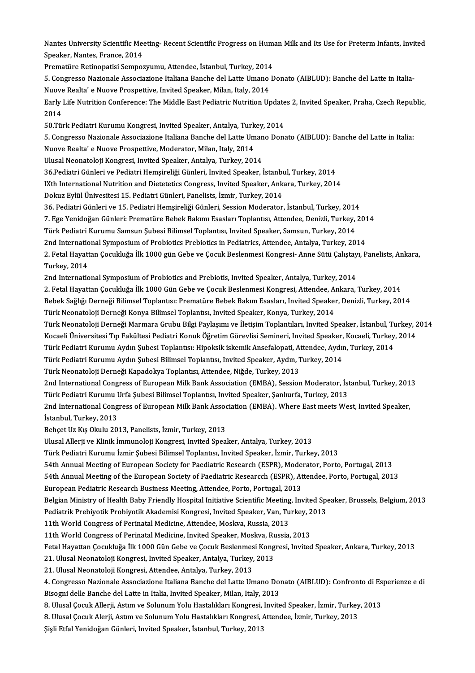Nantes University Scientific Meeting- Recent Scientific Progress on Human Milk and Its Use for Preterm Infants, Invited<br>Speaker Nantes Erange 2014 Nantes University Scientific Mee<br>Speaker, Nantes, France, 2014<br>Prematiire Petinonstisi Semper Nantes University Scientific Meeting- Recent Scientific Progress on Hum<br>Speaker, Nantes, France, 2014<br>Prematüre Retinopatisi Sempozyumu, Attendee, İstanbul, Turkey, 2014<br>E. Congresse Narionala Assesiariana Italiana Bancha

Speaker, Nantes, France, 2014<br>Prematüre Retinopatisi Sempozyumu, Attendee, İstanbul, Turkey, 2014<br>5. Congresso Nazionale Associazione Italiana Banche del Latte Umano Donato (AIBLUD): Banche del Latte in Italia-<br>Nuave Bealt Prematüre Retinopatisi Sempozyumu, Attendee, İstanbul, Turkey, 2014<br>5. Congresso Nazionale Associazione Italiana Banche del Latte Umano<br>Nuove Realta' e Nuove Prospettive, Invited Speaker, Milan, Italy, 2014<br>Farly Life Nutr 5. Congresso Nazionale Associazione Italiana Banche del Latte Umano Donato (AIBLUD): Banche del Latte in Italia<br>Nuove Realta' e Nuove Prospettive, Invited Speaker, Milan, Italy, 2014<br>Early Life Nutrition Conference: The Mi

Nuove Realta' e Nuove Prospettive, Invited Speaker, Milan, Italy, 2014<br>Early Life Nutrition Conference: The Middle East Pediatric Nutrition Update<br>2014<br>50.Türk Pediatri Kurumu Kongresi, Invited Speaker, Antalya, Turkey, 20 Early Life Nutrition Conference: The Middle East Pediatric Nutrition Update<br>2014<br>50.Türk Pediatri Kurumu Kongresi, Invited Speaker, Antalya, Turkey, 2014<br>5. Congresse Nazionale Associazione Italiana Banche del Latte Umane 2014<br>50.Türk Pediatri Kurumu Kongresi, Invited Speaker, Antalya, Turkey, 2014<br>5. Congresso Nazionale Associazione Italiana Banche del Latte Umano Donato (AIBLUD): Banche del Latte in Italia:<br>Nuove Bealta' e Nuove Prespetti

50.Türk Pediatri Kurumu Kongresi, Invited Speaker, Antalya, Turk<br>5. Congresso Nazionale Associazione Italiana Banche del Latte Um<br>Nuove Realta' e Nuove Prospettive, Moderator, Milan, Italy, 2014<br>Illucel Neonateleii Kongres 5. Congresso Nazionale Associazione Italiana Banche del Latte Uman<br>Nuove Realta' e Nuove Prospettive, Moderator, Milan, Italy, 2014<br>Ulusal Neonatoloji Kongresi, Invited Speaker, Antalya, Turkey, 2014<br>26 Bediatri Cünleri ve

36.Pediaka' e Nuove Prospettive, Moderator, Milan, Italy, 2014<br>19. Ulusal Neonatoloji Kongresi, Invited Speaker, Antalya, Turkey, 2014<br>19. Pediatri Günleri ve Pediatri Hemsireliği Günleri, Invited Speaker, İstanbul, Turkey

IXth International Nutrition and Dietetetics Congress, Invited Speaker, Ankara, Turkey, 2014

Dokuz Eylül Ünivesitesi 15. Pediatri Günleri, Panelists, İzmir, Turkey, 2014

IXth International Nutrition and Dietetetics Congress, Invited Speaker, Ankara, Turkey, 2014<br>Dokuz Eylül Ünivesitesi 15. Pediatri Günleri, Panelists, İzmir, Turkey, 2014<br>36. Pediatri Günleri ve 15. Pediatri Hemşireliği Gün

Dokuz Eylül Ünivesitesi 15. Pediatri Günleri, Panelists, İzmir, Turkey, 2014<br>36. Pediatri Günleri ve 15. Pediatri Hemşireliği Günleri, Session Moderator, İstanbul, Turkey, 2014<br>7. Ege Yenidoğan Günleri: Prematüre Bebek Bak 7. Ege Yenidoğan Günleri: Prematüre Bebek Bakımı Esasları Toplantısı, Attendee, Denizli, Turkey, 201<br>Türk Pediatri Kurumu Samsun Şubesi Bilimsel Toplantısı, Invited Speaker, Samsun, Turkey, 2014<br>2nd International Symposium

36. Pediatri Günleri ve 15. Pediatri Hemşireliği Günleri, Session Moderator, İstanbul, Turkey, 2014<br>7. Ege Yenidoğan Günleri: Prematüre Bebek Bakımı Esasları Toplantısı, Attendee, Denizli, Turkey,<br>Türk Pediatri Kurumu Sams

Türk Pediatri Kurumu Samsun Şubesi Bilimsel Toplantısı, Invited Speaker, Samsun, Turkey, 2014<br>2nd International Symposium of Probiotics Prebiotics in Pediatrics, Attendee, Antalya, Turkey, 2014<br>2. Fetal Hayattan Çocukluğa 2nd Internatio<br>2. Fetal Hayatt<br>Turkey, 2014<br>2nd Internatio 2. Fetal Hayattan Çocukluğa İlk 1000 gün Gebe ve Çocuk Beslenmesi Kongresi- Anne Sütü Çalıştay<br>Turkey, 2014<br>2nd International Symposium of Probiotics and Prebiotis, Invited Speaker, Antalya, Turkey, 2014<br>2. Fetal Hayattan Turkey, 2014<br>2nd International Symposium of Probiotics and Prebiotis, Invited Speaker, Antalya, Turkey, 2014<br>2. Fetal Hayattan Çocukluğa İlk 1000 Gün Gebe ve Çocuk Beslenmesi Kongresi, Attendee, Ankara, Turkey, 2014

2nd International Symposium of Probiotics and Prebiotis, Invited Speaker, Antalya, Turkey, 2014<br>2. Fetal Hayattan Çocukluğa İlk 1000 Gün Gebe ve Çocuk Beslenmesi Kongresi, Attendee, Ankara, Turkey, 2014<br>Bebek Sağlığı Derne 2. Fetal Hayattan Çocukluğa İlk 1000 Gün Gebe ve Çocuk Beslenmesi Kongresi, Attendee, A.<br>Bebek Sağlığı Derneği Bilimsel Toplantısı: Prematüre Bebek Bakım Esasları, Invited Speaker<br>Türk Neonatoloji Derneği Konya Bilimsel To

Bebek Sağlığı Derneği Bilimsel Toplantısı: Prematüre Bebek Bakım Esasları, Invited Speaker, Denizli, Turkey, 2014<br>Türk Neonatoloji Derneği Konya Bilimsel Toplantısı, Invited Speaker, Konya, Turkey, 2014<br>Türk Neonatoloji De Türk Neonatoloji Derneği Konya Bilimsel Toplantısı, Invited Speaker, Konya, Turkey, 2014<br>Türk Neonatoloji Derneği Marmara Grubu Bilgi Paylaşımı ve İletişim Toplantıları, Invited Speaker, İstanbul, Turkey, 2<br>Kocaeli Ünivers Türk Neonatoloji Derneği Marmara Grubu Bilgi Paylaşımı ve İletişim Toplantıları, Invited Speaker, İstanbul, Tu<br>Kocaeli Üniversitesi Tıp Fakültesi Pediatri Konuk Öğretim Görevlisi Semineri, Invited Speaker, Kocaeli, Turkey<br>

Kocaeli Üniversitesi Tıp Fakültesi Pediatri Konuk Öğretim Görevlisi Semineri, Invited Speaker, Kocaeli, Turkey, 2014<br>Türk Pediatri Kurumu Aydın Şubesi Toplantısı: Hipoksik iskemik Ansefalopati, Attendee, Aydın, Turkey, 201

Türk Neonatoloji Derneği Kapadokya Toplantısı, Attendee, Niğde, Turkey, 2013

Türk Pediatri Kurumu Aydın Şubesi Bilimsel Toplantısı, Invited Speaker, Aydın, Turkey, 2014<br>Türk Neonatoloji Derneği Kapadokya Toplantısı, Attendee, Niğde, Turkey, 2013<br>2nd International Congress of European Milk Bank Asso Türk Neonatoloji Derneği Kapadokya Toplantısı, Attendee, Niğde, Turkey, 2013<br>2nd International Congress of European Milk Bank Association (EMBA), Session Moderator, İst<br>Türk Pediatri Kurumu Urfa Şubesi Bilimsel Toplantısı, 2nd International Congress of European Milk Bank Association (EMBA), Session Moderator, İstanbul, Turkey, 201<br>Türk Pediatri Kurumu Urfa Şubesi Bilimsel Toplantısı, Invited Speaker, Şanlıurfa, Turkey, 2013<br>2nd International

Türk Pediatri Kurumu I<br>2nd International Cong<br>İstanbul, Turkey, 2013<br>Behest Ur Kıs Olulu 20 2nd International Congress of European Milk Bank Assoc<br>İstanbul, Turkey, 2013<br>Behçet Uz Kış Okulu 2013, Panelists, İzmir, Turkey, 2013<br>Illusel Allerii ve Klinik İmmunaleji Kongresi, İnvited Spea İstanbul, Turkey, 2013<br>Behçet Uz Kış Okulu 2013, Panelists, İzmir, Turkey, 2013<br>Ulusal Allerji ve Klinik İmmunoloji Kongresi, Invited Speaker, Antalya, Turkey, 2013

Türk Pediatri Kurumu İzmir Şubesi Bilimsel Toplantısı, Invited Speaker, İzmir, Turkey, 2013

54th Annual Meeting of European Society for Paediatric Research (ESPR), Moderator, Porto, Portugal, 2013 54th Annual Meeting of European Society for Paediatric Research (ESPR), Mode:<br>54th Annual Meeting of the European Society of Paediatric Researcch (ESPR), At<br>European Pediatric Research Business Meeting, Attendee, Porto, Po

Türk Pediatri Kurumu İzmir Şubesi Bilimsel Toplantısı, Invited Speaker, İzmir, Turkey, 2013<br>54th Annual Meeting of European Society for Paediatric Research (ESPR), Moderator, Porto, Portugal, 2013<br>54th Annual Meeting of th

54th Annual Meeting of the European Society of Paediatric Researcch (ESPR), Attendee, Porto, Portugal, 2013<br>European Pediatric Research Business Meeting, Attendee, Porto, Portugal, 2013<br>Belgian Ministry of Health Baby Frie European Pediatric Research Business Meeting, Attendee, Porto, Portugal, 2013<br>Belgian Ministry of Health Baby Friendly Hospital Initiative Scientific Meeting, Invited Spe<br>Pediatrik Prebiyotik Probiyotik Akademisi Kongresi, Belgian Ministry of Health Baby Friendly Hospital Initiative Scientific Meeting<br>Pediatrik Prebiyotik Probiyotik Akademisi Kongresi, Invited Speaker, Van, Tu<br>11th World Congress of Perinatal Medicine, Attendee, Moskva, Russ

Pediatrik Prebiyotik Probiyotik Akademisi Kongresi, Invited Speaker, Van, Turkey, 2<br>11th World Congress of Perinatal Medicine, Attendee, Moskva, Russia, 2013<br>11th World Congress of Perinatal Medicine, Invited Speaker, Mosk

11th World Congress of Perinatal Medicine, Attendee, Moskva, Russia, 2013<br>11th World Congress of Perinatal Medicine, Invited Speaker, Moskva, Russia, 2013<br>Fetal Hayattan Çocukluğa İlk 1000 Gün Gebe ve Çocuk Beslenmesi Kong 11th World Congress of Perinatal Medicine, Invited Speaker, Moskva, Ru<br>Fetal Hayattan Çocukluğa İlk 1000 Gün Gebe ve Çocuk Beslenmesi Kong<br>21. Ulusal Neonatoloji Kongresi, Invited Speaker, Antalya, Turkey, 2013<br>21. Ulusal Fetal Hayattan Çocukluğa İlk 1000 Gün Gebe ve Çocuk Beslenmes<br>21. Ulusal Neonatoloji Kongresi, Invited Speaker, Antalya, Turkey,<br>21. Ulusal Neonatoloji Kongresi, Attendee, Antalya, Turkey, 2013<br>4. Congresse Nazionale Assoc

21. Ulusal Neonatoloji Kongresi, Invited Speaker, Antalya, Turkey, 2013<br>21. Ulusal Neonatoloji Kongresi, Attendee, Antalya, Turkey, 2013<br>4. Congresso Nazionale Associazione Italiana Banche del Latte Umano Donato (AIBLUD): 21. Ulusal Neonatoloji Kongresi, Attendee, Antalya, Turkey, 2013<br>4. Congresso Nazionale Associazione Italiana Banche del Latte Umano Doi<br>Bisogni delle Banche del Latte in Italia, Invited Speaker, Milan, Italy, 2013<br>8. Ulus 4. Congresso Nazionale Associazione Italiana Banche del Latte Umano Donato (AIBLUD): Confronto di Es<br>Bisogni delle Banche del Latte in Italia, Invited Speaker, Milan, Italy, 2013<br>8. Ulusal Çocuk Allerji, Astım ve Solunum Y

Bisogni delle Banche del Latte in Italia, Invited Speaker, Milan, Italy, 2013<br>8. Ulusal Çocuk Allerji, Astım ve Solunum Yolu Hastalıkları Kongresi, Invited Speaker, İzmir, Turkey, 2013<br>8. Ulusal Çocuk Alerji, Astım ve Solu

ŞişliEtfalYenidoğanGünleri, Invited Speaker, İstanbul,Turkey,2013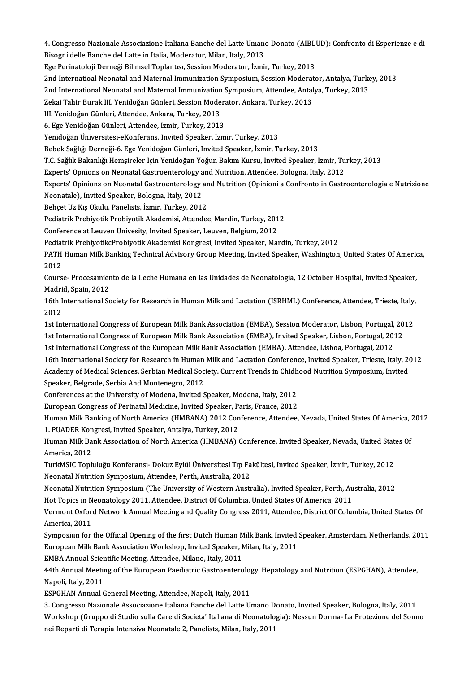4. Congresso Nazionale Associazione Italiana Banche del Latte Umano Donato (AIBLUD): Confronto di Esperienze e di<br>Bisogni della Banche del Latte in Italia Mederator Milan Italy 2012 4. Congresso Nazionale Associazione Italiana Banche del Latte Umano<br>Bisogni delle Banche del Latte in Italia, Moderator, Milan, Italy, 2013<br>Ese Perinateleji Derneği Bilimeel Tenlantey Session Moderator, İsmi 4. Congresso Nazionale Associazione Italiana Banche del Latte Umano Donato (AIBL)<br>Bisogni delle Banche del Latte in Italia, Moderator, Milan, Italy, 2013<br>Ege Perinatoloji Derneği Bilimsel Toplantısı, Session Moderator, İzm

Bisogni delle Banche del Latte in Italia, Moderator, Milan, Italy, 2013<br>Ege Perinatoloji Derneği Bilimsel Toplantısı, Session Moderator, İzmir, Turkey, 2013<br>2nd Internatioal Neonatal and Maternal Immunization Symposium, Se Ege Perinatoloji Derneği Bilimsel Toplantısı, Session Moderator, İzmir, Turkey, 2013<br>2nd Internatioal Neonatal and Maternal Immunization Symposium, Session Moderator, Antalya, Turke<br>2nd International Neonatal and Maternal 2nd Internatioal Neonatal and Maternal Immunization Symposium, Session Moderat<br>2nd International Neonatal and Maternal Immunization Symposium, Attendee, Antal<br>Zekai Tahir Burak III. Yenidoğan Günleri, Session Moderator, An

2nd International Neonatal and Maternal Immunization Symposium, Attendee, Antalya, Turkey, 2013<br>Zekai Tahir Burak III. Yenidoğan Günleri, Session Moderator, Ankara, Turkey, 2013<br>III. Yenidoğan Günleri, Attendee, Ankara, Tu

Zekai Tahir Burak III. Yenidoğan Günleri, Session Moderator, Ankara, Turkey, 2013

YenidoğanÜniversitesi-eKonferans, Invited Speaker, İzmir,Turkey,2013

Bebek Sağlığı Derneği-6. Ege Yenidoğan Günleri, Invited Speaker, İzmir, Turkey, 2013

Yenidoğan Üniversitesi-eKonferans, Invited Speaker, İzmir, Turkey, 2013<br>Bebek Sağlığı Derneği-6. Ege Yenidoğan Günleri, Invited Speaker, İzmir, Turkey, 2013<br>T.C. Sağlık Bakanlığı Hemşireler İçin Yenidoğan Yoğun Bakım Kursu

Bebek Sağlığı Derneği-6. Ege Yenidoğan Günleri, Invited Speaker, İzmir, Turkey, 2013<br>T.C. Sağlık Bakanlığı Hemşireler İçin Yenidoğan Yoğun Bakım Kursu, Invited Speaker, İzmir, Tu<br>Experts' Opnions on Neonatal Gastroenterolo

Experts' Opnions on Neonatal Gastroenterology and Nutrition, Attendee, Bologna, Italy, 2012<br>Experts' Opinions on Neonatal Gastroenterology and Nutrition (Opinioni a Confronto in Gastroenterologia e Nutrizione Experts' Opnions on Neonatal Gastroenterology a<br>Experts' Opinions on Neonatal Gastroenterology<br>Neonatale), Invited Speaker, Bologna, Italy, 2012<br>Bohast Ur Vie Olully, Banelista İsmir, Turkay, 2012 Experts' Opinions on Neonatal Gastroenterology ar<br>Neonatale), Invited Speaker, Bologna, Italy, 2012<br>Behçet Uz Kış Okulu, Panelists, İzmir, Turkey, 2012<br>Pediatrik Prehiyotik Prehiyotik Akademisi, Attandes

Behçet Uz Kış Okulu, Panelists, İzmir, Turkey, 2012<br>Pediatrik Prebiyotik Probiyotik Akademisi, Attendee, Mardin, Turkey, 2012

Conference at Leuven Univesity, Invited Speaker, Leuven, Belgium, 2012

Pediatrik PrebiyotikcProbiyotik Akademisi Kongresi, Invited Speaker, Mardin, Turkey, 2012

Conference at Leuven Univesity, Invited Speaker, Leuven, Belgium, 2012<br>Pediatrik PrebiyotikcProbiyotik Akademisi Kongresi, Invited Speaker, Mardin, Turkey, 2012<br>PATH Human Milk Banking Technical Advisory Group Meeting, Inv Pediat<br>PATH<br>2012 PATH Human Milk Banking Technical Advisory Group Meeting, Invited Speaker, Washington, United States Of Americ<br>2012<br>Course- Procesamiento de la Leche Humana en las Unidades de Neonatología, 12 October Hospital, Invited Spe

2012<br>Course- Procesamiento de la Leche Humana en las Unidades de Neonatología, 12 October Hospital, Invited Speaker,<br>Madrid, Spain, 2012 Course- Procesamiento de la Leche Humana en las Unidades de Neonatología, 12 October Hospital, Invited Speaker,<br>Madrid, Spain, 2012<br>16th International Society for Research in Human Milk and Lactation (ISRHML) Conference, A

Madri<br>16th I<br>2012<br>1st Int 16th International Society for Research in Human Milk and Lactation (ISRHML) Conference, Attendee, Trieste, Italy,<br>2012<br>1st International Congress of European Milk Bank Association (EMBA), Session Moderator, Lisbon, Portug

2012<br>1st International Congress of European Milk Bank Association (EMBA), Session Moderator, Lisbon, Portugal, 20<br>1st International Congress of European Milk Bank Association (EMBA), Invited Speaker, Lisbon, Portugal, 2012 1st International Congress of European Milk Bank Association (EMBA), Session Moderator, Lisbon, Portugal, 2013<br>1st International Congress of European Milk Bank Association (EMBA), Invited Speaker, Lisbon, Portugal, 2012<br>16

1st International Congress of European Milk Bank Association (EMBA), Invited Speaker, Lisbon, Portugal, 2012<br>16th International Congress of the European Milk Bank Association (EMBA), Attendee, Lisboa, Portugal, 2012<br>16th I 1st International Congress of the European Milk Bank Association (EMBA), Attendee, Lisboa, Portugal, 2012<br>16th International Society for Research in Human Milk and Lactation Conference, Invited Speaker, Trieste, Italy, 20<br> 16th International Society for Research in Human<br>Academy of Medical Sciences, Serbian Medical Soc<br>Speaker, Belgrade, Serbia And Montenegro, 2012<br>Conferences at the University of Medere, Invited S Academy of Medical Sciences, Serbian Medical Society. Current Trends in Chidh<br>Speaker, Belgrade, Serbia And Montenegro, 2012<br>Conferences at the University of Modena, Invited Speaker, Modena, Italy, 2012<br>European Congress o Speaker, Belgrade, Serbia And Montenegro, 2012<br>Conferences at the University of Modena, Invited Speaker, Modena, Italy, 2012<br>European Congress of Perinatal Medicine, Invited Speaker, Paris, France, 2012<br>Human Milk Banking

Conferences at the University of Modena, Invited Speaker, Modena, Italy, 2012<br>European Congress of Perinatal Medicine, Invited Speaker, Paris, France, 2012<br>Human Milk Banking of North America (HMBANA) 2012 Conference, Atte European Congress of Perinatal Medicine, Invited Speaker, Pa<br>Human Milk Banking of North America (HMBANA) 2012 Con<br>1. PUADER Kongresi, Invited Speaker, Antalya, Turkey, 2012<br>Human Milk Bank Accosistion of North America (HM Human Milk Banking of North America (HMBANA) 2012 Conference, Attendee, Nevada, United States Of America, J.<br>1. PUADER Kongresi, Invited Speaker, Antalya, Turkey, 2012<br>Human Milk Bank Association of North America (HMBANA)

1. PUADER Kon<br>Human Milk Ba<br>America, 2012<br>TurkMSIC Tonk Human Milk Bank Association of North America (HMBANA) Conference, Invited Speaker, Nevada, United Stat<br>America, 2012<br>TurkMSIC Topluluğu Konferansı- Dokuz Eylül Üniversitesi Tıp Fakültesi, Invited Speaker, İzmir, Turkey, 20

America, 2012<br>TurkMSIC Topluluğu Konferansı- Dokuz Eylül Üniversitesi Tıp Fa<br>Neonatal Nutrition Symposium, Attendee, Perth, Australia, 2012

TurkMSIC Topluluğu Konferansı- Dokuz Eylül Üniversitesi Tıp Fakültesi, Invited Speaker, İzmir, Turkey, 2012<br>Neonatal Nutrition Symposium, Attendee, Perth, Australia, 2012<br>Neonatal Nutrition Symposium (The University of Wes Neonatal Nutrition Symposium (The University of Western Australia), Invited Speaker, Perth, Australia, 2012 Neonatal Nutrition Symposium (The University of Western Australia), Invited Speaker, Perth, Australia, 2012<br>Hot Topics in Neonatology 2011, Attendee, District Of Columbia, United States Of America, 2011<br>Vermont Oxford Netw

Hot Topics in N<br>Vermont Oxfor<br>America, 2011<br>Symnosiun for Vermont Oxford Network Annual Meeting and Quality Congress 2011, Attendee, District Of Columbia, United States Of<br>America, 2011<br>Symposiun for the Official Opening of the first Dutch Human Milk Bank, Invited Speaker, Amster

America, 2011<br>Symposiun for the Official Opening of the first Dutch Human Milk Bank, Invited Speaker, Amsterdam, Netherlands, 2011<br>European Milk Bank Association Workshop, Invited Speaker, Milan, Italy, 2011 Symposiun for the Official Opening of the first Dutch Human M<br>European Milk Bank Association Workshop, Invited Speaker, N<br>EMBA Annual Scientific Meeting, Attendee, Milano, Italy, 2011<br>44th Annual Meeting of the European Be

European Milk Bank Association Workshop, Invited Speaker, Milan, Italy, 2011<br>EMBA Annual Scientific Meeting, Attendee, Milano, Italy, 2011<br>44th Annual Meeting of the European Paediatric Gastroenterology, Hepatology and Nut EMBA Annual Scier<br>44th Annual Meetii<br>Napoli, Italy, 2011<br>ESPCHAN Annual ( 44th Annual Meeting of the European Paediatric Gastroenterolog<br>Napoli, Italy, 2011<br>ESPGHAN Annual General Meeting, Attendee, Napoli, Italy, 2011<br>2. Congresse Nazionale Associatione Italiane Banche del Latte U Napoli, Italy, 2011<br>ESPGHAN Annual General Meeting, Attendee, Napoli, Italy, 2011<br>3. Congresso Nazionale Associazione Italiana Banche del Latte Umano Donato, Invited Speaker, Bologna, Italy, 2011

Workshop (Gruppo di Studio sulla Care di Societa' Italiana di Neonatologia): Nessun Dorma-La Protezione del Sonno nei Reparti di Terapia Intensiva Neonatale 2, Panelists, Milan, Italy, 2011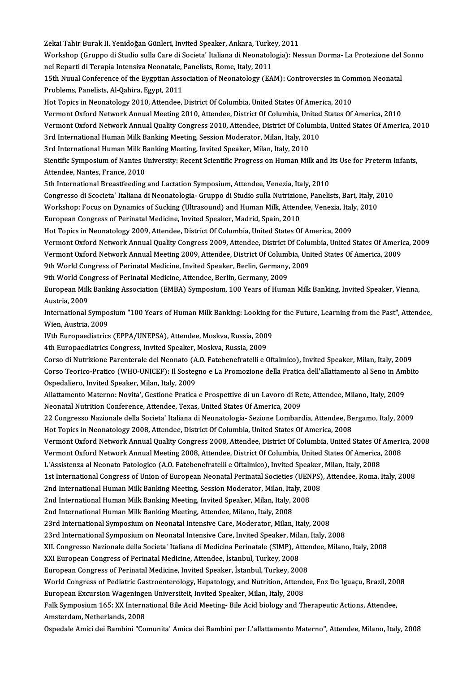Zekai Tahir Burak II. Yenidoğan Günleri, Invited Speaker, Ankara, Turkey, 2011<br>Werkeben (Grunne di Studie aulle Gare di Segistal Italiane di Neonatelegia): Ne Workshop (Gruppo di Studio sulla Care di Societa' Italiana di Neonatologia): Nessun Dorma- La Protezione del Sonno<br>nei Reparti di Terapia Intensiva Neonatale, Panelists, Rome, Italy, 2011 Zekai Tahir Burak II. Yenidoğan Günleri, Invited Speaker, Ankara, Turke<br>Workshop (Gruppo di Studio sulla Care di Societa' Italiana di Neonatolo<br>nei Reparti di Terapia Intensiva Neonatale, Panelists, Rome, Italy, 2011<br>15th Workshop (Gruppo di Studio sulla Care di Societa' Italiana di Neonatologia): Nessun Dorma- La Protezione del<br>nei Reparti di Terapia Intensiva Neonatale, Panelists, Rome, Italy, 2011<br>15th Nuual Conference of the Eygptian As nei Reparti di Terapia Intensiva Neonatale, l<br>15th Nuual Conference of the Eygptian Asso<br>Problems, Panelists, Al-Qahira, Egypt, 2011<br>Het Tonics in Neonatalogy 2010, Attondee 15th Nuual Conference of the Eygptian Association of Neonatology (EAM): Controversies in Con<br>Problems, Panelists, Al-Qahira, Egypt, 2011<br>Hot Topics in Neonatology 2010, Attendee, District Of Columbia, United States Of Amer Problems, Panelists, Al-Qahira, Egypt, 2011<br>Hot Topics in Neonatology 2010, Attendee, District Of Columbia, United States Of America, 2010<br>Vermont Oxford Network Annual Meeting 2010, Attendee, District Of Columbia, United Hot Topics in Neonatology 2010, Attendee, District Of Columbia, United States Of America, 2010<br>Vermont Oxford Network Annual Meeting 2010, Attendee, District Of Columbia, United States Of America, 2010<br>Vermont Oxford Netwo Vermont Oxford Network Annual Meeting 2010, Attendee, District Of Columbia, United<br>Vermont Oxford Network Annual Quality Congress 2010, Attendee, District Of Columbi<br>3rd International Human Milk Banking Meeting, Session Mo Vermont Oxford Network Annual Quality Congress 2010, Attendee, District Of Columbia, United States Of America, 2010<br>3rd International Human Milk Banking Meeting, Session Moderator, Milan, Italy, 2010 3rd International Human Milk Banking Meeting, Session Moderator, Milan, Italy, 2010<br>3rd International Human Milk Banking Meeting, Invited Speaker, Milan, Italy, 2010<br>Sientific Symposium of Nantes University: Recent Scienti 3rd International Human Milk Banking Meeting, Invited Speaker, Milan, Italy, 2010<br>Sientific Symposium of Nantes University: Recent Scientific Progress on Human Milk and<br>Attendee, Nantes, France, 2010<br>5th International Brea Sientific Symposium of Nantes University: Recent Scientific Progress on Human Milk and l<br>Attendee, Nantes, France, 2010<br>5th International Breastfeeding and Lactation Symposium, Attendee, Venezia, Italy, 2010<br>Congresse di S Attendee, Nantes, France, 2010<br>5th International Breastfeeding and Lactation Symposium, Attendee, Venezia, Italy, 2010<br>Congresso di Scocieta' Italiana di Neonatologia- Gruppo di Studio sulla Nutrizione, Panelists, Bari, It 5th International Breastfeeding and Lactation Symposium, Attendee, Venezia, Italy, 2010<br>Congresso di Scocieta' Italiana di Neonatologia- Gruppo di Studio sulla Nutrizione, Panelists, Bari, Italy, 2<br>Workshop: Focus on Dynam Congresso di Scocieta' Italiana di Neonatologia- Gruppo di Studio sulla Nutrizion<br>Workshop: Focus on Dynamics of Sucking (Ultrasound) and Human Milk, Attend<br>European Congress of Perinatal Medicine, Invited Speaker, Madrid, Workshop: Focus on Dynamics of Sucking (Ultrasound) and Human Milk, Attendee, Venezia, Italy, 2010<br>European Congress of Perinatal Medicine, Invited Speaker, Madrid, Spain, 2010<br>Hot Topics in Neonatology 2009, Attendee, Dis European Congress of Perinatal Medicine, Invited Speaker, Madrid, Spain, 2010<br>Hot Topics in Neonatology 2009, Attendee, District Of Columbia, United States Of America, 2009<br>Vermont Oxford Network Annual Quality Congress 20 Hot Topics in Neonatology 2009, Attendee, District Of Columbia, United States Of America, 2009<br>Vermont Oxford Network Annual Quality Congress 2009, Attendee, District Of Columbia, United States Of Americ<br>Vermont Oxford Net Vermont Oxford Network Annual Quality Congress 2009, Attendee, District Of Colu<br>Vermont Oxford Network Annual Meeting 2009, Attendee, District Of Columbia, Uni<br>9th World Congress of Perinatal Medicine, Invited Speaker, Ber Vermont Oxford Network Annual Meeting 2009, Attendee, District Of Columbia, United States Of America, 2009<br>9th World Congress of Perinatal Medicine, Invited Speaker, Berlin, Germany, 2009 European Milk Banking Association (EMBA) Symposium, 100 Years of Human Milk Banking, Invited Speaker, Vienna,<br>Austria, 2009 9th World Congress of Perinatal Medicine, Attendee, Berlin, Germany, 2009 European Milk Banking Association (EMBA) Symposium, 100 Years of Human Milk Banking, Invited Speaker, Vienna,<br>Austria, 2009<br>International Symposium "100 Years of Human Milk Banking: Looking for the Future, Learning from th Austria, 2009<br>International Sympo<br>Wien, Austria, 2009<br>Wth Europoediatrics International Symposium "100 Years of Human Milk Banking: Looking f<br>Wien, Austria, 2009<br>IVth Europaediatrics (EPPA/UNEPSA), Attendee, Moskva, Russia, 2009<br>4th Europaediatrics Congress, Invited Speaker, Moskva, Russia, 2009 Wien, Austria, 2009<br>IVth Europaediatrics (EPPA/UNEPSA), Attendee, Moskva, Russia, 2009<br>4th Europaediatrics Congress, Invited Speaker, Moskva, Russia, 2009 Corso di Nutrizione Parenterale del Neonato (A.O. Fatebenefratelli e Oftalmico), Invited Speaker, Milan, Italy, 2009 4th Europaediatrics Congress, Invited Speaker, Moskva, Russia, 2009<br>Corso di Nutrizione Parenterale del Neonato (A.O. Fatebenefratelli e Oftalmico), Invited Speaker, Milan, Italy, 2009<br>Corso Teorico-Pratico (WHO-UNICEF): I Corso di Nutrizione Parenterale del Neonato (A<br>Corso Teorico-Pratico (WHO-UNICEF): Il Sosteg<br>Ospedaliero, Invited Speaker, Milan, Italy, 2009<br>Allettemente Meterne: Neutral, Cestione Pratice Corso Teorico-Pratico (WHO-UNICEF): Il Sostegno e La Promozione della Pratica dell'allattamento al Seno in Am<br>Ospedaliero, Invited Speaker, Milan, Italy, 2009<br>Allattamento Materno: Novita', Gestione Pratica e Prospettive d Ospedaliero, Invited Speaker, Milan, Italy, 2009<br>Allattamento Materno: Novita', Gestione Pratica e Prospettive di un Lavoro di Rete, Attendee, Milano, Italy, 2009<br>Neonatal Nutrition Conference, Attendee, Texas, United Stat Allattamento Materno: Novita', Gestione Pratica e Prospettive di un Lavoro di Rete, Attendee, Milano, Italy, 2009<br>Neonatal Nutrition Conference, Attendee, Texas, United States Of America, 2009<br>22 Congresso Nazionale della Neonatal Nutrition Conference, Attendee, Texas, United States Of America, 2009<br>22 Congresso Nazionale della Societa' Italiana di Neonatologia- Sezione Lombardia, Attendee, Be<br>Hot Topics in Neonatology 2008, Attendee, Distr 22 Congresso Nazionale della Societa' Italiana di Neonatologia- Sezione Lombardia, Attendee, Bergamo, Italy, 2009<br>Hot Topics in Neonatology 2008, Attendee, District Of Columbia, United States Of America, 2008<br>Vermont Oxfor Hot Topics in Neonatology 2008, Attendee, District Of Columbia, United States Of America, 2008<br>Vermont Oxford Network Annual Quality Congress 2008, Attendee, District Of Columbia, United States Of Americ<br>Vermont Oxford Net Vermont Oxford Network Annual Quality Congress 2008, Attendee, District Of Columbia, United States Of<br>Vermont Oxford Network Annual Meeting 2008, Attendee, District Of Columbia, United States Of America,<br>L'Assistenza al Ne Vermont Oxford Network Annual Meeting 2008, Attendee, District Of Columbia, United States Of America, 2008<br>L'Assistenza al Neonato Patologico (A.O. Fatebenefratelli e Oftalmico), Invited Speaker, Milan, Italy, 2008<br>1st Int L'Assistenza al Neonato Patologico (A.O. Fatebenefratelli e Oftalmico), Invited Speaker,<br>1st International Congress of Union of European Neonatal Perinatal Societies (UENPS)<br>2nd International Human Milk Banking Meeting, Se 1st International Congress of Union of European Neonatal Perinatal Societies (UEN<br>2nd International Human Milk Banking Meeting, Session Moderator, Milan, Italy, 20<br>2nd International Human Milk Banking Meeting, Invited Spea 2nd International Human Milk Banking Meeting, Session Moderator, Milan, Italy, 2008<br>2nd International Human Milk Banking Meeting, Invited Speaker, Milan, Italy, 2008<br>2nd International Human Milk Banking Meeting, Attendee, 23rd International Symposium on Neonatal Intensive Care, Moderator, Milan, Italy, 2008 23rd International Symposium on Neonatal Intensive Care, Invited Speaker, Milan, Italy, 2008 XII. Congresso Nazionale della Societa' Italiana di Medicina Perinatale (SIMP), Attendee, Milano, Italy, 2008 XXI European Congress of Perinatal Medicine, Attendee, İstanbul, Turkey, 2008 XII. Congresso Nazionale della Societa' Italiana di Medicina Perinatale (SIMP), Atter<br>XXI European Congress of Perinatal Medicine, Attendee, İstanbul, Turkey, 2008<br>European Congress of Perinatal Medicine, Invited Speaker, XXI European Congress of Perinatal Medicine, Attendee, İstanbul, Turkey, 2008<br>European Congress of Perinatal Medicine, Invited Speaker, İstanbul, Turkey, 2008<br>World Congress of Pediatric Gastroenterology, Hepatology, and N European Congress of Perinatal Medicine, Invited Speaker, İstanbul, Turkey, 2008<br>World Congress of Pediatric Gastroenterology, Hepatology, and Nutrition, Attend<br>European Excursion Wageningen Universiteit, Invited Speaker, World Congress of Pediatric Gastroenterology, Hepatology, and Nutrition, Attendee, Foz Do Iguaçu, Brazil, 200<br>European Excursion Wageningen Universiteit, Invited Speaker, Milan, Italy, 2008<br>Falk Symposium 165: XX Internati European Excursion Wageningen Universiteit, Invited Speaker, Milan, Italy, 2008<br>Falk Symposium 165: XX International Bile Acid Meeting- Bile Acid biology and Therapeutic Actions, Attendee,<br>Amsterdam, Netherlands, 2008 Ospedale Amici dei Bambini "Comunita' Amica dei Bambini per L'allattamento Materno", Attendee, Milano, Italy, 2008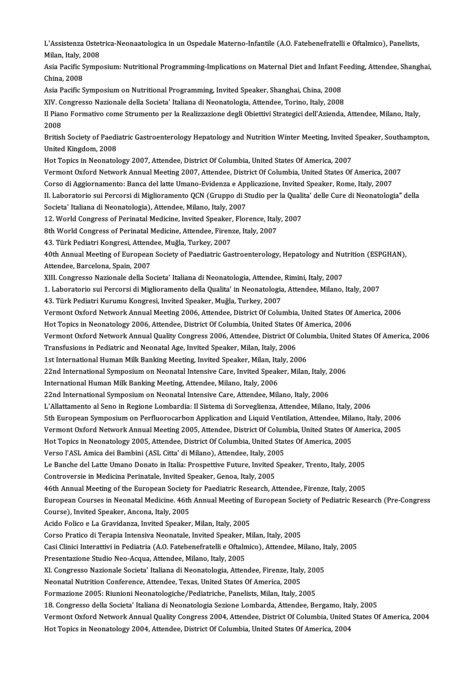L'Assistenza Ostetrica-Neonaatologica in un Ospedale Materno-Infantile (A.O. Fatebenefratelli e Oftalmico), Panelists,<br>Milan, Italy, 2008 L'Assistenza Ostet<br>Milan, Italy, 2008<br>Agia Pagifia Sumpe L'Assistenza Ostetrica-Neonaatologica in un Ospedale Materno-Infantile (A.O. Fatebenefratelli e Oftalmico), Panelists,<br>Milan, Italy, 2008<br>Asia Pacific Symposium: Nutritional Programming-Implications on Maternal Diet and In

Milan, Italy, 2008<br>Asia Pacific Symposium: Nutritional Programming-Implications on Maternal Diet and Infant Feeding, Attendee, Shanghai,<br>China. 2008

Asia Pacific Symposium on Nutritional Programming, Invited Speaker, Shanghai, China, 2008

XIV. Congresso Nazionale della Societa' Italiana di Neonatologia, Attendee, Torino, Italy, 2008

Asia Pacific Symposium on Nutritional Programming, Invited Speaker, Shanghai, China, 2008<br>XIV. Congresso Nazionale della Societa' Italiana di Neonatologia, Attendee, Torino, Italy, 2008<br>Il Piano Formativo come Strumento pe XIV C<br>Il Pian<br>2008<br>Pritich Il Piano Formativo come Strumento per la Realizzazione degli Obiettivi Strategici dell'Azienda, Attendee, Milano, Italy,<br>2008<br>British Society of Paediatric Gastroenterology Hepatology and Nutrition Winter Meeting, Invited

2008<br>British Society of Paedi<br>United Kingdom, 2008<br>Het Toniss in Neonatol British Society of Paediatric Gastroenterology Hepatology and Nutrition Winter Meeting, Invited<br>United Kingdom, 2008<br>Hot Topics in Neonatology 2007, Attendee, District Of Columbia, United States Of America, 2007<br>Verment Ox United Kingdom, 2008<br>Hot Topics in Neonatology 2007, Attendee, District Of Columbia, United States Of America, 2007<br>Vermont Oxford Network Annual Meeting 2007, Attendee, District Of Columbia, United States Of America, 2007

Corso di Aggiornamento: Banca del latte Umano-Evidenza e Applicazione, Invited Speaker, Rome, Italy, 2007

Vermont Oxford Network Annual Meeting 2007, Attendee, District Of Columbia, United States Of America, 2007<br>Corso di Aggiornamento: Banca del latte Umano-Evidenza e Applicazione, Invited Speaker, Rome, Italy, 2007<br>II. Labor Corso di Aggiornamento: Banca del latte Umano-Evidenza e App<br>II. Laboratorio sui Percorsi di Miglioramento QCN (Gruppo di S<br>Societa' Italiana di Neonatologia), Attendee, Milano, Italy, 2007<br>12 World Congrees of Perinatal M II. Laboratorio sui Percorsi di Miglioramento QCN (Gruppo di Studio per la Quali<br>Societa' Italiana di Neonatologia), Attendee, Milano, Italy, 2007<br>12. World Congress of Perinatal Medicine, Invited Speaker, Florence, Italy, Societa' Italiana di Neonatologia), Attendee, Milano, Italy, 2007<br>12. World Congress of Perinatal Medicine, Invited Speaker, Florence, Italy<br>8th World Congress of Perinatal Medicine, Attendee, Firenze, Italy, 2007<br>42. Türk

12. World Congress of Perinatal Medicine, Invited Speaker,<br>8th World Congress of Perinatal Medicine, Attendee, Firen:<br>43. Türk Pediatri Kongresi, Attendee, Muğla, Turkey, 2007<br>40th Annual Mesting of Euroneen Segisty of Beo

8th World Congress of Perinatal Medicine, Attendee, Firenze, Italy, 2007<br>43. Türk Pediatri Kongresi, Attendee, Muğla, Turkey, 2007<br>40th Annual Meeting of European Society of Paediatric Gastroenterology, Hepatology and Nutr 43. Türk Pediatri Kongresi, Attend<br>40th Annual Meeting of European<br>Attendee, Barcelona, Spain, 2007<br>YIIL Congresse Nationale delle Se 40th Annual Meeting of European Society of Paediatric Gastroenterology, Hepatology and Nu<br>Attendee, Barcelona, Spain, 2007<br>XIII. Congresso Nazionale della Societa' Italiana di Neonatologia, Attendee, Rimini, Italy, 2007<br>1. Attendee, Barcelona, Spain, 2007<br>XIII. Congresso Nazionale della Societa' Italiana di Neonatologia, Attendee, Rimini, Italy, 2007<br>1. Laboratorio sui Percorsi di Miglioramento della Qualita' in Neonatologia, Attendee, Milan

43. Türk Pediatri Kurumu Kongresi, Invited Speaker, Muğla, Turkey, 2007

1. Laboratorio sui Percorsi di Miglioramento della Qualita' in Neonatologia, Attendee, Milano, Italy, 2007<br>43. Türk Pediatri Kurumu Kongresi, Invited Speaker, Muğla, Turkey, 2007<br>Vermont Oxford Network Annual Meeting 2006, 43. Türk Pediatri Kurumu Kongresi, Invited Speaker, Muğla, Turkey, 2007<br>Vermont Oxford Network Annual Meeting 2006, Attendee, District Of Columbia, United States Of<br>Hot Topics in Neonatology 2006, Attendee, District Of Col

Hot Topics in Neonatology 2006, Attendee, District Of Columbia, United States Of America, 2006

Vermont Oxford Network Annual Quality Congress 2006, Attendee, District Of Columbia, United States Of America, 2006<br>Transfusions in Pediatric and Neonatal Age, Invited Speaker, Milan, Italy, 2006 Vermont Oxford Network Annual Quality Congress 2006, Attendee, District Of Colt<br>Transfusions in Pediatric and Neonatal Age, Invited Speaker, Milan, Italy, 2006<br>1st International Human Milk Banking Meeting, Invited Speaker,

1st International Human Milk Banking Meeting, Invited Speaker, Milan, Italy, 22nd International Symposium on Neonatal Intensive Care, Invited Speak<br>International Human Milk Banking Meeting, Attendee, Milano, Italy, 2006<br>22

Transfusions in Pediatric and Neonatal Age, Invited Speaker, Milan, Italy, 2006<br>1st International Human Milk Banking Meeting, Invited Speaker, Milan, Italy, 2006<br>22nd International Symposium on Neonatal Intensive Care, Inv 22nd International Symposium on Neonatal Intensive Care, Invited Speaker, Milan, Italy, 2<br>International Human Milk Banking Meeting, Attendee, Milano, Italy, 2006<br>22nd International Symposium on Neonatal Intensive Care, Att

International Human Milk Banking Meeting, Attendee, Milano, Italy, 2006<br>22nd International Symposium on Neonatal Intensive Care, Attendee, Milano, Italy, 2006<br>L'Allattamento al Seno in Regione Lombardia: Il Sistema di Sorv

22nd International Symposium on Neonatal Intensive Care, Attendee, Milano, Italy, 2006<br>L'Allattamento al Seno in Regione Lombardia: Il Sistema di Sorveglienza, Attendee, Milano, Italy, 2006<br>5th European Symposium on Perflu 5th European Symposium on Perfluorocarbon Application and Liquid Ventilation, Attendee, Mila<br>Vermont Oxford Network Annual Meeting 2005, Attendee, District Of Columbia, United States Of<br>Hot Topics in Neonatology 2005, Atte

L'Allattamento al Seno in Regione Lombardia: Il Sistema di Sorveglienza, Attendee, Milano, Italy, 2006<br>5th European Symposium on Perfluorocarbon Application and Liquid Ventilation, Attendee, Milano, Italy, 2006<br>Vermont Oxf Vermont Oxford Network Annual Meeting 2005, Attendee, District Of Columbia, United States Of America, 2005<br>Hot Topics in Neonatology 2005, Attendee, District Of Columbia, United States Of America, 2005<br>Verso l'ASL Amica de

Hot Topics in Neonatology 2005, Attendee, District Of Columbia, United States Of America, 2005<br>Verso l'ASL Amica dei Bambini (ASL Citta' di Milano), Attendee, Italy, 2005<br>Le Banche del Latte Umano Donato in Italia: Prospet

Controversie in Medicina Perinatale, Invited Speaker, Genoa, Italy, 2005

Le Banche del Latte Umano Donato in Italia: Prospettive Future, Invited Speaker, Trento, Italy, 2005<br>Controversie in Medicina Perinatale, Invited Speaker, Genoa, Italy, 2005<br>46th Annual Meeting of the European Society for

Controversie in Medicina Perinatale, Invited Speaker, Genoa, Italy, 2005<br>46th Annual Meeting of the European Society for Paediatric Research, Attendee, Firenze, Italy, 2005<br>European Courses in Neonatal Medicine. 46th Annua 46th Annual Meeting of the European Society for Paediatric Research, Attendee, Firenze, Italy, 2005<br>European Courses in Neonatal Medicine. 46th Annual Meeting of European Society of Pediatric Rese<br>Course), Invited Speaker, European Courses in Neonatal Medicine. 46th Annual Meeting of<br>Course), Invited Speaker, Ancona, Italy, 2005<br>Acido Folico e La Gravidanza, Invited Speaker, Milan, Italy, 2005<br>Corse Pratise di Teronia Intensiva Neonatale, In

Corso Pratico di Terapia Intensiva Neonatale, Invited Speaker, Milan, Italy, 2005

Casi Clinici Interattivi in Pediatria (A.O. Fatebenefratelli e Oftalmico), Attendee, Milano, Italy, 2005 Casi Clinici Interattivi in Pediatria (A.O. Fatebenefratelli e Oftalmico), Attendee, Milano, Italy, 2005<br>Presentazione Studio Neo-Acqua, Attendee, Milano, Italy, 2005<br>XI. Congresso Nazionale Societa' Italiana di Neonatolog

Presentazione Studio Neo-Acqua, Attendee, Milano, Italy, 2005

Presentazione Studio Neo-Acqua, Attendee, Milano, Italy, 2005<br>XI. Congresso Nazionale Societa' Italiana di Neonatologia, Attendee, Firenze, Italy<br>Neonatal Nutrition Conference, Attendee, Texas, United States Of America, 20 XI. Congresso Nazionale Societa' Italiana di Neonatologia, Attendee, Firenze, Italy, 200<br>Neonatal Nutrition Conference, Attendee, Texas, United States Of America, 2005<br>Formazione 2005: Riunioni Neonatologiche/Pediatriche,

Neonatal Nutrition Conference, Attendee, Texas, United States Of America, 2005<br>Formazione 2005: Riunioni Neonatologiche/Pediatriche, Panelists, Milan, Italy, 2005<br>18. Congresso della Societa' Italiana di Neonatologia Sezio

Vermont Oxford Network Annual Quality Congress 2004, Attendee, District Of Columbia, United States Of America, 2004

Hot Topics in Neonatology 2004, Attendee, District Of Columbia, United States Of America, 2004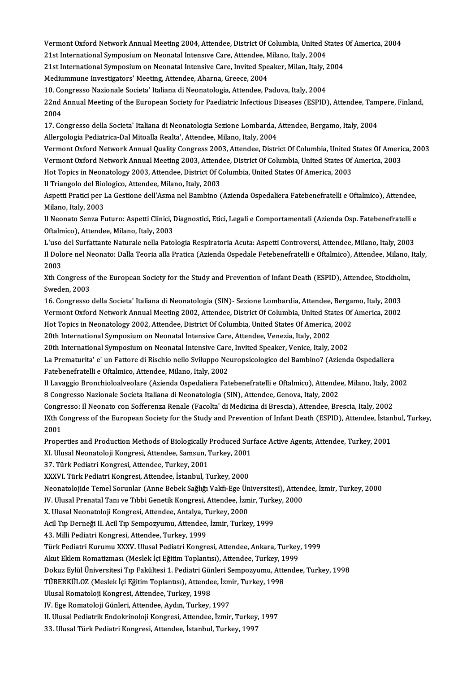Vermont Oxford Network Annual Meeting 2004, Attendee, District Of Columbia, United States Of America, 2004<br>21st International Symposium on Neopotal Interesys Care, Attendee, Milane, Italy, 2004 19 Vermont Oxford Network Annual Meeting 2004, Attendee, District Of Columbia, United<br>21st International Symposium on Neonatal Intensıve Care, Attendee, Milano, Italy, 2004<br>21st International Symposium on Neonatal Intensiv Vermont Oxford Network Annual Meeting 2004, Attendee, District Of Columbia, United States<br>21st International Symposium on Neonatal Intensive Care, Attendee, Milano, Italy, 2004<br>21st International Symposium on Neonatal Inte

21st International Symposium on Neonatal Intensive Care, Attendee, Milano, Italy, 2004<br>21st International Symposium on Neonatal Intensive Care, Invited Speaker, Milan, Italy, 2004<br>Mediummune Investigators' Meeting, Attende 21st International Symposium on Neonatal Intensive Care, Invited Speaker, Milan, Italy, 2<br>Mediummune Investigators' Meeting, Attendee, Aharna, Greece, 2004<br>10. Congresso Nazionale Societa' Italiana di Neonatologia, Attende

Mediummune Investigators' Meeting, Attendee, Aharna, Greece, 2004<br>10. Congresso Nazionale Societa' Italiana di Neonatologia, Attendee, Padova, Italy, 2004<br>22nd Annual Meeting of the European Society for Paediatric Infectio 10. Co<br>22nd<br>2004<br>17. Co 22nd Annual Meeting of the European Society for Paediatric Infectious Diseases (ESPID), Attendee, Tam<br>2004<br>17. Congresso della Societa' Italiana di Neonatologia Sezione Lombarda, Attendee, Bergamo, Italy, 2004<br>Allergelegia

2004<br>17. Congresso della Societa' Italiana di Neonatologia Sezione Lombarda, Attendee, Bergamo, Italy, 2004<br>Allergologia Pediatrica-Dal Mitoalla Realta', Attendee, Milano, Italy, 2004 17. Congresso della Societa' Italiana di Neonatologia Sezione Lombarda, Attendee, Bergamo, Italy, 2004<br>Allergologia Pediatrica-Dal Mitoalla Realta', Attendee, Milano, Italy, 2004<br>Vermont Oxford Network Annual Quality Congr

Allergologia Pediatrica-Dal Mitoalla Realta', Attendee, Milano, Italy, 2004<br>Vermont Oxford Network Annual Quality Congress 2003, Attendee, District Of Columbia, United States Of Americ<br>Vermont Oxford Network Annual Meeting Vermont Oxford Network Annual Quality Congress 2003, Attendee, District Of Columbia, United States<br>Vermont Oxford Network Annual Meeting 2003, Attendee, District Of Columbia, United States Of<br>Hot Topics in Neonatology 2003 Vermont Oxford Network Annual Meeting 2003, Attendee, District Of Columbia, United States Of America, 2003<br>Hot Topics in Neonatology 2003, Attendee, District Of Columbia, United States Of America, 2003<br>Il Triangolo del Bio

Hot Topics in Neonatology 2003, Attendee, District Of Columbia, United States Of America, 2003<br>Il Triangolo del Biologico, Attendee, Milano, Italy, 2003<br>Aspetti Pratici per La Gestione dell'Asma nel Bambino (Azienda Ospeda Il Triangolo del Bio<br>Aspetti Pratici per I<br>Milano, Italy, 2003<br>Il Neonato Songo Ex Aspetti Pratici per La Gestione dell'Asma nel Bambino (Azienda Ospedaliera Fatebenefratelli e Oftalmico), Attendee,<br>Milano, Italy, 2003<br>Il Neonato Senza Futuro: Aspetti Clinici, Diagnostici, Etici, Legali e Comportamentali

Milano, Italy, 2003<br>Il Neonato Senza Futuro: Aspetti Clinici, Diagnostici, Etici, Legali e Comportamentali (Azienda Osp. Fatebenefratelli e<br>Oftalmico), Attendee, Milano, Italy, 2003

L'uso del Surfattante Naturale nella Patologia Respiratoria Acuta: Aspetti Controversi, Attendee, Milano, Italy, 2003 Oftalmico), Attendee, Milano, Italy, 2003<br>L'uso del Surfattante Naturale nella Patologia Respiratoria Acuta: Aspetti Controversi, Attendee, Milano, Italy,<br>Il Dolore nel Neonato: Dalla Teoria alla Pratica (Azienda Ospedale L'uso<br>Il Dolo<br>2003<br><sup>Yth Co</sup> Il Dolore nel Neonato: Dalla Teoria alla Pratica (Azienda Ospedale Fetebenefratelli e Oftalmico), Attendee, Milano,<br>2003<br>Xth Congress of the European Society for the Study and Prevention of Infant Death (ESPID), Attendee,

2003<br>Xth Congress of the European Society for the Study and Prevention of Infant Death (ESPID), Attendee, Stockholm,<br>Sweden, 2003 Xth Congress of the European Society for the Study and Prevention of Infant Death (ESPID), Attendee, Stockhol:<br>Sweden, 2003<br>16. Congresso della Societa' Italiana di Neonatologia (SIN)- Sezione Lombardia, Attendee, Bergamo,

Sweden, 2003<br>16. Congresso della Societa' Italiana di Neonatologia (SIN)- Sezione Lombardia, Attendee, Bergamo, Italy, 2003<br>Vermont Oxford Network Annual Meeting 2002, Attendee, District Of Columbia, United States Of Ameri 16. Congresso della Societa' Italiana di Neonatologia (SIN)- Sezione Lombardia, Attendee, Berga<br>Vermont Oxford Network Annual Meeting 2002, Attendee, District Of Columbia, United States Of<br>Hot Topics in Neonatology 2002, A Vermont Oxford Network Annual Meeting 2002, Attendee, District Of Columbia, United States Of America, 2002<br>Hot Topics in Neonatology 2002, Attendee, District Of Columbia, United States Of America, 2002<br>20th International S Hot Topics in Neonatology 2002, Attendee, District Of Columbia, United States Of America, 2002

20th International Symposium on Neonatal Intensive Care, Attendee, Venezia, Italy, 2002<br>20th International Symposium on Neonatal Intensive Care, Invited Speaker, Venice, Italy, 2002<br>La Prematurita' e' un Fattore di Rischio 20th International Symposium on Neonatal Intensive Care<br>La Prematurita' e' un Fattore di Rischio nello Sviluppo Ne<br>Fatebenefratelli e Oftalmico, Attendee, Milano, Italy, 2002<br>Il Laveggio Prenchiologlycolare (Ariende Ospeda La Prematurita' e' un Fattore di Rischio nello Sviluppo Neuropsicologico del Bambino? (Azienda Ospedaliera<br>Fatebenefratelli e Oftalmico, Attendee, Milano, Italy, 2002<br>Il Lavaggio Bronchioloalveolare (Azienda Ospedaliera Fa

Fatebenefratelli e Oftalmico, Attendee, Milano, Italy, 2002<br>Il Lavaggio Bronchioloalveolare (Azienda Ospedaliera Fatebenefratelli e Oftalmico), Attendee, Milano, Italy, 2002<br>8 Congresso Nazionale Societa Italiana di Neonat

Congresso: Il Neonato con Sofferenza Renale (Facolta' di Medicina di Brescia), Attendee, Brescia, Italy, 2002

8 Congresso Nazionale Societa Italiana di Neonatologia (SIN), Attendee, Genova, Italy, 2002<br>Congresso: Il Neonato con Sofferenza Renale (Facolta' di Medicina di Brescia), Attendee, Brescia, Italy, 2002<br>IXth Congress of the Congr<br>IXth C<br>2001<br>Prope IXth Congress of the European Society for the Study and Prevention of Infant Death (ESPID), Attendee, İstan<br>2001<br>Properties and Production Methods of Biologically Produced Surface Active Agents, Attendee, Turkey, 2001<br>Yhte 2001<br>Properties and Production Methods of Biologically Produced Sur<br>XI. Ulusal Neonatoloji Kongresi, Attendee, Samsun, Turkey, 2001<br>27. Türk Podistri Kongresi, Attendee, Turkey, 2001

Properties and Production Methods of Biologically |<br>XI. Ulusal Neonatoloji Kongresi, Attendee, Samsun, 1<br>37. Türk Pediatri Kongresi, Attendee, Turkey, 2001<br>YYYVI. Türk Pediatri Kongresi, Attendee, İstanbul, T

XI. Ulusal Neonatoloji Kongresi, Attendee, Samsun, Turkey, 2001<br>37. Türk Pediatri Kongresi, Attendee, Turkey, 2001<br>XXXVI. Türk Pediatri Kongresi, Attendee, İstanbul, Turkey, 2000

37. Türk Pediatri Kongresi, Attendee, Turkey, 2001<br>XXXVI. Türk Pediatri Kongresi, Attendee, İstanbul, Turkey, 2000<br>Neonatolojide Temel Sorunlar (Anne Bebek Sağlığı Vakfı-Ege Üniversitesi), Attendee, İzmir, Turkey, 2000<br>W. XXXVI. Türk Pediatri Kongresi, Attendee, İstanbul, Turkey, 2000<br>Neonatolojide Temel Sorunlar (Anne Bebek Sağlığı Vakfı-Ege Üniversitesi), Atten<br>IV. Ulusal Prenatal Tanı ve Tıbbi Genetik Kongresi, Attendee, İzmir, Turkey, 2

Neonatolojide Temel Sorunlar (Anne Bebek Sağlığı Vakfı-Ege Ün<br>IV. Ulusal Prenatal Tanı ve Tıbbi Genetik Kongresi, Attendee, İzm<br>X. Ulusal Neonatoloji Kongresi, Attendee, Antalya, Turkey, 2000<br>Asil Tın Derneği II. Asil Tın

X. Ulusal Neonatoloji Kongresi, Attendee, Antalya, Turkey, 2000

IV. Ulusal Prenatal Tanı ve Tıbbi Genetik Kongresi, Attendee, İzmir, Turkey, 2000<br>X. Ulusal Neonatoloji Kongresi, Attendee, Antalya, Turkey, 2000<br>Acil Tıp Derneği II. Acil Tıp Sempozyumu, Attendee, İzmir, Turkey, 1999<br>43.

Acil Tıp Derneği II. Acil Tıp Sempozyumu, Attendee, İzmir, Turkey, 1999<br>43. Milli Pediatri Kongresi, Attendee, Turkey, 1999<br>Türk Pediatri Kurumu XXXV. Ulusal Pediatri Kongresi, Attendee, Ankara, Turkey, 1999<br>Alut Eklem Bem 43. Milli Pediatri Kongresi, Attendee, Turkey, 1999<br>Türk Pediatri Kurumu XXXV. Ulusal Pediatri Kongresi, Attendee, Ankara, Turkey<br>Akut Eklem Romatizması (Meslek İçi Eğitim Toplantısı), Attendee, Turkey, 1999<br>Delava Evlül Ü

Türk Pediatri Kurumu XXXV. Ulusal Pediatri Kongresi, Attendee, Ankara, Turkey, 1999<br>Akut Eklem Romatizması (Meslek İçi Eğitim Toplantısı), Attendee, Turkey, 1999<br>Dokuz Eylül Üniversitesi Tıp Fakültesi 1. Pediatri Günleri S Akut Eklem Romatizması (Meslek İçi Eğitim Toplantısı), Attendee, Turkey, 1999<br>Dokuz Eylül Üniversitesi Tıp Fakültesi 1. Pediatri Günleri Sempozyumu, Attende<br>TÜBERKÜLOZ (Meslek İçi Eğitim Toplantısı), Attendee, İzmir, Turke

Dokuz Eylül Üniversitesi Tıp Fakültesi 1. Pediatri Gür<br>TÜBERKÜLOZ (Meslek İçi Eğitim Toplantısı), Attende<br>Ulusal Romatoloji Kongresi, Attendee, Turkey, 1998<br>W. Ese Romatoloji Günleri, Attendee, Aydın, Turkey TÜBERKÜLOZ (Meslek İçi Eğitim Toplantısı), Attendee, İzmir, Turkey, 1998<br>Ulusal Romatoloji Kongresi, Attendee, Turkey, 1998<br>IV. Ege Romatoloji Günleri, Attendee, Aydın, Turkey, 1997

Ulusal Romatoloji Kongresi, Attendee, Turkey, 1998<br>IV. Ege Romatoloji Günleri, Attendee, Aydın, Turkey, 1997<br>II. Ulusal Pediatrik Endokrinoloji Kongresi, Attendee, İzmir, Turkey, 1997<br><sup>22. Ulusal Türk Pediatri Kongresi, At</sup> IV. Ege Romatoloji Günleri, Attendee, Aydın, Turkey, 1997<br>II. Ulusal Pediatrik Endokrinoloji Kongresi, Attendee, İzmir, Turkey<br>33. Ulusal Türk Pediatri Kongresi, Attendee, İstanbul, Turkey, 1997